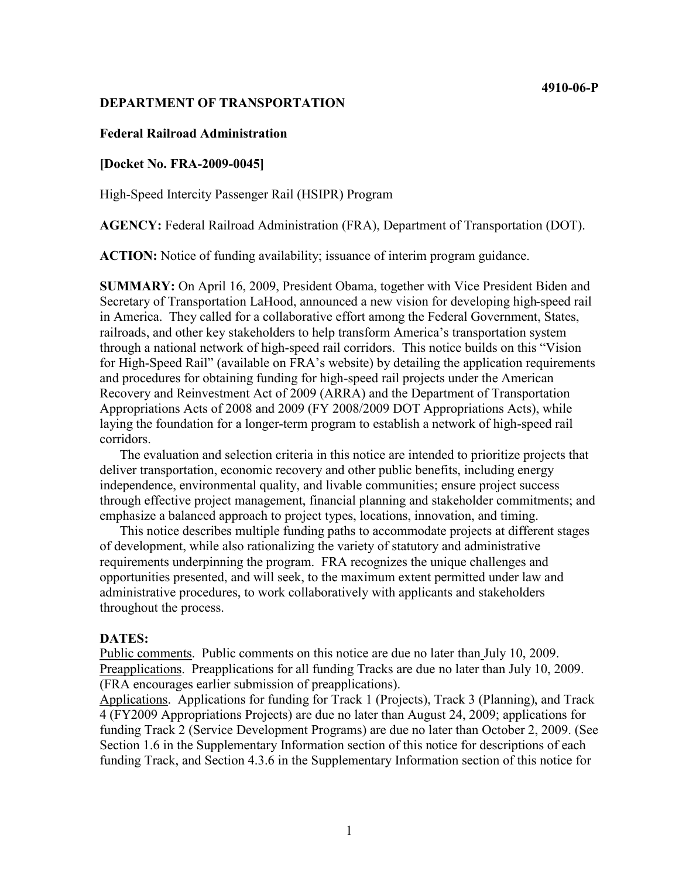#### **4910-06-P**

#### **DEPARTMENT OF TRANSPORTATION**

#### **Federal Railroad Administration**

#### **[Docket No. FRA-2009-0045]**

High-Speed Intercity Passenger Rail (HSIPR) Program

**AGENCY:** Federal Railroad Administration (FRA), Department of Transportation (DOT).

**ACTION:** Notice of funding availability; issuance of interim program guidance.

**SUMMARY:** On April 16, 2009, President Obama, together with Vice President Biden and Secretary of Transportation LaHood, announced a new vision for developing high-speed rail in America. They called for a collaborative effort among the Federal Government, States, railroads, and other key stakeholders to help transform America's transportation system through a national network of high-speed rail corridors. This notice builds on this "Vision for High-Speed Rail" (available on FRA's website) by detailing the application requirements and procedures for obtaining funding for high-speed rail projects under the American Recovery and Reinvestment Act of 2009 (ARRA) and the Department of Transportation Appropriations Acts of 2008 and 2009 (FY 2008/2009 DOT Appropriations Acts), while laying the foundation for a longer-term program to establish a network of high-speed rail corridors.

The evaluation and selection criteria in this notice are intended to prioritize projects that deliver transportation, economic recovery and other public benefits, including energy independence, environmental quality, and livable communities; ensure project success through effective project management, financial planning and stakeholder commitments; and emphasize a balanced approach to project types, locations, innovation, and timing.

This notice describes multiple funding paths to accommodate projects at different stages of development, while also rationalizing the variety of statutory and administrative requirements underpinning the program. FRA recognizes the unique challenges and opportunities presented, and will seek, to the maximum extent permitted under law and administrative procedures, to work collaboratively with applicants and stakeholders throughout the process.

#### **DATES:**

Public comments. Public comments on this notice are due no later than July 10, 2009. Preapplications. Preapplications for all funding Tracks are due no later than July 10, 2009. (FRA encourages earlier submission of preapplications).

Applications. Applications for funding for Track 1 (Projects), Track 3 (Planning), and Track 4 (FY2009 Appropriations Projects) are due no later than August 24, 2009; applications for funding Track 2 (Service Development Programs) are due no later than October 2, 2009. (See Section 1.6 in the Supplementary Information section of this notice for descriptions of each funding Track, and Section 4.3.6 in the Supplementary Information section of this notice for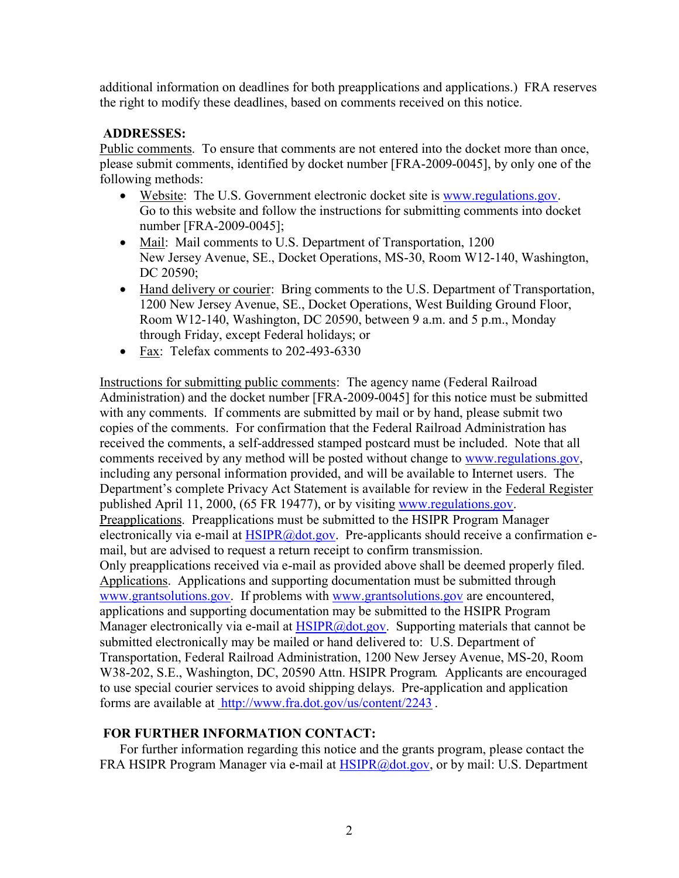additional information on deadlines for both preapplications and applications.) FRA reserves the right to modify these deadlines, based on comments received on this notice.

## **ADDRESSES:**

Public comments. To ensure that comments are not entered into the docket more than once, please submit comments, identified by docket number [FRA-2009-0045], by only one of the following methods:

- Website: The U.S. Government electronic docket site is [www.regulations.gov.](www.regulations.gov) Go to this website and follow the instructions for submitting comments into docket number [FRA-2009-0045];
- Mail: Mail comments to U.S. Department of Transportation, 1200 New Jersey Avenue, SE., Docket Operations, MS-30, Room W12-140, Washington, DC 20590;
- Hand delivery or courier: Bring comments to the U.S. Department of Transportation, 1200 New Jersey Avenue, SE., Docket Operations, West Building Ground Floor, Room W12-140, Washington, DC 20590, between 9 a.m. and 5 p.m., Monday through Friday, except Federal holidays; or
- Fax: Telefax comments to 202-493-6330

Instructions for submitting public comments: The agency name (Federal Railroad Administration) and the docket number [FRA-2009-0045] for this notice must be submitted with any comments. If comments are submitted by mail or by hand, please submit two copies of the comments. For confirmation that the Federal Railroad Administration has received the comments, a self-addressed stamped postcard must be included. Note that all comments received by any method will be posted without change to [www.regulations.gov,](www.regulations.gov) including any personal information provided, and will be available to Internet users. The Department's complete Privacy Act Statement is available for review in the Federal Register published April 11, 2000, (65 FR 19477), or by visiting [www.regulations.gov.](www.regulations.gov) Preapplications. Preapplications must be submitted to the HSIPR Program Manager electronically via e-mail at [HSIPR@dot.gov.](mailto:HSIPR@dot.gov.) Pre-applicants should receive a confirmation email, but are advised to request a return receipt to confirm transmission. Only preapplications received via e-mail as provided above shall be deemed properly filed. Applications. Applications and supporting documentation must be submitted through [www.grantsolutions.gov.](www.grantsolutions.gov) If problems with <www.grantsolutions.gov> are encountered, applications and supporting documentation may be submitted to the HSIPR Program Manager electronically via e-mail at  $HSIPR@dot.gov$ . Supporting materials that cannot be submitted electronically may be mailed or hand delivered to: U.S. Department of Transportation, Federal Railroad Administration, 1200 New Jersey Avenue, MS-20, Room W38-202, S.E., Washington, DC, 20590 Attn. HSIPR Program*.* Applicants are encouraged to use special courier services to avoid shipping delays. Pre-application and application forms are available at <http://www.fra.dot.gov/us/content/2243> .

## **FOR FURTHER INFORMATION CONTACT:**

For further information regarding this notice and the grants program, please contact the FRA HSIPR Program Manager via e-mail at [HSIPR@dot.gov,](mailto:HSIPR@dot.gov) or by mail: U.S. Department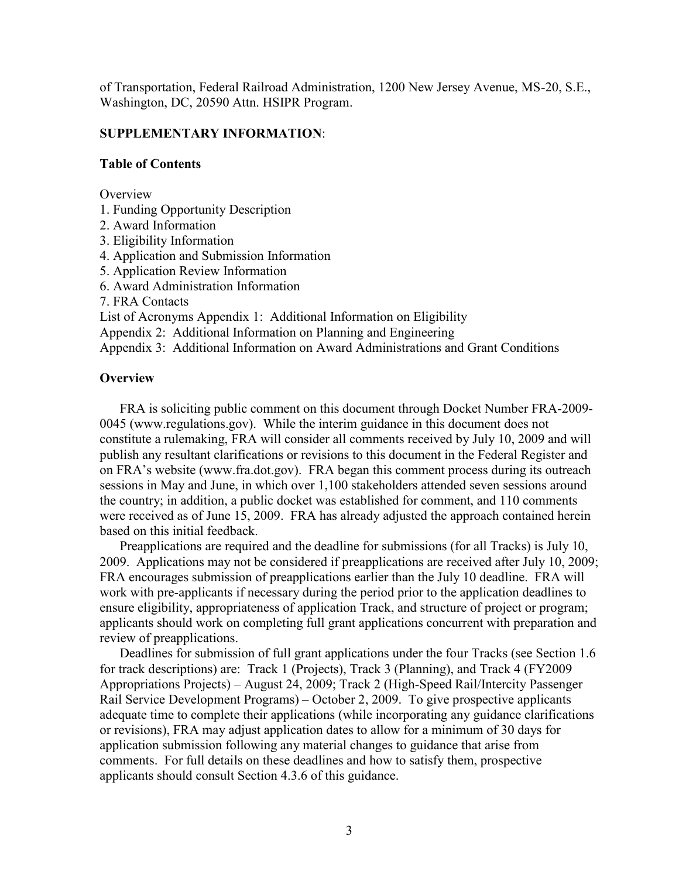of Transportation, Federal Railroad Administration, 1200 New Jersey Avenue, MS-20, S.E., Washington, DC, 20590 Attn. HSIPR Program.

### **SUPPLEMENTARY INFORMATION**:

#### **Table of Contents**

**Overview** 

- 1. Funding Opportunity Description
- 2. Award Information
- 3. Eligibility Information
- 4. Application and Submission Information
- 5. Application Review Information
- 6. Award Administration Information
- 7. FRA Contacts

List of Acronyms Appendix 1: Additional Information on Eligibility

Appendix 2: Additional Information on Planning and Engineering

Appendix 3: Additional Information on Award Administrations and Grant Conditions

## **Overview**

FRA is soliciting public comment on this document through Docket Number FRA-2009- 0045 (<www.regulations.gov>). While the interim guidance in this document does not constitute a rulemaking, FRA will consider all comments received by July 10, 2009 and will publish any resultant clarifications or revisions to this document in the Federal Register and on FRA's website (<www.fra.dot.gov>). FRA began this comment process during its outreach sessions in May and June, in which over 1,100 stakeholders attended seven sessions around the country; in addition, a public docket was established for comment, and 110 comments were received as of June 15, 2009. FRA has already adjusted the approach contained herein based on this initial feedback.

Preapplications are required and the deadline for submissions (for all Tracks) is July 10, 2009. Applications may not be considered if preapplications are received after July 10, 2009; FRA encourages submission of preapplications earlier than the July 10 deadline. FRA will work with pre-applicants if necessary during the period prior to the application deadlines to ensure eligibility, appropriateness of application Track, and structure of project or program; applicants should work on completing full grant applications concurrent with preparation and review of preapplications.

Deadlines for submission of full grant applications under the four Tracks (see Section 1.6 for track descriptions) are: Track 1 (Projects), Track 3 (Planning), and Track 4 (FY2009 Appropriations Projects) – August 24, 2009; Track 2 (High-Speed Rail/Intercity Passenger Rail Service Development Programs) – October 2, 2009. To give prospective applicants adequate time to complete their applications (while incorporating any guidance clarifications or revisions), FRA may adjust application dates to allow for a minimum of 30 days for application submission following any material changes to guidance that arise from comments. For full details on these deadlines and how to satisfy them, prospective applicants should consult Section 4.3.6 of this guidance.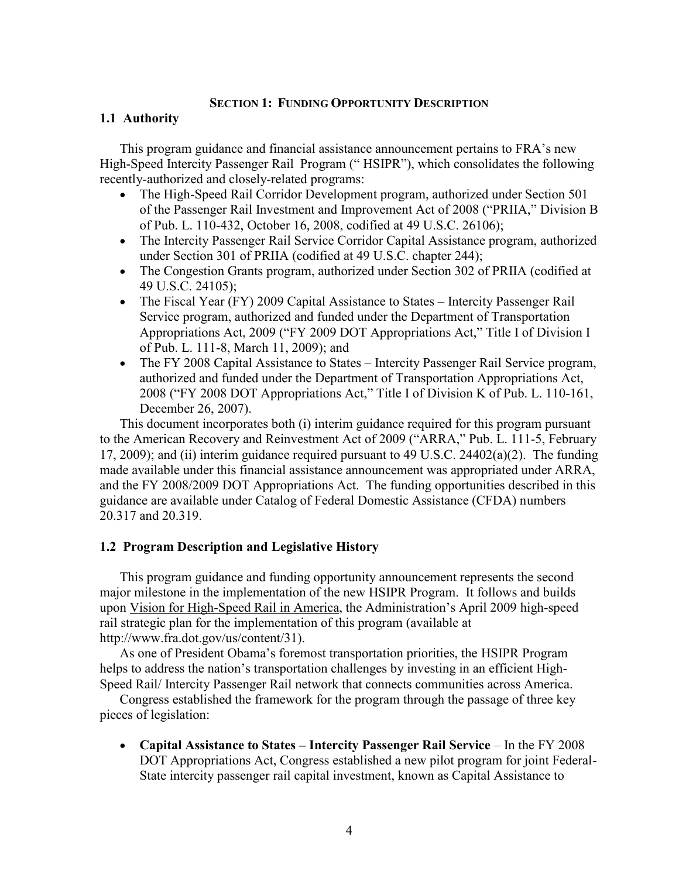### **SECTION 1: FUNDING OPPORTUNITY DESCRIPTION**

## **1.1 Authority**

This program guidance and financial assistance announcement pertains to FRA's new High-Speed Intercity Passenger Rail Program ("HSIPR"), which consolidates the following recently-authorized and closely-related programs:

- The High-Speed Rail Corridor Development program, authorized under Section 501 of the Passenger Rail Investment and Improvement Act of 2008 ("PRIIA," Division B of Pub. L. 110-432, October 16, 2008, codified at 49 U.S.C. 26106);
- The Intercity Passenger Rail Service Corridor Capital Assistance program, authorized under Section 301 of PRIIA (codified at 49 U.S.C. chapter 244);
- The Congestion Grants program, authorized under Section 302 of PRIIA (codified at 49 U.S.C. 24105);
- The Fiscal Year (FY) 2009 Capital Assistance to States Intercity Passenger Rail Service program, authorized and funded under the Department of Transportation Appropriations Act, 2009 ("FY 2009 DOT Appropriations Act," Title I of Division I of Pub. L. 111-8, March 11, 2009); and
- The FY 2008 Capital Assistance to States Intercity Passenger Rail Service program, authorized and funded under the Department of Transportation Appropriations Act, 2008 ("FY 2008 DOT Appropriations Act," Title I of Division K of Pub. L. 110-161, December 26, 2007).

This document incorporates both (i) interim guidance required for this program pursuant to the American Recovery and Reinvestment Act of 2009 ("ARRA," Pub. L. 111-5, February 17, 2009); and (ii) interim guidance required pursuant to 49 U.S.C. 24402(a)(2). The funding made available under this financial assistance announcement was appropriated under ARRA, and the FY 2008/2009 DOT Appropriations Act. The funding opportunities described in this guidance are available under Catalog of Federal Domestic Assistance (CFDA) numbers 20.317 and 20.319.

## **1.2 Program Description and Legislative History**

This program guidance and funding opportunity announcement represents the second major milestone in the implementation of the new HSIPR Program. It follows and builds upon Vision for High-Speed Rail in America, the Administration's April 2009 high-speed rail strategic plan for the implementation of this program (available at <http://www.fra.dot.gov/us/content/31>).

As one of President Obama's foremost transportation priorities, the HSIPR Program helps to address the nation's transportation challenges by investing in an efficient High-Speed Rail/ Intercity Passenger Rail network that connects communities across America.

Congress established the framework for the program through the passage of three key pieces of legislation:

 **Capital Assistance to States – Intercity Passenger Rail Service** – In the FY 2008 DOT Appropriations Act, Congress established a new pilot program for joint Federal-State intercity passenger rail capital investment, known as Capital Assistance to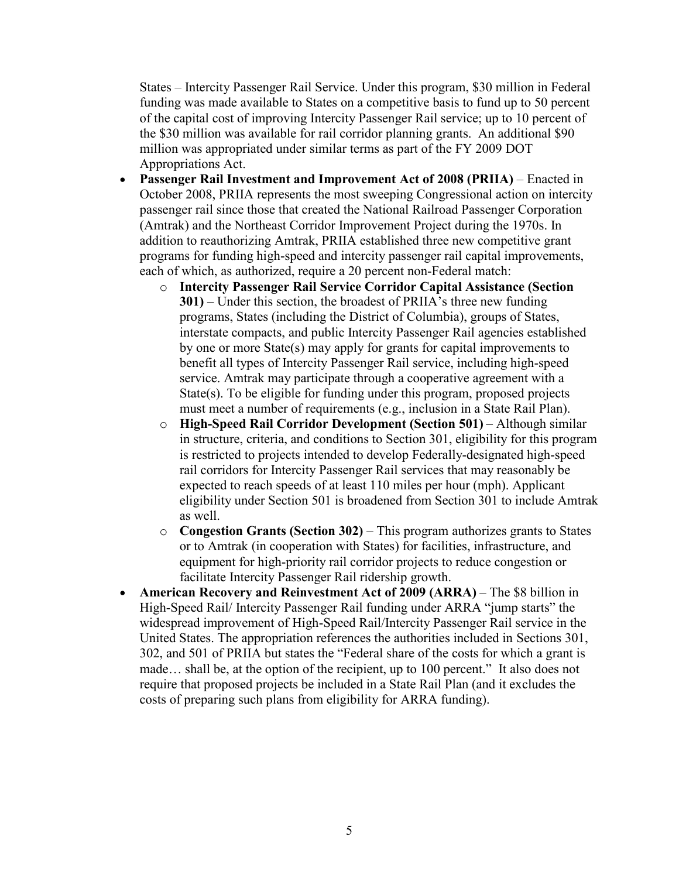States – Intercity Passenger Rail Service. Under this program, \$30 million in Federal funding was made available to States on a competitive basis to fund up to 50 percent of the capital cost of improving Intercity Passenger Rail service; up to 10 percent of the \$30 million was available for rail corridor planning grants. An additional \$90 million was appropriated under similar terms as part of the FY 2009 DOT Appropriations Act.

- **Passenger Rail Investment and Improvement Act of 2008 (PRIIA)** Enacted in October 2008, PRIIA represents the most sweeping Congressional action on intercity passenger rail since those that created the National Railroad Passenger Corporation (Amtrak) and the Northeast Corridor Improvement Project during the 1970s. In addition to reauthorizing Amtrak, PRIIA established three new competitive grant programs for funding high-speed and intercity passenger rail capital improvements, each of which, as authorized, require a 20 percent non-Federal match:
	- o **Intercity Passenger Rail Service Corridor Capital Assistance (Section 301)** – Under this section, the broadest of PRIIA's three new funding programs, States (including the District of Columbia), groups of States, interstate compacts, and public Intercity Passenger Rail agencies established by one or more State(s) may apply for grants for capital improvements to benefit all types of Intercity Passenger Rail service, including high-speed service. Amtrak may participate through a cooperative agreement with a State(s). To be eligible for funding under this program, proposed projects must meet a number of requirements (e.g., inclusion in a State Rail Plan).
	- o **High-Speed Rail Corridor Development (Section 501)** Although similar in structure, criteria, and conditions to Section 301, eligibility for this program is restricted to projects intended to develop Federally-designated high-speed rail corridors for Intercity Passenger Rail services that may reasonably be expected to reach speeds of at least 110 miles per hour (mph). Applicant eligibility under Section 501 is broadened from Section 301 to include Amtrak as well.
	- o **Congestion Grants (Section 302)** This program authorizes grants to States or to Amtrak (in cooperation with States) for facilities, infrastructure, and equipment for high-priority rail corridor projects to reduce congestion or facilitate Intercity Passenger Rail ridership growth.
- **American Recovery and Reinvestment Act of 2009 (ARRA)** The \$8 billion in High-Speed Rail/ Intercity Passenger Rail funding under ARRA "jump starts" the widespread improvement of High-Speed Rail/Intercity Passenger Rail service in the United States. The appropriation references the authorities included in Sections 301, 302, and 501 of PRIIA but states the "Federal share of the costs for which a grant is made… shall be, at the option of the recipient, up to 100 percent." It also does not require that proposed projects be included in a State Rail Plan (and it excludes the costs of preparing such plans from eligibility for ARRA funding).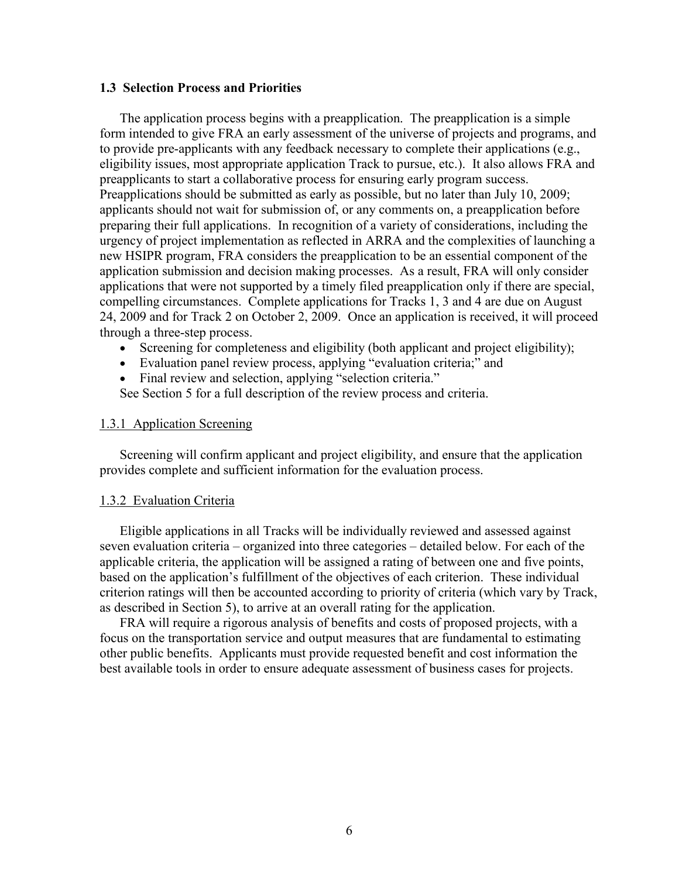#### **1.3 Selection Process and Priorities**

The application process begins with a preapplication. The preapplication is a simple form intended to give FRA an early assessment of the universe of projects and programs, and to provide pre-applicants with any feedback necessary to complete their applications (e.g., eligibility issues, most appropriate application Track to pursue, etc.). It also allows FRA and preapplicants to start a collaborative process for ensuring early program success. Preapplications should be submitted as early as possible, but no later than July 10, 2009; applicants should not wait for submission of, or any comments on, a preapplication before preparing their full applications. In recognition of a variety of considerations, including the urgency of project implementation as reflected in ARRA and the complexities of launching a new HSIPR program, FRA considers the preapplication to be an essential component of the application submission and decision making processes. As a result, FRA will only consider applications that were not supported by a timely filed preapplication only if there are special, compelling circumstances. Complete applications for Tracks 1, 3 and 4 are due on August 24, 2009 and for Track 2 on October 2, 2009. Once an application is received, it will proceed through a three-step process.

- Screening for completeness and eligibility (both applicant and project eligibility);
- Evaluation panel review process, applying "evaluation criteria;" and
- Final review and selection, applying "selection criteria."

See Section 5 for a full description of the review process and criteria.

#### 1.3.1 Application Screening

Screening will confirm applicant and project eligibility, and ensure that the application provides complete and sufficient information for the evaluation process.

#### 1.3.2 Evaluation Criteria

Eligible applications in all Tracks will be individually reviewed and assessed against seven evaluation criteria – organized into three categories – detailed below. For each of the applicable criteria, the application will be assigned a rating of between one and five points, based on the application's fulfillment of the objectives of each criterion. These individual criterion ratings will then be accounted according to priority of criteria (which vary by Track, as described in Section 5), to arrive at an overall rating for the application.

FRA will require a rigorous analysis of benefits and costs of proposed projects, with a focus on the transportation service and output measures that are fundamental to estimating other public benefits. Applicants must provide requested benefit and cost information the best available tools in order to ensure adequate assessment of business cases for projects.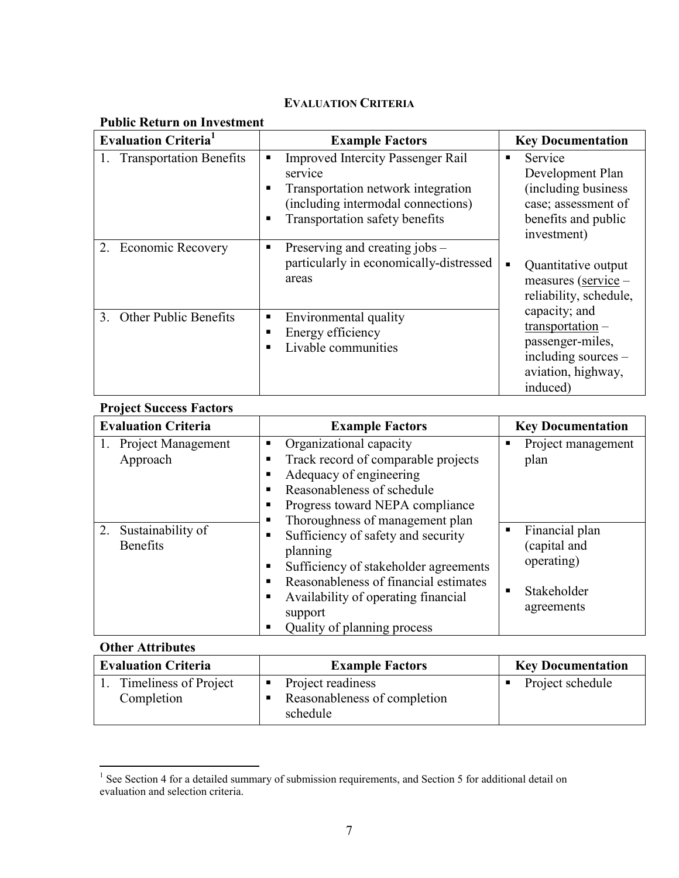## **EVALUATION CRITERIA**

| <b>Public Return on Investment</b>      |                                                                                                                                                                        |                                                                                                                  |  |  |  |  |  |  |  |  |
|-----------------------------------------|------------------------------------------------------------------------------------------------------------------------------------------------------------------------|------------------------------------------------------------------------------------------------------------------|--|--|--|--|--|--|--|--|
| <b>Evaluation Criteria</b> <sup>1</sup> | <b>Example Factors</b>                                                                                                                                                 | <b>Key Documentation</b>                                                                                         |  |  |  |  |  |  |  |  |
| 1. Transportation Benefits              | <b>Improved Intercity Passenger Rail</b><br>service<br>Transportation network integration<br>(including intermodal connections)<br>Transportation safety benefits<br>п | Service<br>Development Plan<br>(including business)<br>case; assessment of<br>benefits and public<br>investment) |  |  |  |  |  |  |  |  |
| <b>Economic Recovery</b>                | Preserving and creating jobs –<br>п<br>particularly in economically-distressed<br>areas                                                                                | Quantitative output<br>$\blacksquare$<br>measures (service -<br>reliability, schedule,                           |  |  |  |  |  |  |  |  |
| 3. Other Public Benefits                | Environmental quality<br>Energy efficiency<br>Livable communities                                                                                                      | capacity; and<br>$transportation -$<br>passenger-miles,<br>including sources -<br>aviation, highway,<br>induced) |  |  |  |  |  |  |  |  |

## **Project Success Factors**

| <b>Evaluation Criteria</b>                 | <b>Example Factors</b>                                                                                                                                                                                                                     | <b>Key Documentation</b>                                                  |
|--------------------------------------------|--------------------------------------------------------------------------------------------------------------------------------------------------------------------------------------------------------------------------------------------|---------------------------------------------------------------------------|
| <b>Project Management</b><br>Approach      | Organizational capacity<br>п<br>Track record of comparable projects<br>п<br>Adequacy of engineering<br>п<br>Reasonableness of schedule<br>п<br>Progress toward NEPA compliance<br>п<br>Thoroughness of management plan<br>п                | Project management<br>plan                                                |
| 2.<br>Sustainability of<br><b>Benefits</b> | Sufficiency of safety and security<br>п<br>planning<br>Sufficiency of stakeholder agreements<br>п<br>Reasonableness of financial estimates<br>п<br>Availability of operating financial<br>п<br>support<br>Quality of planning process<br>п | Financial plan<br>(capital and<br>operating)<br>Stakeholder<br>agreements |

# **Other Attributes**

| <b>Evaluation Criteria</b>          | <b>Example Factors</b>                                        | <b>Key Documentation</b> |  |  |
|-------------------------------------|---------------------------------------------------------------|--------------------------|--|--|
| Timeliness of Project<br>Completion | Project readiness<br>Reasonableness of completion<br>schedule | Project schedule         |  |  |

<sup>&</sup>lt;sup>1</sup> See Section 4 for a detailed summary of submission requirements, and Section 5 for additional detail on evaluation and selection criteria.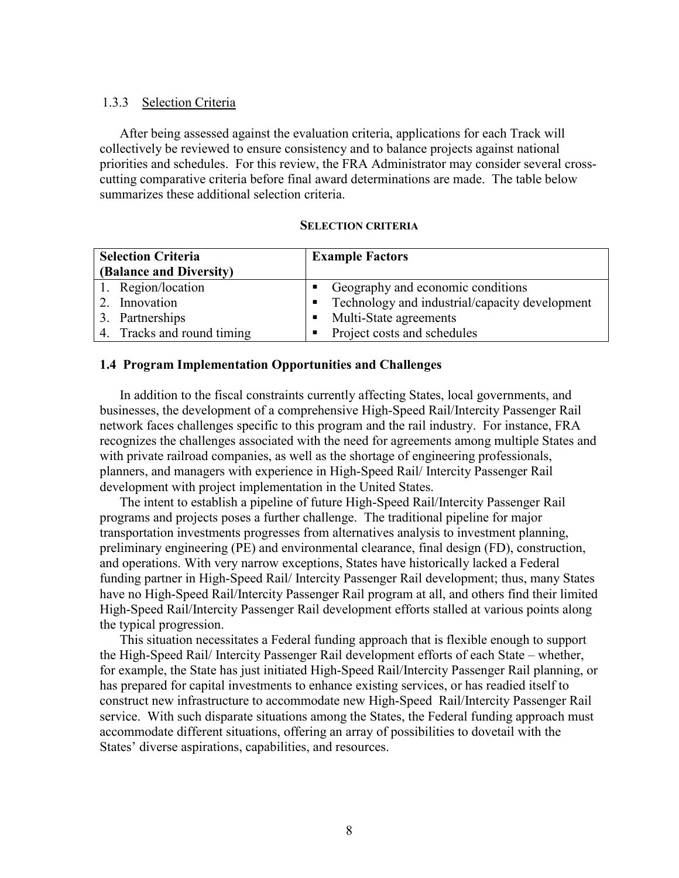### 1.3.3 Selection Criteria

After being assessed against the evaluation criteria, applications for each Track will collectively be reviewed to ensure consistency and to balance projects against national priorities and schedules. For this review, the FRA Administrator may consider several crosscutting comparative criteria before final award determinations are made. The table below summarizes these additional selection criteria.

#### **SELECTION CRITERIA**

| <b>Selection Criteria</b><br>(Balance and Diversity) | <b>Example Factors</b>                                           |
|------------------------------------------------------|------------------------------------------------------------------|
| 1. Region/location                                   | Geography and economic conditions<br>$\blacksquare$              |
| Innovation                                           | Technology and industrial/capacity development<br>$\blacksquare$ |
| 3. Partnerships                                      | Multi-State agreements<br>п.                                     |
| 4. Tracks and round timing                           | Project costs and schedules<br>$\blacksquare$                    |

### **1.4 Program Implementation Opportunities and Challenges**

In addition to the fiscal constraints currently affecting States, local governments, and businesses, the development of a comprehensive High-Speed Rail/Intercity Passenger Rail network faces challenges specific to this program and the rail industry. For instance, FRA recognizes the challenges associated with the need for agreements among multiple States and with private railroad companies, as well as the shortage of engineering professionals, planners, and managers with experience in High-Speed Rail/ Intercity Passenger Rail development with project implementation in the United States.

The intent to establish a pipeline of future High-Speed Rail/Intercity Passenger Rail programs and projects poses a further challenge. The traditional pipeline for major transportation investments progresses from alternatives analysis to investment planning, preliminary engineering (PE) and environmental clearance, final design (FD), construction, and operations. With very narrow exceptions, States have historically lacked a Federal funding partner in High-Speed Rail/ Intercity Passenger Rail development; thus, many States have no High-Speed Rail/Intercity Passenger Rail program at all, and others find their limited High-Speed Rail/Intercity Passenger Rail development efforts stalled at various points along the typical progression.

This situation necessitates a Federal funding approach that is flexible enough to support the High-Speed Rail/ Intercity Passenger Rail development efforts of each State – whether, for example, the State has just initiated High-Speed Rail/Intercity Passenger Rail planning, or has prepared for capital investments to enhance existing services, or has readied itself to construct new infrastructure to accommodate new High-Speed Rail/Intercity Passenger Rail service. With such disparate situations among the States, the Federal funding approach must accommodate different situations, offering an array of possibilities to dovetail with the States' diverse aspirations, capabilities, and resources.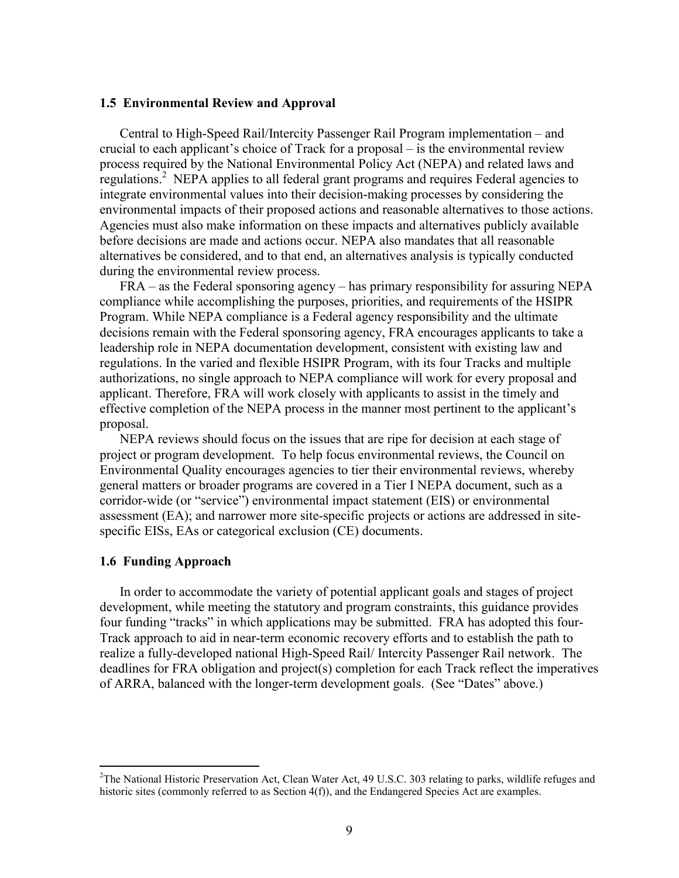#### **1.5 Environmental Review and Approval**

Central to High-Speed Rail/Intercity Passenger Rail Program implementation – and crucial to each applicant's choice of Track for a proposal – is the environmental review process required by the National Environmental Policy Act (NEPA) and related laws and regulations.<sup>2</sup> NEPA applies to all federal grant programs and requires Federal agencies to integrate environmental values into their decision-making processes by considering the environmental impacts of their proposed actions and reasonable alternatives to those actions. Agencies must also make information on these impacts and alternatives publicly available before decisions are made and actions occur. NEPA also mandates that all reasonable alternatives be considered, and to that end, an alternatives analysis is typically conducted during the environmental review process.

FRA – as the Federal sponsoring agency – has primary responsibility for assuring NEPA compliance while accomplishing the purposes, priorities, and requirements of the HSIPR Program. While NEPA compliance is a Federal agency responsibility and the ultimate decisions remain with the Federal sponsoring agency, FRA encourages applicants to take a leadership role in NEPA documentation development, consistent with existing law and regulations. In the varied and flexible HSIPR Program, with its four Tracks and multiple authorizations, no single approach to NEPA compliance will work for every proposal and applicant. Therefore, FRA will work closely with applicants to assist in the timely and effective completion of the NEPA process in the manner most pertinent to the applicant's proposal.

NEPA reviews should focus on the issues that are ripe for decision at each stage of project or program development. To help focus environmental reviews, the Council on Environmental Quality encourages agencies to tier their environmental reviews, whereby general matters or broader programs are covered in a Tier I NEPA document, such as a corridor-wide (or "service") environmental impact statement (EIS) or environmental assessment (EA); and narrower more site-specific projects or actions are addressed in sitespecific EISs, EAs or categorical exclusion (CE) documents.

#### **1.6 Funding Approach**

1

In order to accommodate the variety of potential applicant goals and stages of project development, while meeting the statutory and program constraints, this guidance provides four funding "tracks" in which applications may be submitted. FRA has adopted this four-Track approach to aid in near-term economic recovery efforts and to establish the path to realize a fully-developed national High-Speed Rail/ Intercity Passenger Rail network. The deadlines for FRA obligation and project(s) completion for each Track reflect the imperatives of ARRA, balanced with the longer-term development goals. (See "Dates" above.)

<sup>&</sup>lt;sup>2</sup>The National Historic Preservation Act, Clean Water Act, 49 U.S.C. 303 relating to parks, wildlife refuges and historic sites (commonly referred to as Section 4(f)), and the Endangered Species Act are examples.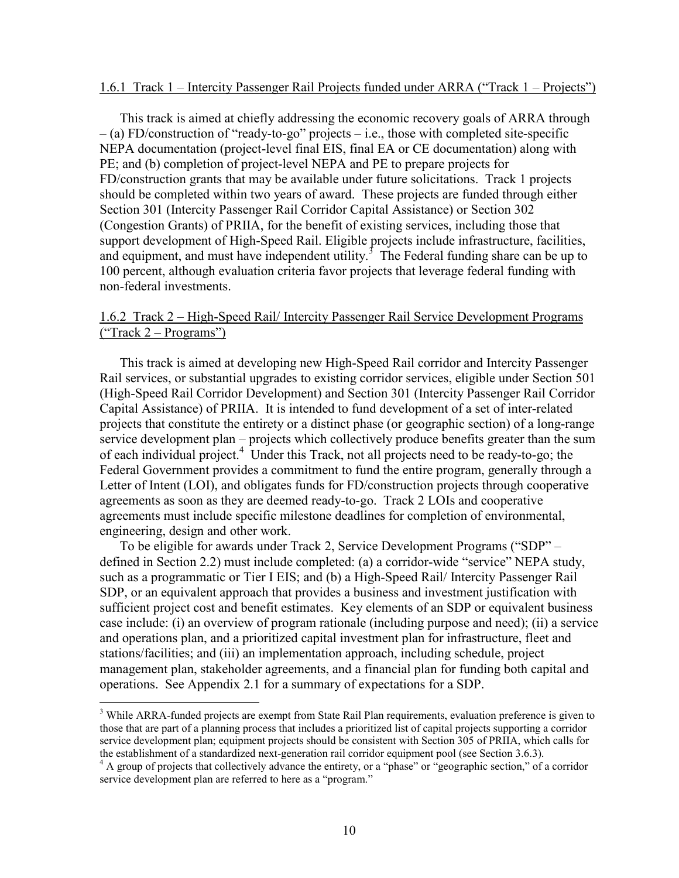#### 1.6.1 Track 1 – Intercity Passenger Rail Projects funded under ARRA ("Track 1 – Projects")

This track is aimed at chiefly addressing the economic recovery goals of ARRA through – (a) FD/construction of "ready-to-go" projects – i.e., those with completed site-specific NEPA documentation (project-level final EIS, final EA or CE documentation) along with PE; and (b) completion of project-level NEPA and PE to prepare projects for FD/construction grants that may be available under future solicitations. Track 1 projects should be completed within two years of award. These projects are funded through either Section 301 (Intercity Passenger Rail Corridor Capital Assistance) or Section 302 (Congestion Grants) of PRIIA, for the benefit of existing services, including those that support development of High-Speed Rail. Eligible projects include infrastructure, facilities, and equipment, and must have independent utility.<sup>3</sup> The Federal funding share can be up to 100 percent, although evaluation criteria favor projects that leverage federal funding with non-federal investments.

## 1.6.2 Track 2 – High-Speed Rail/ Intercity Passenger Rail Service Development Programs ("Track 2 – Programs")

This track is aimed at developing new High-Speed Rail corridor and Intercity Passenger Rail services, or substantial upgrades to existing corridor services, eligible under Section 501 (High-Speed Rail Corridor Development) and Section 301 (Intercity Passenger Rail Corridor Capital Assistance) of PRIIA. It is intended to fund development of a set of inter-related projects that constitute the entirety or a distinct phase (or geographic section) of a long-range service development plan – projects which collectively produce benefits greater than the sum of each individual project.<sup>4</sup> Under this Track, not all projects need to be ready-to-go; the Federal Government provides a commitment to fund the entire program, generally through a Letter of Intent (LOI), and obligates funds for FD/construction projects through cooperative agreements as soon as they are deemed ready-to-go. Track 2 LOIs and cooperative agreements must include specific milestone deadlines for completion of environmental, engineering, design and other work.

To be eligible for awards under Track 2, Service Development Programs ("SDP" – defined in Section 2.2) must include completed: (a) a corridor-wide "service" NEPA study, such as a programmatic or Tier I EIS; and (b) a High-Speed Rail/ Intercity Passenger Rail SDP, or an equivalent approach that provides a business and investment justification with sufficient project cost and benefit estimates. Key elements of an SDP or equivalent business case include: (i) an overview of program rationale (including purpose and need); (ii) a service and operations plan, and a prioritized capital investment plan for infrastructure, fleet and stations/facilities; and (iii) an implementation approach, including schedule, project management plan, stakeholder agreements, and a financial plan for funding both capital and operations. See Appendix 2.1 for a summary of expectations for a SDP.

 $\overline{a}$ 

<sup>&</sup>lt;sup>3</sup> While ARRA-funded projects are exempt from State Rail Plan requirements, evaluation preference is given to those that are part of a planning process that includes a prioritized list of capital projects supporting a corridor service development plan; equipment projects should be consistent with Section 305 of PRIIA, which calls for the establishment of a standardized next-generation rail corridor equipment pool (see Section 3.6.3).

<sup>&</sup>lt;sup>4</sup> A group of projects that collectively advance the entirety, or a "phase" or "geographic section," of a corridor service development plan are referred to here as a "program."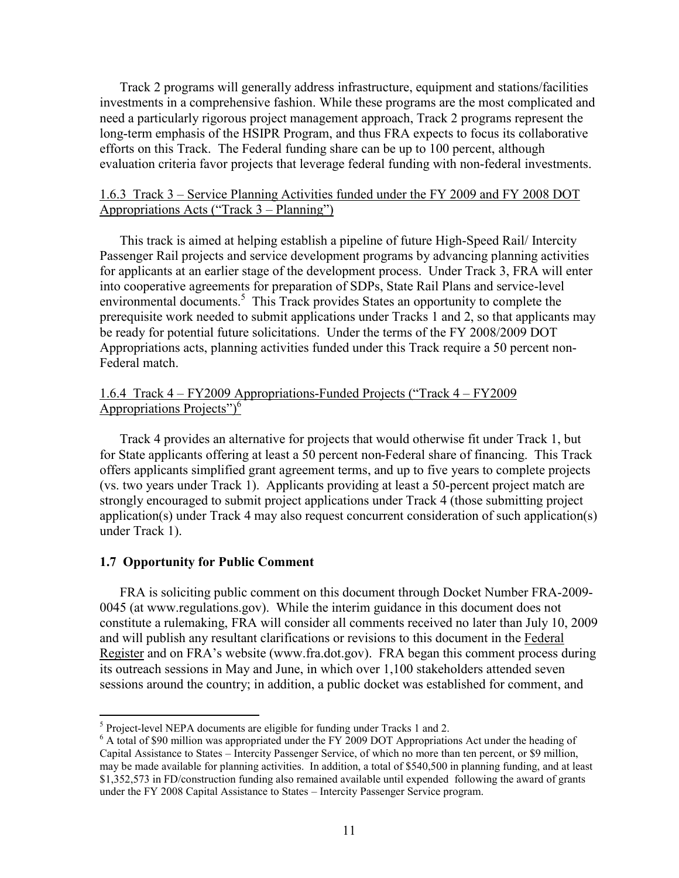Track 2 programs will generally address infrastructure, equipment and stations/facilities investments in a comprehensive fashion. While these programs are the most complicated and need a particularly rigorous project management approach, Track 2 programs represent the long-term emphasis of the HSIPR Program, and thus FRA expects to focus its collaborative efforts on this Track. The Federal funding share can be up to 100 percent, although evaluation criteria favor projects that leverage federal funding with non-federal investments.

## 1.6.3 Track 3 – Service Planning Activities funded under the FY 2009 and FY 2008 DOT Appropriations Acts ("Track 3 – Planning")

This track is aimed at helping establish a pipeline of future High-Speed Rail/ Intercity Passenger Rail projects and service development programs by advancing planning activities for applicants at an earlier stage of the development process. Under Track 3, FRA will enter into cooperative agreements for preparation of SDPs, State Rail Plans and service-level environmental documents.<sup>5</sup> This Track provides States an opportunity to complete the prerequisite work needed to submit applications under Tracks 1 and 2, so that applicants may be ready for potential future solicitations. Under the terms of the FY 2008/2009 DOT Appropriations acts, planning activities funded under this Track require a 50 percent non-Federal match.

## 1.6.4 Track 4 – FY2009 Appropriations-Funded Projects ("Track 4 – FY2009 Appropriations Projects")<sup>6</sup>

Track 4 provides an alternative for projects that would otherwise fit under Track 1, but for State applicants offering at least a 50 percent non-Federal share of financing. This Track offers applicants simplified grant agreement terms, and up to five years to complete projects (vs. two years under Track 1). Applicants providing at least a 50-percent project match are strongly encouraged to submit project applications under Track 4 (those submitting project application(s) under Track 4 may also request concurrent consideration of such application(s) under Track 1).

## **1.7 Opportunity for Public Comment**

 $\overline{a}$ 

FRA is soliciting public comment on this document through Docket Number FRA-2009- 0045 (at <www.regulations.gov>). While the interim guidance in this document does not constitute a rulemaking, FRA will consider all comments received no later than July 10, 2009 and will publish any resultant clarifications or revisions to this document in the Federal Register and on FRA's website [\(www.fra.dot.gov\)](www.fra.dot.gov). FRA began this comment process during its outreach sessions in May and June, in which over 1,100 stakeholders attended seven sessions around the country; in addition, a public docket was established for comment, and

<sup>&</sup>lt;sup>5</sup> Project-level NEPA documents are eligible for funding under Tracks 1 and 2.

<sup>&</sup>lt;sup>6</sup> A total of \$90 million was appropriated under the FY 2009 DOT Appropriations Act under the heading of Capital Assistance to States – Intercity Passenger Service, of which no more than ten percent, or \$9 million, may be made available for planning activities. In addition, a total of \$540,500 in planning funding, and at least \$1,352,573 in FD/construction funding also remained available until expended following the award of grants under the FY 2008 Capital Assistance to States – Intercity Passenger Service program.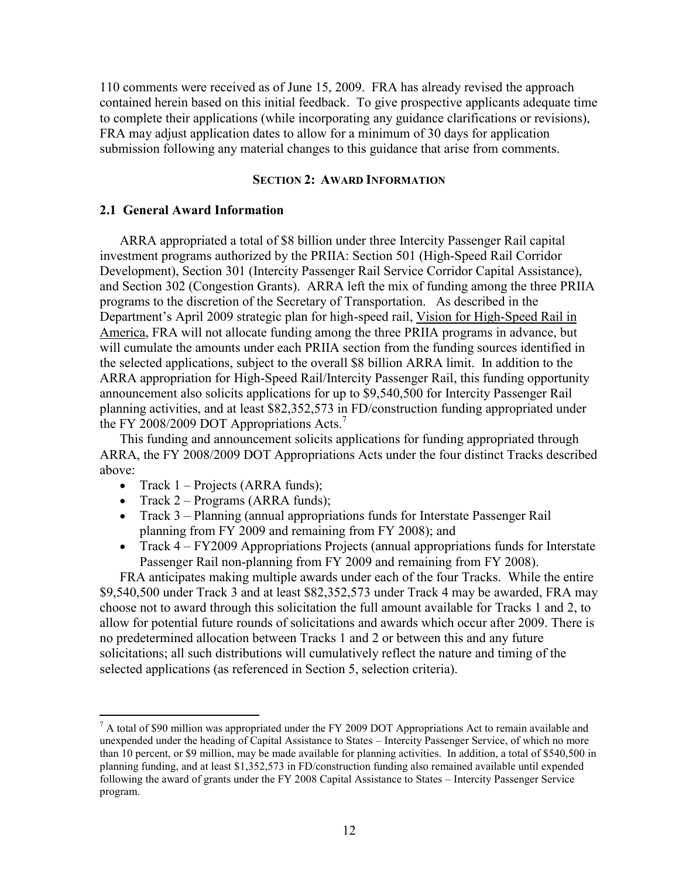110 comments were received as of June 15, 2009. FRA has already revised the approach contained herein based on this initial feedback. To give prospective applicants adequate time to complete their applications (while incorporating any guidance clarifications or revisions), FRA may adjust application dates to allow for a minimum of 30 days for application submission following any material changes to this guidance that arise from comments.

#### **SECTION 2: AWARD INFORMATION**

### **2.1 General Award Information**

ARRA appropriated a total of \$8 billion under three Intercity Passenger Rail capital investment programs authorized by the PRIIA: Section 501 (High-Speed Rail Corridor Development), Section 301 (Intercity Passenger Rail Service Corridor Capital Assistance), and Section 302 (Congestion Grants). ARRA left the mix of funding among the three PRIIA programs to the discretion of the Secretary of Transportation. As described in the Department's April 2009 strategic plan for high-speed rail, Vision for High-Speed Rail in America, FRA will not allocate funding among the three PRIIA programs in advance, but will cumulate the amounts under each PRIIA section from the funding sources identified in the selected applications, subject to the overall \$8 billion ARRA limit. In addition to the ARRA appropriation for High-Speed Rail/Intercity Passenger Rail, this funding opportunity announcement also solicits applications for up to \$9,540,500 for Intercity Passenger Rail planning activities, and at least \$82,352,573 in FD/construction funding appropriated under the FY 2008/2009 DOT Appropriations Acts.<sup>7</sup>

This funding and announcement solicits applications for funding appropriated through ARRA, the FY 2008/2009 DOT Appropriations Acts under the four distinct Tracks described above:

• Track  $1 -$  Projects (ARRA funds);

 $\overline{a}$ 

- Track  $2$  Programs (ARRA funds);
- Track 3 Planning (annual appropriations funds for Interstate Passenger Rail planning from FY 2009 and remaining from FY 2008); and
- Track  $4 FY2009$  Appropriations Projects (annual appropriations funds for Interstate Passenger Rail non-planning from FY 2009 and remaining from FY 2008).

FRA anticipates making multiple awards under each of the four Tracks. While the entire \$9,540,500 under Track 3 and at least \$82,352,573 under Track 4 may be awarded, FRA may choose not to award through this solicitation the full amount available for Tracks 1 and 2, to allow for potential future rounds of solicitations and awards which occur after 2009. There is no predetermined allocation between Tracks 1 and 2 or between this and any future solicitations; all such distributions will cumulatively reflect the nature and timing of the selected applications (as referenced in Section 5, selection criteria).

 $^7$  A total of \$90 million was appropriated under the FY 2009 DOT Appropriations Act to remain available and unexpended under the heading of Capital Assistance to States – Intercity Passenger Service, of which no more than 10 percent, or \$9 million, may be made available for planning activities. In addition, a total of \$540,500 in planning funding, and at least \$1,352,573 in FD/construction funding also remained available until expended following the award of grants under the FY 2008 Capital Assistance to States – Intercity Passenger Service program.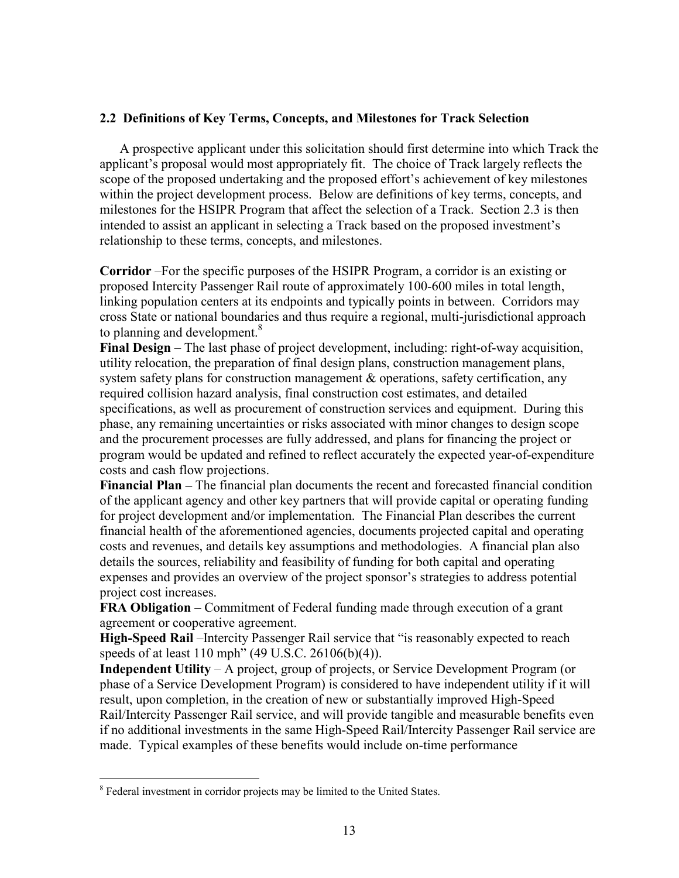## **2.2 Definitions of Key Terms, Concepts, and Milestones for Track Selection**

A prospective applicant under this solicitation should first determine into which Track the applicant's proposal would most appropriately fit. The choice of Track largely reflects the scope of the proposed undertaking and the proposed effort's achievement of key milestones within the project development process. Below are definitions of key terms, concepts, and milestones for the HSIPR Program that affect the selection of a Track. Section 2.3 is then intended to assist an applicant in selecting a Track based on the proposed investment's relationship to these terms, concepts, and milestones.

**Corridor** –For the specific purposes of the HSIPR Program, a corridor is an existing or proposed Intercity Passenger Rail route of approximately 100-600 miles in total length, linking population centers at its endpoints and typically points in between. Corridors may cross State or national boundaries and thus require a regional, multi-jurisdictional approach to planning and development.<sup>8</sup>

**Final Design** – The last phase of project development, including: right-of-way acquisition, utility relocation, the preparation of final design plans, construction management plans, system safety plans for construction management & operations, safety certification, any required collision hazard analysis, final construction cost estimates, and detailed specifications, as well as procurement of construction services and equipment. During this phase, any remaining uncertainties or risks associated with minor changes to design scope and the procurement processes are fully addressed, and plans for financing the project or program would be updated and refined to reflect accurately the expected year-of-expenditure costs and cash flow projections.

**Financial Plan –** The financial plan documents the recent and forecasted financial condition of the applicant agency and other key partners that will provide capital or operating funding for project development and/or implementation. The Financial Plan describes the current financial health of the aforementioned agencies, documents projected capital and operating costs and revenues, and details key assumptions and methodologies. A financial plan also details the sources, reliability and feasibility of funding for both capital and operating expenses and provides an overview of the project sponsor's strategies to address potential project cost increases.

**FRA Obligation** – Commitment of Federal funding made through execution of a grant agreement or cooperative agreement.

**High-Speed Rail** –Intercity Passenger Rail service that "is reasonably expected to reach speeds of at least 110 mph" (49 U.S.C. 26106(b)(4)).

**Independent Utility** – A project, group of projects, or Service Development Program (or phase of a Service Development Program) is considered to have independent utility if it will result, upon completion, in the creation of new or substantially improved High-Speed Rail/Intercity Passenger Rail service, and will provide tangible and measurable benefits even if no additional investments in the same High-Speed Rail/Intercity Passenger Rail service are made. Typical examples of these benefits would include on-time performance

1

<sup>&</sup>lt;sup>8</sup> Federal investment in corridor projects may be limited to the United States.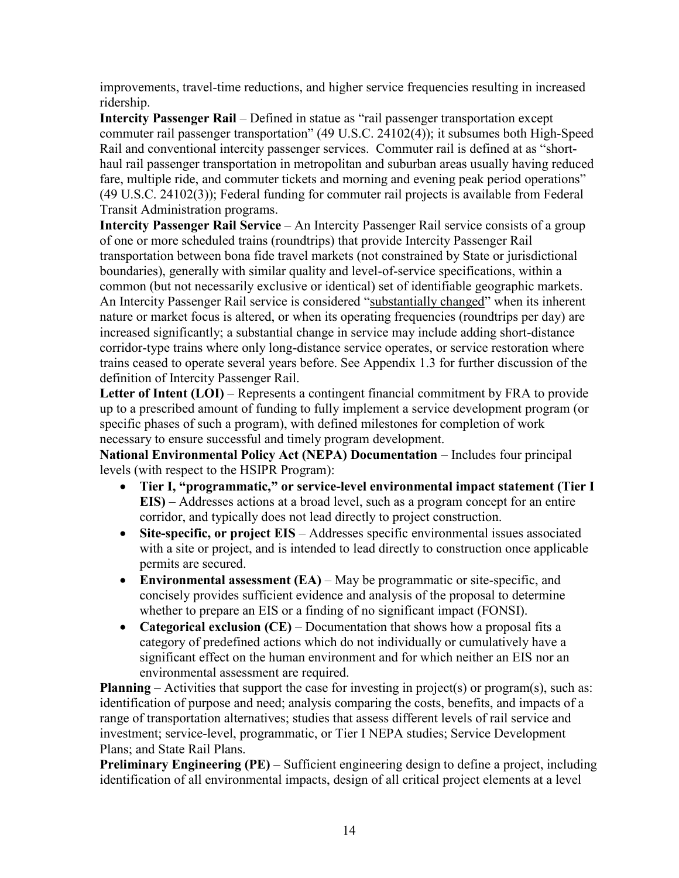improvements, travel-time reductions, and higher service frequencies resulting in increased ridership.

**Intercity Passenger Rail** – Defined in statue as "rail passenger transportation except commuter rail passenger transportation" (49 U.S.C. 24102(4)); it subsumes both High-Speed Rail and conventional intercity passenger services. Commuter rail is defined at as "shorthaul rail passenger transportation in metropolitan and suburban areas usually having reduced fare, multiple ride, and commuter tickets and morning and evening peak period operations" (49 U.S.C. 24102(3)); Federal funding for commuter rail projects is available from Federal Transit Administration programs.

**Intercity Passenger Rail Service** – An Intercity Passenger Rail service consists of a group of one or more scheduled trains (roundtrips) that provide Intercity Passenger Rail transportation between bona fide travel markets (not constrained by State or jurisdictional boundaries), generally with similar quality and level-of-service specifications, within a common (but not necessarily exclusive or identical) set of identifiable geographic markets. An Intercity Passenger Rail service is considered "substantially changed" when its inherent nature or market focus is altered, or when its operating frequencies (roundtrips per day) are increased significantly; a substantial change in service may include adding short-distance corridor-type trains where only long-distance service operates, or service restoration where trains ceased to operate several years before. See Appendix 1.3 for further discussion of the definition of Intercity Passenger Rail.

**Letter of Intent (LOI)** – Represents a contingent financial commitment by FRA to provide up to a prescribed amount of funding to fully implement a service development program (or specific phases of such a program), with defined milestones for completion of work necessary to ensure successful and timely program development.

**National Environmental Policy Act (NEPA) Documentation** – Includes four principal levels (with respect to the HSIPR Program):

- **Tier I, "programmatic," or service-level environmental impact statement (Tier I EIS)** – Addresses actions at a broad level, such as a program concept for an entire corridor, and typically does not lead directly to project construction.
- **Site-specific, or project EIS**  Addresses specific environmental issues associated with a site or project, and is intended to lead directly to construction once applicable permits are secured.
- Environmental assessment (EA) May be programmatic or site-specific, and concisely provides sufficient evidence and analysis of the proposal to determine whether to prepare an EIS or a finding of no significant impact (FONSI).
- **Categorical exclusion (CE)** Documentation that shows how a proposal fits a category of predefined actions which do not individually or cumulatively have a significant effect on the human environment and for which neither an EIS nor an environmental assessment are required.

**Planning** – Activities that support the case for investing in project(s) or program(s), such as: identification of purpose and need; analysis comparing the costs, benefits, and impacts of a range of transportation alternatives; studies that assess different levels of rail service and investment; service-level, programmatic, or Tier I NEPA studies; Service Development Plans; and State Rail Plans.

**Preliminary Engineering (PE)** – Sufficient engineering design to define a project, including identification of all environmental impacts, design of all critical project elements at a level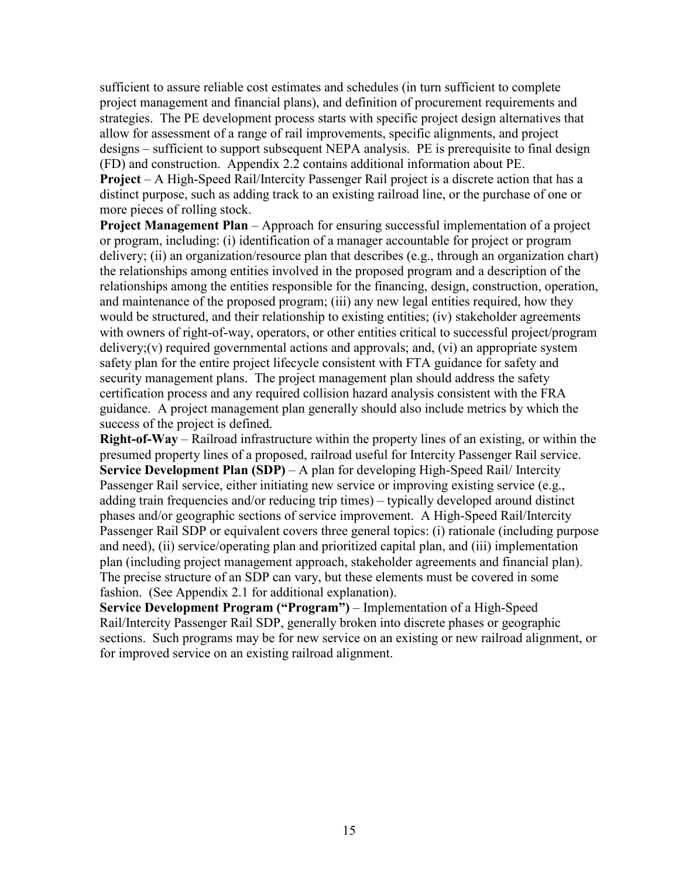sufficient to assure reliable cost estimates and schedules (in turn sufficient to complete project management and financial plans), and definition of procurement requirements and strategies. The PE development process starts with specific project design alternatives that allow for assessment of a range of rail improvements, specific alignments, and project designs – sufficient to support subsequent NEPA analysis. PE is prerequisite to final design (FD) and construction. Appendix 2.2 contains additional information about PE.

**Project** – A High-Speed Rail/Intercity Passenger Rail project is a discrete action that has a distinct purpose, such as adding track to an existing railroad line, or the purchase of one or more pieces of rolling stock.

**Project Management Plan** – Approach for ensuring successful implementation of a project or program, including: (i) identification of a manager accountable for project or program delivery; (ii) an organization/resource plan that describes (e.g., through an organization chart) the relationships among entities involved in the proposed program and a description of the relationships among the entities responsible for the financing, design, construction, operation, and maintenance of the proposed program; (iii) any new legal entities required, how they would be structured, and their relationship to existing entities; (iv) stakeholder agreements with owners of right-of-way, operators, or other entities critical to successful project/program delivery; $(v)$  required governmental actions and approvals; and,  $(vi)$  an appropriate system safety plan for the entire project lifecycle consistent with FTA guidance for safety and security management plans. The project management plan should address the safety certification process and any required collision hazard analysis consistent with the FRA guidance. A project management plan generally should also include metrics by which the success of the project is defined.

**Right-of-Way** – Railroad infrastructure within the property lines of an existing, or within the presumed property lines of a proposed, railroad useful for Intercity Passenger Rail service. **Service Development Plan (SDP)** – A plan for developing High-Speed Rail/ Intercity Passenger Rail service, either initiating new service or improving existing service (e.g., adding train frequencies and/or reducing trip times) – typically developed around distinct phases and/or geographic sections of service improvement. A High-Speed Rail/Intercity Passenger Rail SDP or equivalent covers three general topics: (i) rationale (including purpose and need), (ii) service/operating plan and prioritized capital plan, and (iii) implementation plan (including project management approach, stakeholder agreements and financial plan). The precise structure of an SDP can vary, but these elements must be covered in some fashion. (See Appendix 2.1 for additional explanation).

**Service Development Program ("Program")** – Implementation of a High-Speed Rail/Intercity Passenger Rail SDP, generally broken into discrete phases or geographic sections. Such programs may be for new service on an existing or new railroad alignment, or for improved service on an existing railroad alignment.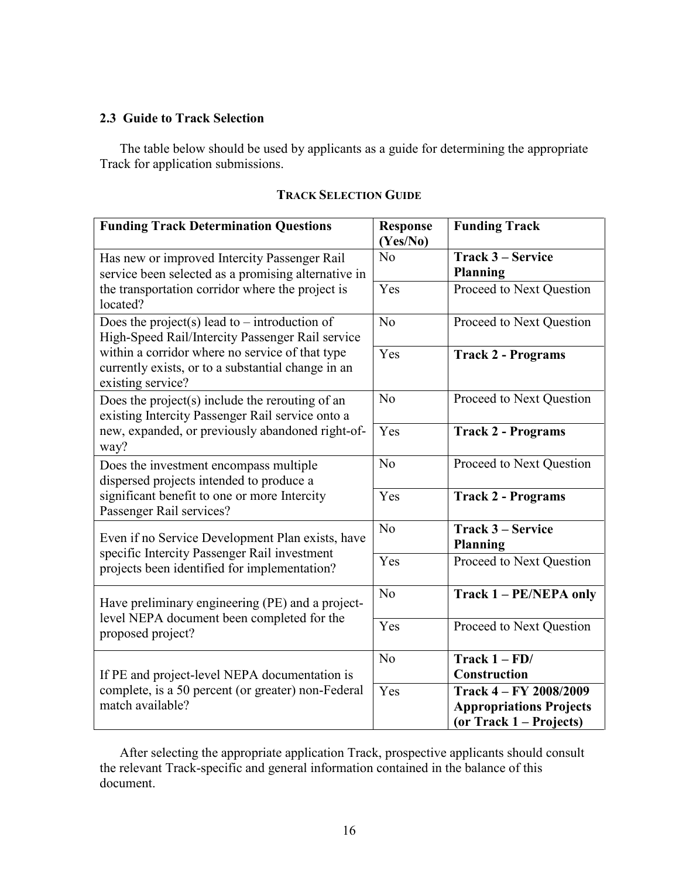## **2.3 Guide to Track Selection**

The table below should be used by applicants as a guide for determining the appropriate Track for application submissions.

| <b>Funding Track Determination Questions</b>                                                                               | <b>Response</b><br>(Yes/No) | <b>Funding Track</b>                                                                  |
|----------------------------------------------------------------------------------------------------------------------------|-----------------------------|---------------------------------------------------------------------------------------|
| Has new or improved Intercity Passenger Rail<br>service been selected as a promising alternative in                        | No                          | Track 3 – Service<br><b>Planning</b>                                                  |
| the transportation corridor where the project is<br>located?                                                               | Yes                         | Proceed to Next Question                                                              |
| Does the project(s) lead to – introduction of<br>High-Speed Rail/Intercity Passenger Rail service                          | N <sub>o</sub>              | Proceed to Next Question                                                              |
| within a corridor where no service of that type<br>currently exists, or to a substantial change in an<br>existing service? | Yes                         | <b>Track 2 - Programs</b>                                                             |
| Does the project(s) include the rerouting of an<br>existing Intercity Passenger Rail service onto a                        | No                          | Proceed to Next Question                                                              |
| new, expanded, or previously abandoned right-of-<br>way?                                                                   | Yes                         | <b>Track 2 - Programs</b>                                                             |
| Does the investment encompass multiple<br>dispersed projects intended to produce a                                         | N <sub>o</sub>              | Proceed to Next Question                                                              |
| significant benefit to one or more Intercity<br>Passenger Rail services?                                                   | Yes                         | <b>Track 2 - Programs</b>                                                             |
| Even if no Service Development Plan exists, have                                                                           | No                          | Track 3 – Service<br><b>Planning</b>                                                  |
| specific Intercity Passenger Rail investment<br>projects been identified for implementation?                               | Yes                         | Proceed to Next Question                                                              |
| Have preliminary engineering (PE) and a project-                                                                           | No                          | Track 1 - PE/NEPA only                                                                |
| level NEPA document been completed for the<br>proposed project?                                                            | Yes                         | Proceed to Next Question                                                              |
| If PE and project-level NEPA documentation is                                                                              | N <sub>o</sub>              | Track $1 - \overline{FD}$<br>Construction                                             |
| complete, is a 50 percent (or greater) non-Federal<br>match available?                                                     | Yes                         | Track 4 – FY 2008/2009<br><b>Appropriations Projects</b><br>(or Track $1 -$ Projects) |

## **TRACK SELECTION GUIDE**

After selecting the appropriate application Track, prospective applicants should consult the relevant Track-specific and general information contained in the balance of this document.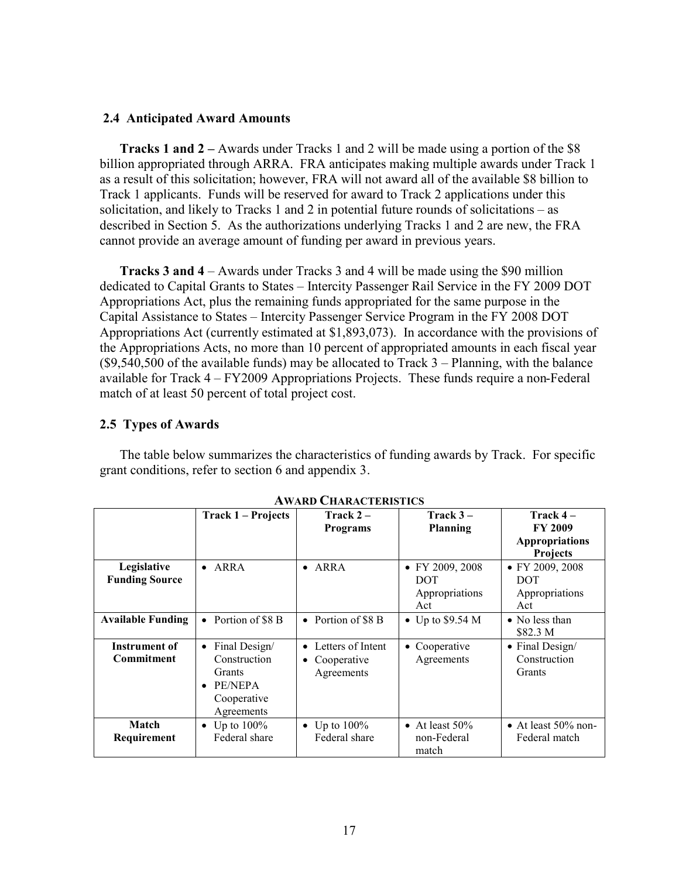## **2.4 Anticipated Award Amounts**

**Tracks 1 and 2 –** Awards under Tracks 1 and 2 will be made using a portion of the \$8 billion appropriated through ARRA. FRA anticipates making multiple awards under Track 1 as a result of this solicitation; however, FRA will not award all of the available \$8 billion to Track 1 applicants. Funds will be reserved for award to Track 2 applications under this solicitation, and likely to Tracks 1 and 2 in potential future rounds of solicitations – as described in Section 5. As the authorizations underlying Tracks 1 and 2 are new, the FRA cannot provide an average amount of funding per award in previous years.

**Tracks 3 and 4** – Awards under Tracks 3 and 4 will be made using the \$90 million dedicated to Capital Grants to States – Intercity Passenger Rail Service in the FY 2009 DOT Appropriations Act, plus the remaining funds appropriated for the same purpose in the Capital Assistance to States – Intercity Passenger Service Program in the FY 2008 DOT Appropriations Act (currently estimated at \$1,893,073). In accordance with the provisions of the Appropriations Acts, no more than 10 percent of appropriated amounts in each fiscal year  $(\$9,540,500$  of the available funds) may be allocated to Track  $3 -$ Planning, with the balance available for Track 4 – FY2009 Appropriations Projects. These funds require a non-Federal match of at least 50 percent of total project cost.

## **2.5 Types of Awards**

The table below summarizes the characteristics of funding awards by Track. For specific grant conditions, refer to section 6 and appendix 3.

|                                      | Track 1 – Projects                                                                                        | Track $2-$<br><b>Programs</b>                               | Track $3-$<br><b>Planning</b>                          | Track $4-$<br><b>FY 2009</b><br><b>Appropriations</b><br><b>Projects</b> |
|--------------------------------------|-----------------------------------------------------------------------------------------------------------|-------------------------------------------------------------|--------------------------------------------------------|--------------------------------------------------------------------------|
| Legislative<br><b>Funding Source</b> | $\bullet$ ARRA                                                                                            | $\bullet$ ARRA                                              | • FY 2009, 2008<br><b>DOT</b><br>Appropriations<br>Act | • FY 2009, 2008<br><b>DOT</b><br>Appropriations<br>Act                   |
| <b>Available Funding</b>             | • Portion of $\$8B$                                                                                       | • Portion of $\$8B$                                         | $\bullet$ Up to \$9.54 M                               | $\bullet$ No less than<br>\$82.3 M                                       |
| Instrument of<br><b>Commitment</b>   | Final Design/<br>$\bullet$<br>Construction<br>Grants<br>PE/NEPA<br>$\bullet$<br>Cooperative<br>Agreements | Letters of Intent<br>$\bullet$<br>Cooperative<br>Agreements | • Cooperative<br>Agreements                            | • Final Design/<br>Construction<br>Grants                                |
| Match<br>Requirement                 | • Up to $100\%$<br>Federal share                                                                          | Up to $100\%$<br>Federal share                              | • At least $50\%$<br>non-Federal<br>match              | • At least $50\%$ non-<br>Federal match                                  |

**AWARD CHARACTERISTICS**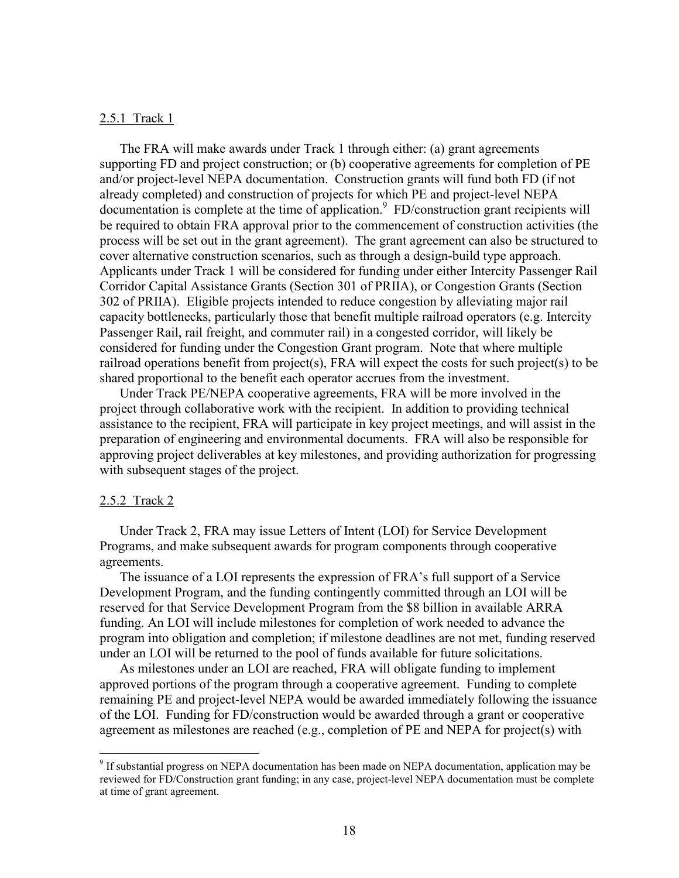#### 2.5.1 Track 1

The FRA will make awards under Track 1 through either: (a) grant agreements supporting FD and project construction; or (b) cooperative agreements for completion of PE and/or project-level NEPA documentation. Construction grants will fund both FD (if not already completed) and construction of projects for which PE and project-level NEPA documentation is complete at the time of application.<sup>9</sup> FD/construction grant recipients will be required to obtain FRA approval prior to the commencement of construction activities (the process will be set out in the grant agreement). The grant agreement can also be structured to cover alternative construction scenarios, such as through a design-build type approach. Applicants under Track 1 will be considered for funding under either Intercity Passenger Rail Corridor Capital Assistance Grants (Section 301 of PRIIA), or Congestion Grants (Section 302 of PRIIA). Eligible projects intended to reduce congestion by alleviating major rail capacity bottlenecks, particularly those that benefit multiple railroad operators (e.g. Intercity Passenger Rail, rail freight, and commuter rail) in a congested corridor, will likely be considered for funding under the Congestion Grant program. Note that where multiple railroad operations benefit from project(s), FRA will expect the costs for such project(s) to be shared proportional to the benefit each operator accrues from the investment.

Under Track PE/NEPA cooperative agreements, FRA will be more involved in the project through collaborative work with the recipient. In addition to providing technical assistance to the recipient, FRA will participate in key project meetings, and will assist in the preparation of engineering and environmental documents. FRA will also be responsible for approving project deliverables at key milestones, and providing authorization for progressing with subsequent stages of the project.

#### 2.5.2 Track 2

 $\overline{a}$ 

Under Track 2, FRA may issue Letters of Intent (LOI) for Service Development Programs, and make subsequent awards for program components through cooperative agreements.

The issuance of a LOI represents the expression of FRA's full support of a Service Development Program, and the funding contingently committed through an LOI will be reserved for that Service Development Program from the \$8 billion in available ARRA funding. An LOI will include milestones for completion of work needed to advance the program into obligation and completion; if milestone deadlines are not met, funding reserved under an LOI will be returned to the pool of funds available for future solicitations.

As milestones under an LOI are reached, FRA will obligate funding to implement approved portions of the program through a cooperative agreement. Funding to complete remaining PE and project-level NEPA would be awarded immediately following the issuance of the LOI. Funding for FD/construction would be awarded through a grant or cooperative agreement as milestones are reached (e.g., completion of PE and NEPA for project(s) with

<sup>&</sup>lt;sup>9</sup> If substantial progress on NEPA documentation has been made on NEPA documentation, application may be reviewed for FD/Construction grant funding; in any case, project-level NEPA documentation must be complete at time of grant agreement.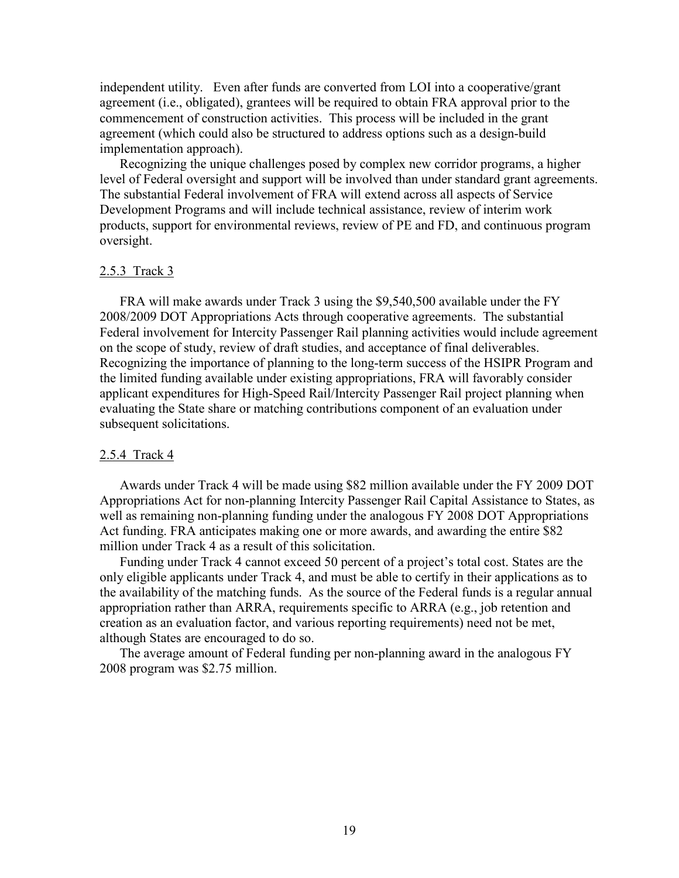independent utility. Even after funds are converted from LOI into a cooperative/grant agreement (i.e., obligated), grantees will be required to obtain FRA approval prior to the commencement of construction activities. This process will be included in the grant agreement (which could also be structured to address options such as a design-build implementation approach).

Recognizing the unique challenges posed by complex new corridor programs, a higher level of Federal oversight and support will be involved than under standard grant agreements. The substantial Federal involvement of FRA will extend across all aspects of Service Development Programs and will include technical assistance, review of interim work products, support for environmental reviews, review of PE and FD, and continuous program oversight.

#### 2.5.3 Track 3

FRA will make awards under Track 3 using the \$9,540,500 available under the FY 2008/2009 DOT Appropriations Acts through cooperative agreements. The substantial Federal involvement for Intercity Passenger Rail planning activities would include agreement on the scope of study, review of draft studies, and acceptance of final deliverables. Recognizing the importance of planning to the long-term success of the HSIPR Program and the limited funding available under existing appropriations, FRA will favorably consider applicant expenditures for High-Speed Rail/Intercity Passenger Rail project planning when evaluating the State share or matching contributions component of an evaluation under subsequent solicitations.

#### 2.5.4 Track 4

Awards under Track 4 will be made using \$82 million available under the FY 2009 DOT Appropriations Act for non-planning Intercity Passenger Rail Capital Assistance to States, as well as remaining non-planning funding under the analogous FY 2008 DOT Appropriations Act funding. FRA anticipates making one or more awards, and awarding the entire \$82 million under Track 4 as a result of this solicitation.

Funding under Track 4 cannot exceed 50 percent of a project's total cost. States are the only eligible applicants under Track 4, and must be able to certify in their applications as to the availability of the matching funds. As the source of the Federal funds is a regular annual appropriation rather than ARRA, requirements specific to ARRA (e.g., job retention and creation as an evaluation factor, and various reporting requirements) need not be met, although States are encouraged to do so.

The average amount of Federal funding per non-planning award in the analogous FY 2008 program was \$2.75 million.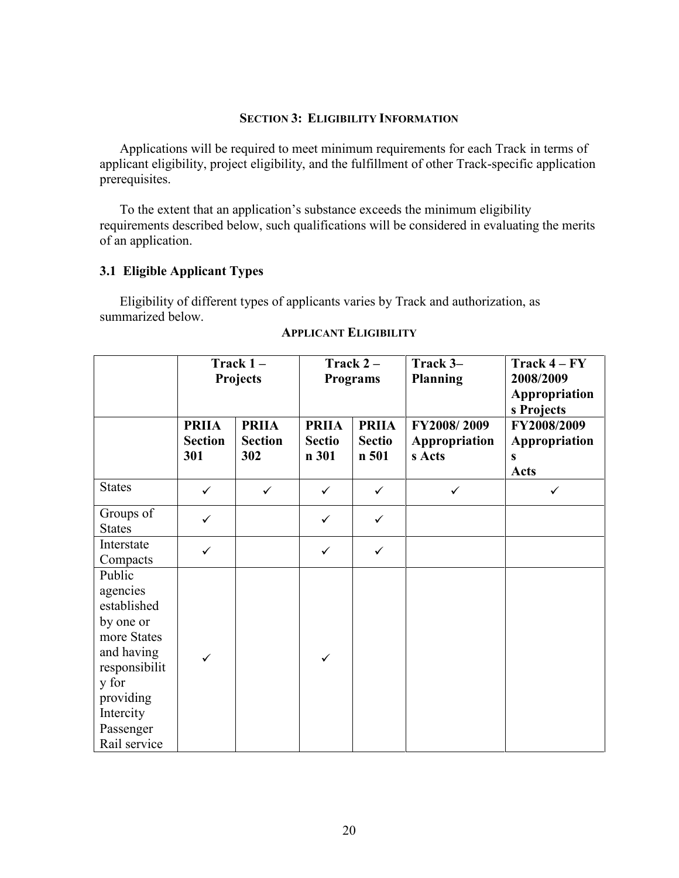### **SECTION 3: ELIGIBILITY INFORMATION**

Applications will be required to meet minimum requirements for each Track in terms of applicant eligibility, project eligibility, and the fulfillment of other Track-specific application prerequisites.

To the extent that an application's substance exceeds the minimum eligibility requirements described below, such qualifications will be considered in evaluating the merits of an application.

## **3.1 Eligible Applicant Types**

Eligibility of different types of applicants varies by Track and authorization, as summarized below.

|                                                                                                                                                              |                                       | Track $1-$<br>Projects                |                                        | Track $2-$<br><b>Programs</b>          | Track 3-<br><b>Planning</b>            | $\text{Track } 4 - \text{FY}$<br>2008/2009<br>Appropriation<br>s Projects |  |
|--------------------------------------------------------------------------------------------------------------------------------------------------------------|---------------------------------------|---------------------------------------|----------------------------------------|----------------------------------------|----------------------------------------|---------------------------------------------------------------------------|--|
|                                                                                                                                                              | <b>PRIIA</b><br><b>Section</b><br>301 | <b>PRIIA</b><br><b>Section</b><br>302 | <b>PRIIA</b><br><b>Sectio</b><br>n 301 | <b>PRIIA</b><br><b>Sectio</b><br>n 501 | FY2008/2009<br>Appropriation<br>s Acts | FY2008/2009<br>Appropriation<br>S<br><b>Acts</b>                          |  |
| <b>States</b>                                                                                                                                                | $\checkmark$                          | $\checkmark$                          | $\checkmark$                           | $\checkmark$                           | $\checkmark$                           | $\checkmark$                                                              |  |
| Groups of<br><b>States</b>                                                                                                                                   | $\checkmark$                          |                                       | $\checkmark$                           | $\checkmark$                           |                                        |                                                                           |  |
| Interstate<br>Compacts                                                                                                                                       | $\checkmark$                          |                                       | $\checkmark$                           | $\checkmark$                           |                                        |                                                                           |  |
| Public<br>agencies<br>established<br>by one or<br>more States<br>and having<br>responsibilit<br>y for<br>providing<br>Intercity<br>Passenger<br>Rail service | $\checkmark$                          |                                       | $\checkmark$                           |                                        |                                        |                                                                           |  |

#### **APPLICANT ELIGIBILITY**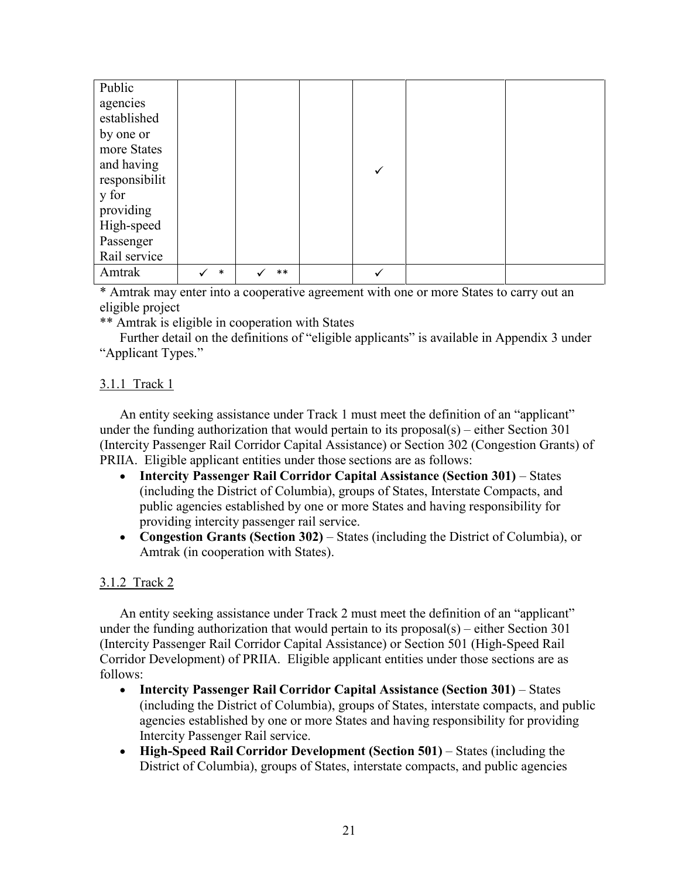| Public        |        |       |   |  |
|---------------|--------|-------|---|--|
| agencies      |        |       |   |  |
| established   |        |       |   |  |
| by one or     |        |       |   |  |
| more States   |        |       |   |  |
| and having    |        |       | ✓ |  |
| responsibilit |        |       |   |  |
| y for         |        |       |   |  |
| providing     |        |       |   |  |
| High-speed    |        |       |   |  |
| Passenger     |        |       |   |  |
| Rail service  |        |       |   |  |
| Amtrak        | $\ast$ | $***$ |   |  |

\* Amtrak may enter into a cooperative agreement with one or more States to carry out an eligible project

\*\* Amtrak is eligible in cooperation with States

Further detail on the definitions of "eligible applicants" is available in Appendix 3 under "Applicant Types."

## 3.1.1 Track 1

An entity seeking assistance under Track 1 must meet the definition of an "applicant" under the funding authorization that would pertain to its proposal(s) – either Section 301 (Intercity Passenger Rail Corridor Capital Assistance) or Section 302 (Congestion Grants) of PRIIA. Eligible applicant entities under those sections are as follows:

- **Intercity Passenger Rail Corridor Capital Assistance (Section 301)** States (including the District of Columbia), groups of States, Interstate Compacts, and public agencies established by one or more States and having responsibility for providing intercity passenger rail service.
- **Congestion Grants (Section 302)** States (including the District of Columbia), or Amtrak (in cooperation with States).

## 3.1.2 Track 2

An entity seeking assistance under Track 2 must meet the definition of an "applicant" under the funding authorization that would pertain to its proposal(s) – either Section 301 (Intercity Passenger Rail Corridor Capital Assistance) or Section 501 (High-Speed Rail Corridor Development) of PRIIA. Eligible applicant entities under those sections are as follows:

- **Intercity Passenger Rail Corridor Capital Assistance (Section 301)** States (including the District of Columbia), groups of States, interstate compacts, and public agencies established by one or more States and having responsibility for providing Intercity Passenger Rail service.
- **High-Speed Rail Corridor Development (Section 501)** States (including the District of Columbia), groups of States, interstate compacts, and public agencies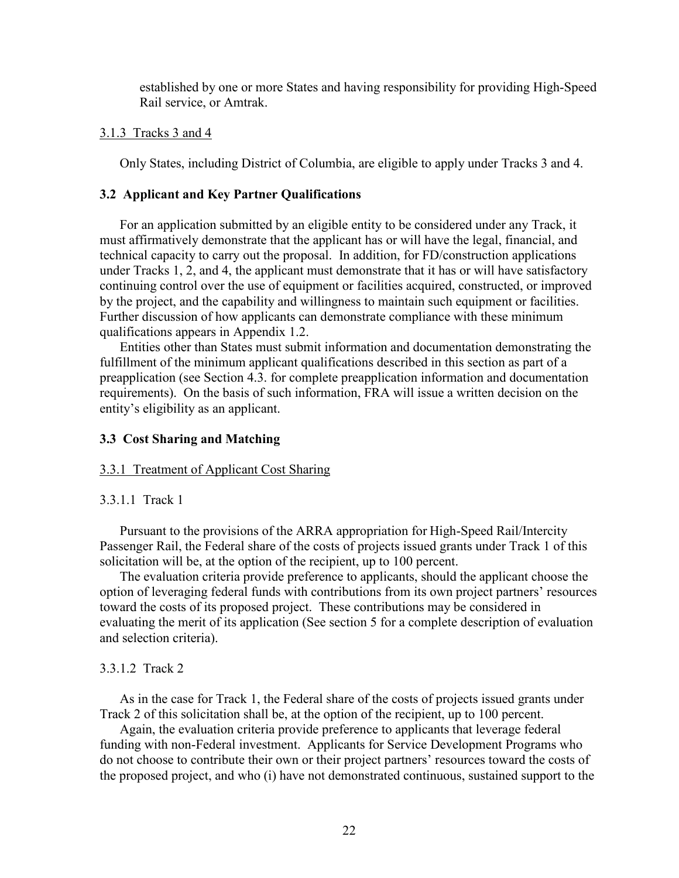established by one or more States and having responsibility for providing High-Speed Rail service, or Amtrak.

#### 3.1.3 Tracks 3 and 4

Only States, including District of Columbia, are eligible to apply under Tracks 3 and 4.

#### **3.2 Applicant and Key Partner Qualifications**

For an application submitted by an eligible entity to be considered under any Track, it must affirmatively demonstrate that the applicant has or will have the legal, financial, and technical capacity to carry out the proposal. In addition, for FD/construction applications under Tracks 1, 2, and 4, the applicant must demonstrate that it has or will have satisfactory continuing control over the use of equipment or facilities acquired, constructed, or improved by the project, and the capability and willingness to maintain such equipment or facilities. Further discussion of how applicants can demonstrate compliance with these minimum qualifications appears in Appendix 1.2.

Entities other than States must submit information and documentation demonstrating the fulfillment of the minimum applicant qualifications described in this section as part of a preapplication (see Section 4.3. for complete preapplication information and documentation requirements). On the basis of such information, FRA will issue a written decision on the entity's eligibility as an applicant.

### **3.3 Cost Sharing and Matching**

## 3.3.1 Treatment of Applicant Cost Sharing

#### 3.3.1.1 Track 1

Pursuant to the provisions of the ARRA appropriation for High-Speed Rail/Intercity Passenger Rail, the Federal share of the costs of projects issued grants under Track 1 of this solicitation will be, at the option of the recipient, up to 100 percent.

The evaluation criteria provide preference to applicants, should the applicant choose the option of leveraging federal funds with contributions from its own project partners' resources toward the costs of its proposed project. These contributions may be considered in evaluating the merit of its application (See section 5 for a complete description of evaluation and selection criteria).

#### 3.3.1.2 Track 2

As in the case for Track 1, the Federal share of the costs of projects issued grants under Track 2 of this solicitation shall be, at the option of the recipient, up to 100 percent.

Again, the evaluation criteria provide preference to applicants that leverage federal funding with non-Federal investment. Applicants for Service Development Programs who do not choose to contribute their own or their project partners' resources toward the costs of the proposed project, and who (i) have not demonstrated continuous, sustained support to the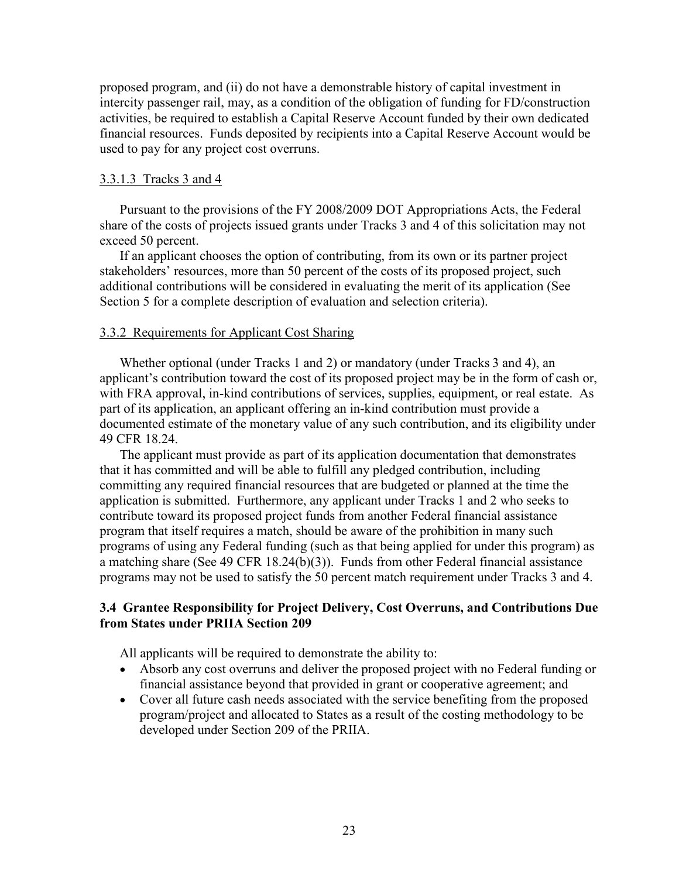proposed program, and (ii) do not have a demonstrable history of capital investment in intercity passenger rail, may, as a condition of the obligation of funding for FD/construction activities, be required to establish a Capital Reserve Account funded by their own dedicated financial resources. Funds deposited by recipients into a Capital Reserve Account would be used to pay for any project cost overruns.

## 3.3.1.3 Tracks 3 and 4

Pursuant to the provisions of the FY 2008/2009 DOT Appropriations Acts, the Federal share of the costs of projects issued grants under Tracks 3 and 4 of this solicitation may not exceed 50 percent.

If an applicant chooses the option of contributing, from its own or its partner project stakeholders' resources, more than 50 percent of the costs of its proposed project, such additional contributions will be considered in evaluating the merit of its application (See Section 5 for a complete description of evaluation and selection criteria).

## 3.3.2 Requirements for Applicant Cost Sharing

Whether optional (under Tracks 1 and 2) or mandatory (under Tracks 3 and 4), an applicant's contribution toward the cost of its proposed project may be in the form of cash or, with FRA approval, in-kind contributions of services, supplies, equipment, or real estate. As part of its application, an applicant offering an in-kind contribution must provide a documented estimate of the monetary value of any such contribution, and its eligibility under 49 CFR 18.24.

The applicant must provide as part of its application documentation that demonstrates that it has committed and will be able to fulfill any pledged contribution, including committing any required financial resources that are budgeted or planned at the time the application is submitted. Furthermore, any applicant under Tracks 1 and 2 who seeks to contribute toward its proposed project funds from another Federal financial assistance program that itself requires a match, should be aware of the prohibition in many such programs of using any Federal funding (such as that being applied for under this program) as a matching share (See 49 CFR 18.24(b)(3)). Funds from other Federal financial assistance programs may not be used to satisfy the 50 percent match requirement under Tracks 3 and 4.

## **3.4 Grantee Responsibility for Project Delivery, Cost Overruns, and Contributions Due from States under PRIIA Section 209**

All applicants will be required to demonstrate the ability to:

- Absorb any cost overruns and deliver the proposed project with no Federal funding or financial assistance beyond that provided in grant or cooperative agreement; and
- Cover all future cash needs associated with the service benefiting from the proposed program/project and allocated to States as a result of the costing methodology to be developed under Section 209 of the PRIIA.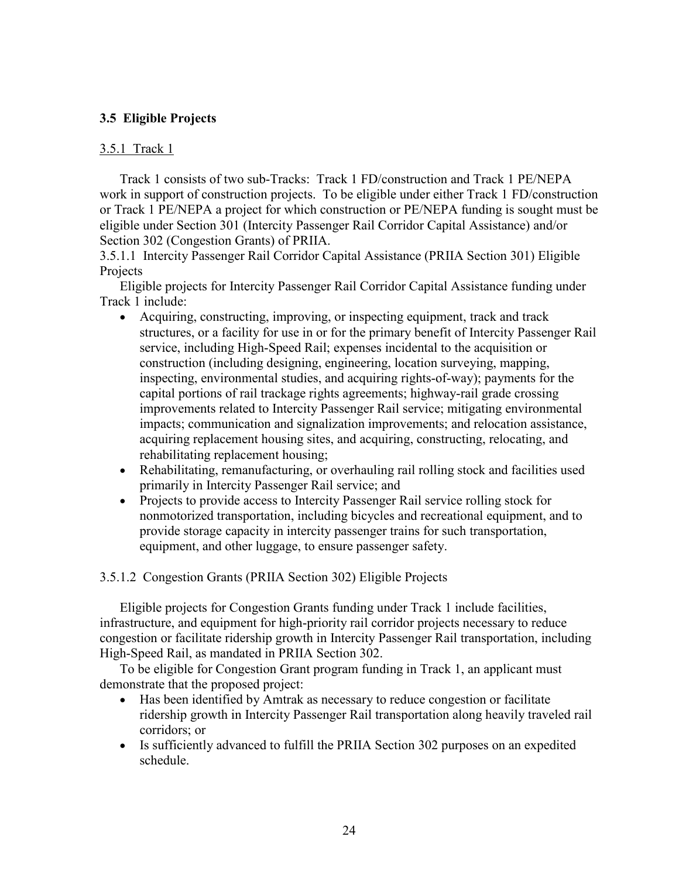## **3.5 Eligible Projects**

## 3.5.1 Track 1

Track 1 consists of two sub-Tracks: Track 1 FD/construction and Track 1 PE/NEPA work in support of construction projects. To be eligible under either Track 1 FD/construction or Track 1 PE/NEPA a project for which construction or PE/NEPA funding is sought must be eligible under Section 301 (Intercity Passenger Rail Corridor Capital Assistance) and/or Section 302 (Congestion Grants) of PRIIA.

3.5.1.1 Intercity Passenger Rail Corridor Capital Assistance (PRIIA Section 301) Eligible Projects

Eligible projects for Intercity Passenger Rail Corridor Capital Assistance funding under Track 1 include:

- Acquiring, constructing, improving, or inspecting equipment, track and track structures, or a facility for use in or for the primary benefit of Intercity Passenger Rail service, including High-Speed Rail; expenses incidental to the acquisition or construction (including designing, engineering, location surveying, mapping, inspecting, environmental studies, and acquiring rights-of-way); payments for the capital portions of rail trackage rights agreements; highway-rail grade crossing improvements related to Intercity Passenger Rail service; mitigating environmental impacts; communication and signalization improvements; and relocation assistance, acquiring replacement housing sites, and acquiring, constructing, relocating, and rehabilitating replacement housing;
- Rehabilitating, remanufacturing, or overhauling rail rolling stock and facilities used primarily in Intercity Passenger Rail service; and
- Projects to provide access to Intercity Passenger Rail service rolling stock for nonmotorized transportation, including bicycles and recreational equipment, and to provide storage capacity in intercity passenger trains for such transportation, equipment, and other luggage, to ensure passenger safety.

3.5.1.2 Congestion Grants (PRIIA Section 302) Eligible Projects

Eligible projects for Congestion Grants funding under Track 1 include facilities, infrastructure, and equipment for high-priority rail corridor projects necessary to reduce congestion or facilitate ridership growth in Intercity Passenger Rail transportation, including High-Speed Rail, as mandated in PRIIA Section 302.

To be eligible for Congestion Grant program funding in Track 1, an applicant must demonstrate that the proposed project:

- Has been identified by Amtrak as necessary to reduce congestion or facilitate ridership growth in Intercity Passenger Rail transportation along heavily traveled rail corridors; or
- Is sufficiently advanced to fulfill the PRIIA Section 302 purposes on an expedited schedule.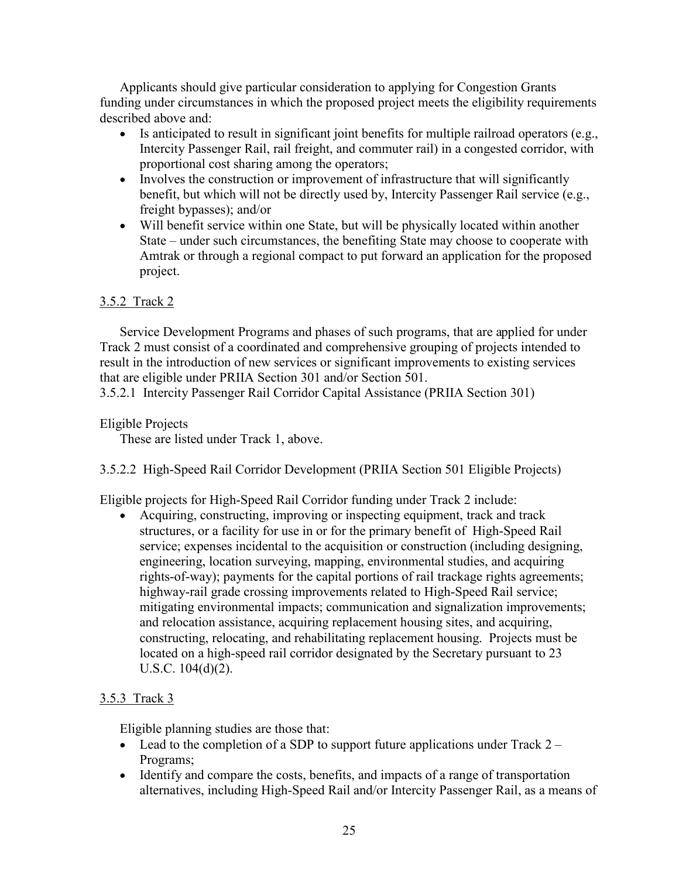Applicants should give particular consideration to applying for Congestion Grants funding under circumstances in which the proposed project meets the eligibility requirements described above and:

- $\bullet$  Is anticipated to result in significant joint benefits for multiple railroad operators (e.g., Intercity Passenger Rail, rail freight, and commuter rail) in a congested corridor, with proportional cost sharing among the operators;
- Involves the construction or improvement of infrastructure that will significantly benefit, but which will not be directly used by, Intercity Passenger Rail service (e.g., freight bypasses); and/or
- Will benefit service within one State, but will be physically located within another State – under such circumstances, the benefiting State may choose to cooperate with Amtrak or through a regional compact to put forward an application for the proposed project.

# 3.5.2 Track 2

Service Development Programs and phases of such programs, that are applied for under Track 2 must consist of a coordinated and comprehensive grouping of projects intended to result in the introduction of new services or significant improvements to existing services that are eligible under PRIIA Section 301 and/or Section 501.

3.5.2.1 Intercity Passenger Rail Corridor Capital Assistance (PRIIA Section 301)

# Eligible Projects

These are listed under Track 1, above.

# 3.5.2.2 High-Speed Rail Corridor Development (PRIIA Section 501 Eligible Projects)

Eligible projects for High-Speed Rail Corridor funding under Track 2 include:

 Acquiring, constructing, improving or inspecting equipment, track and track structures, or a facility for use in or for the primary benefit of High-Speed Rail service; expenses incidental to the acquisition or construction (including designing, engineering, location surveying, mapping, environmental studies, and acquiring rights-of-way); payments for the capital portions of rail trackage rights agreements; highway-rail grade crossing improvements related to High-Speed Rail service; mitigating environmental impacts; communication and signalization improvements; and relocation assistance, acquiring replacement housing sites, and acquiring, constructing, relocating, and rehabilitating replacement housing. Projects must be located on a high-speed rail corridor designated by the Secretary pursuant to 23 U.S.C. 104(d)(2).

# 3.5.3 Track 3

Eligible planning studies are those that:

- Lead to the completion of a SDP to support future applications under Track  $2 -$ Programs;
- Identify and compare the costs, benefits, and impacts of a range of transportation alternatives, including High-Speed Rail and/or Intercity Passenger Rail, as a means of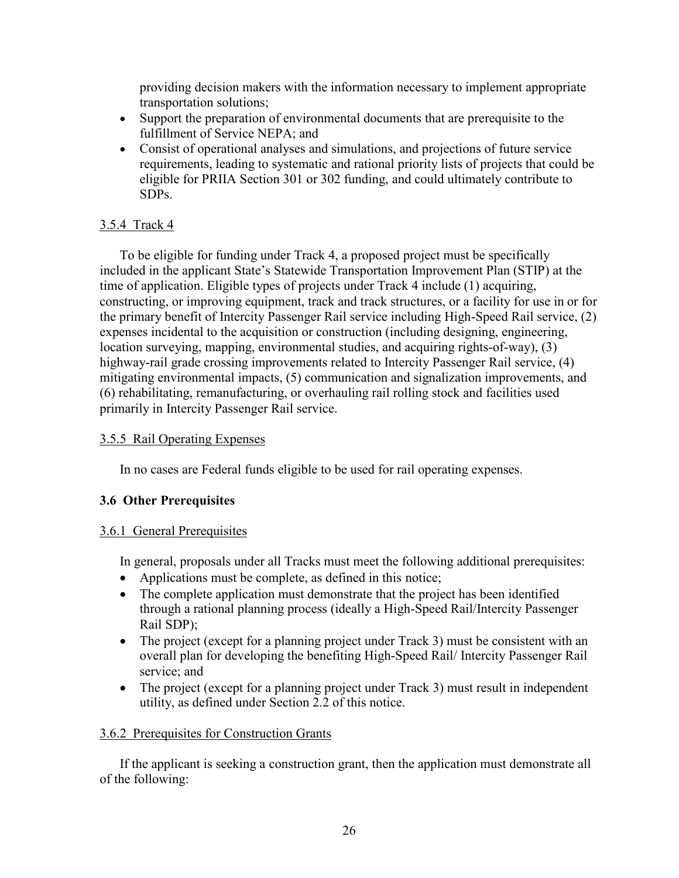providing decision makers with the information necessary to implement appropriate transportation solutions;

- Support the preparation of environmental documents that are prerequisite to the fulfillment of Service NEPA; and
- Consist of operational analyses and simulations, and projections of future service requirements, leading to systematic and rational priority lists of projects that could be eligible for PRIIA Section 301 or 302 funding, and could ultimately contribute to SDPs.

## 3.5.4 Track 4

To be eligible for funding under Track 4, a proposed project must be specifically included in the applicant State's Statewide Transportation Improvement Plan (STIP) at the time of application. Eligible types of projects under Track 4 include (1) acquiring, constructing, or improving equipment, track and track structures, or a facility for use in or for the primary benefit of Intercity Passenger Rail service including High-Speed Rail service, (2) expenses incidental to the acquisition or construction (including designing, engineering, location surveying, mapping, environmental studies, and acquiring rights-of-way), (3) highway-rail grade crossing improvements related to Intercity Passenger Rail service, (4) mitigating environmental impacts, (5) communication and signalization improvements, and (6) rehabilitating, remanufacturing, or overhauling rail rolling stock and facilities used primarily in Intercity Passenger Rail service.

## 3.5.5 Rail Operating Expenses

In no cases are Federal funds eligible to be used for rail operating expenses.

# **3.6 Other Prerequisites**

## 3.6.1 General Prerequisites

In general, proposals under all Tracks must meet the following additional prerequisites:

- Applications must be complete, as defined in this notice;
- The complete application must demonstrate that the project has been identified through a rational planning process (ideally a High-Speed Rail/Intercity Passenger Rail SDP);
- The project (except for a planning project under Track 3) must be consistent with an overall plan for developing the benefiting High-Speed Rail/ Intercity Passenger Rail service; and
- The project (except for a planning project under Track 3) must result in independent utility, as defined under Section 2.2 of this notice.

## 3.6.2 Prerequisites for Construction Grants

If the applicant is seeking a construction grant, then the application must demonstrate all of the following: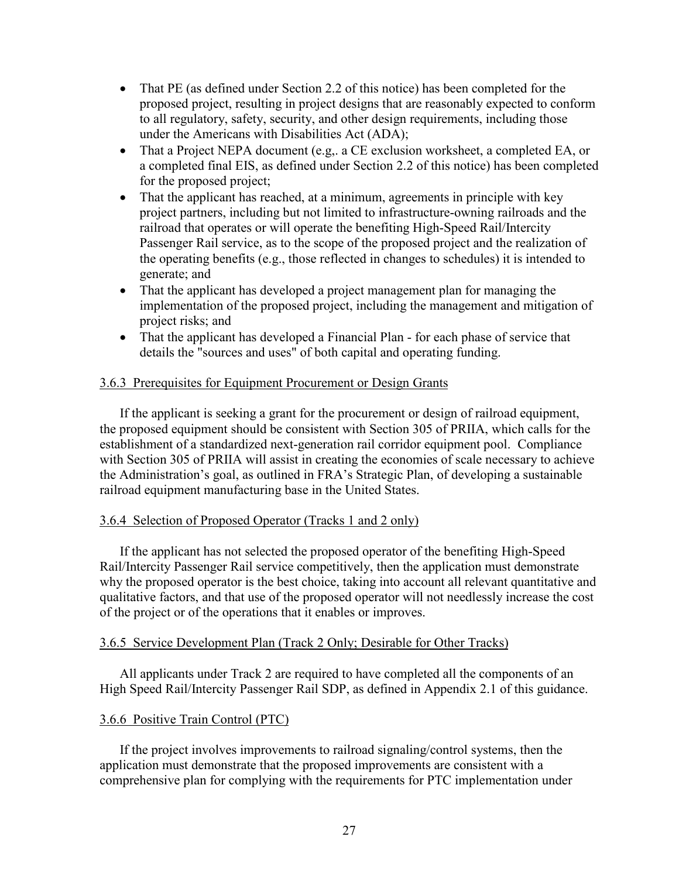- That PE (as defined under Section 2.2 of this notice) has been completed for the proposed project, resulting in project designs that are reasonably expected to conform to all regulatory, safety, security, and other design requirements, including those under the Americans with Disabilities Act (ADA);
- That a Project NEPA document (e.g., a CE exclusion worksheet, a completed EA, or a completed final EIS, as defined under Section 2.2 of this notice) has been completed for the proposed project;
- That the applicant has reached, at a minimum, agreements in principle with key project partners, including but not limited to infrastructure-owning railroads and the railroad that operates or will operate the benefiting High-Speed Rail/Intercity Passenger Rail service, as to the scope of the proposed project and the realization of the operating benefits (e.g., those reflected in changes to schedules) it is intended to generate; and
- That the applicant has developed a project management plan for managing the implementation of the proposed project, including the management and mitigation of project risks; and
- That the applicant has developed a Financial Plan for each phase of service that details the "sources and uses" of both capital and operating funding.

## 3.6.3 Prerequisites for Equipment Procurement or Design Grants

If the applicant is seeking a grant for the procurement or design of railroad equipment, the proposed equipment should be consistent with Section 305 of PRIIA, which calls for the establishment of a standardized next-generation rail corridor equipment pool. Compliance with Section 305 of PRIIA will assist in creating the economies of scale necessary to achieve the Administration's goal, as outlined in FRA's Strategic Plan, of developing a sustainable railroad equipment manufacturing base in the United States.

## 3.6.4 Selection of Proposed Operator (Tracks 1 and 2 only)

If the applicant has not selected the proposed operator of the benefiting High-Speed Rail/Intercity Passenger Rail service competitively, then the application must demonstrate why the proposed operator is the best choice, taking into account all relevant quantitative and qualitative factors, and that use of the proposed operator will not needlessly increase the cost of the project or of the operations that it enables or improves.

## 3.6.5 Service Development Plan (Track 2 Only; Desirable for Other Tracks)

All applicants under Track 2 are required to have completed all the components of an High Speed Rail/Intercity Passenger Rail SDP, as defined in Appendix 2.1 of this guidance.

## 3.6.6 Positive Train Control (PTC)

If the project involves improvements to railroad signaling/control systems, then the application must demonstrate that the proposed improvements are consistent with a comprehensive plan for complying with the requirements for PTC implementation under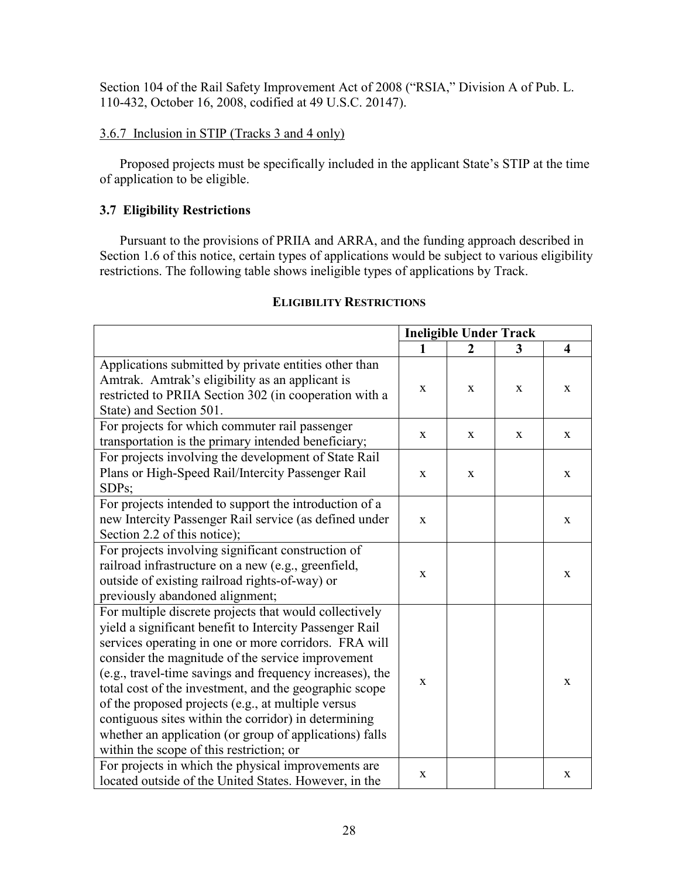Section 104 of the Rail Safety Improvement Act of 2008 ("RSIA," Division A of Pub. L. 110-432, October 16, 2008, codified at 49 U.S.C. 20147).

## 3.6.7 Inclusion in STIP (Tracks 3 and 4 only)

Proposed projects must be specifically included in the applicant State's STIP at the time of application to be eligible.

# **3.7 Eligibility Restrictions**

Pursuant to the provisions of PRIIA and ARRA, and the funding approach described in Section 1.6 of this notice, certain types of applications would be subject to various eligibility restrictions. The following table shows ineligible types of applications by Track.

|                                                                                                                                                                                                                                                                                                                                                                                                                                                                                                                                                                            | <b>Ineligible Under Track</b> |              |              |                         |
|----------------------------------------------------------------------------------------------------------------------------------------------------------------------------------------------------------------------------------------------------------------------------------------------------------------------------------------------------------------------------------------------------------------------------------------------------------------------------------------------------------------------------------------------------------------------------|-------------------------------|--------------|--------------|-------------------------|
|                                                                                                                                                                                                                                                                                                                                                                                                                                                                                                                                                                            | 1                             | $\mathbf{2}$ | 3            | $\overline{\mathbf{4}}$ |
| Applications submitted by private entities other than<br>Amtrak. Amtrak's eligibility as an applicant is<br>restricted to PRIIA Section 302 (in cooperation with a<br>State) and Section 501.                                                                                                                                                                                                                                                                                                                                                                              | $\mathbf{X}$                  | X            | X            | $\mathbf X$             |
| For projects for which commuter rail passenger<br>transportation is the primary intended beneficiary;                                                                                                                                                                                                                                                                                                                                                                                                                                                                      | $\mathbf{X}$                  | X            | $\mathbf{X}$ | $\mathbf{X}$            |
| For projects involving the development of State Rail<br>Plans or High-Speed Rail/Intercity Passenger Rail<br>SDPs;                                                                                                                                                                                                                                                                                                                                                                                                                                                         | $\mathbf{X}$                  | X            |              | X                       |
| For projects intended to support the introduction of a<br>new Intercity Passenger Rail service (as defined under<br>Section 2.2 of this notice);                                                                                                                                                                                                                                                                                                                                                                                                                           | $\mathbf{X}$                  |              |              | $\mathbf{X}$            |
| For projects involving significant construction of<br>railroad infrastructure on a new (e.g., greenfield,<br>outside of existing railroad rights-of-way) or<br>previously abandoned alignment;                                                                                                                                                                                                                                                                                                                                                                             | $\mathbf{X}$                  |              |              | X                       |
| For multiple discrete projects that would collectively<br>yield a significant benefit to Intercity Passenger Rail<br>services operating in one or more corridors. FRA will<br>consider the magnitude of the service improvement<br>(e.g., travel-time savings and frequency increases), the<br>total cost of the investment, and the geographic scope<br>of the proposed projects (e.g., at multiple versus<br>contiguous sites within the corridor) in determining<br>whether an application (or group of applications) falls<br>within the scope of this restriction; or | $\mathbf{X}$                  |              |              | $\mathbf{X}$            |
| For projects in which the physical improvements are<br>located outside of the United States. However, in the                                                                                                                                                                                                                                                                                                                                                                                                                                                               | X                             |              |              | X                       |

## **ELIGIBILITY RESTRICTIONS**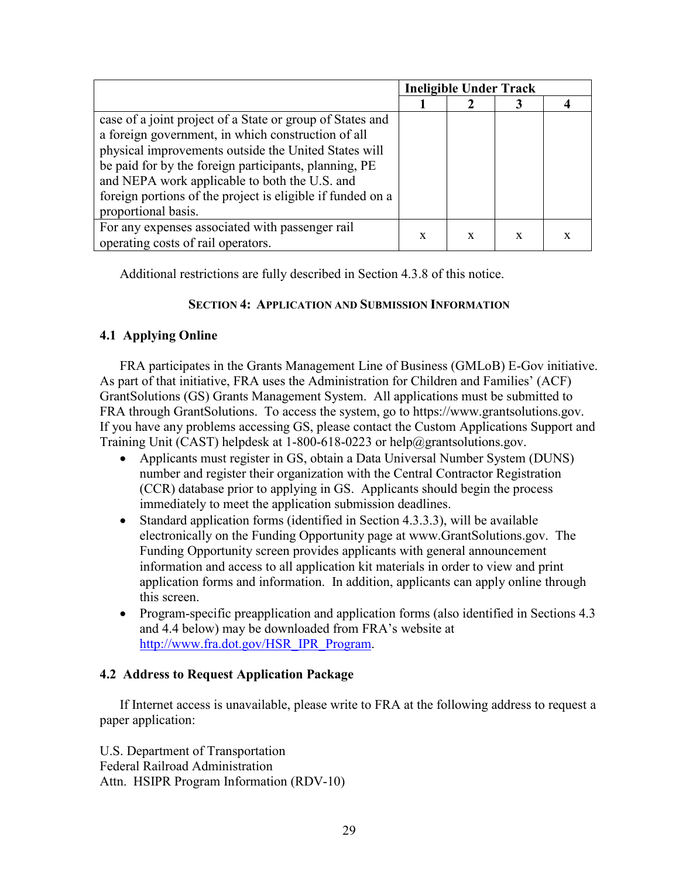|                                                            |   | <b>Ineligible Under Track</b> |   |  |
|------------------------------------------------------------|---|-------------------------------|---|--|
|                                                            |   |                               |   |  |
| case of a joint project of a State or group of States and  |   |                               |   |  |
| a foreign government, in which construction of all         |   |                               |   |  |
| physical improvements outside the United States will       |   |                               |   |  |
| be paid for by the foreign participants, planning, PE      |   |                               |   |  |
| and NEPA work applicable to both the U.S. and              |   |                               |   |  |
| foreign portions of the project is eligible if funded on a |   |                               |   |  |
| proportional basis.                                        |   |                               |   |  |
| For any expenses associated with passenger rail            |   |                               |   |  |
| operating costs of rail operators.                         | X | X                             | X |  |

Additional restrictions are fully described in Section 4.3.8 of this notice.

## **SECTION 4: APPLICATION AND SUBMISSION INFORMATION**

## **4.1 Applying Online**

FRA participates in the Grants Management Line of Business (GMLoB) E-Gov initiative. As part of that initiative, FRA uses the Administration for Children and Families' (ACF) GrantSolutions (GS) Grants Management System. All applications must be submitted to FRA through GrantSolutions. To access the system, go to <https://www.grantsolutions.gov>. If you have any problems accessing GS, please contact the Custom Applications Support and Training Unit (CAST) helpdesk at 1-800-618-0223 or [help@grantsolutions.gov.](mailto:help@grantsolutions.gov.)

- Applicants must register in GS, obtain a Data Universal Number System (DUNS) number and register their organization with the Central Contractor Registration (CCR) database prior to applying in GS. Applicants should begin the process immediately to meet the application submission deadlines.
- Standard application forms (identified in Section 4.3.3.3), will be available electronically on the Funding Opportunity page at [www.GrantSolutions.gov.](www.GrantSolutions.gov) The Funding Opportunity screen provides applicants with general announcement information and access to all application kit materials in order to view and print application forms and information. In addition, applicants can apply online through this screen.
- Program-specific preapplication and application forms (also identified in Sections 4.3) and 4.4 below) may be downloaded from FRA's website at [http://www.fra.dot.gov/HSR\\_IPR\\_Program.](http://www.fra.dot.gov/HSR_IPR_Program)

## **4.2 Address to Request Application Package**

If Internet access is unavailable, please write to FRA at the following address to request a paper application:

U.S. Department of Transportation Federal Railroad Administration Attn. HSIPR Program Information (RDV-10)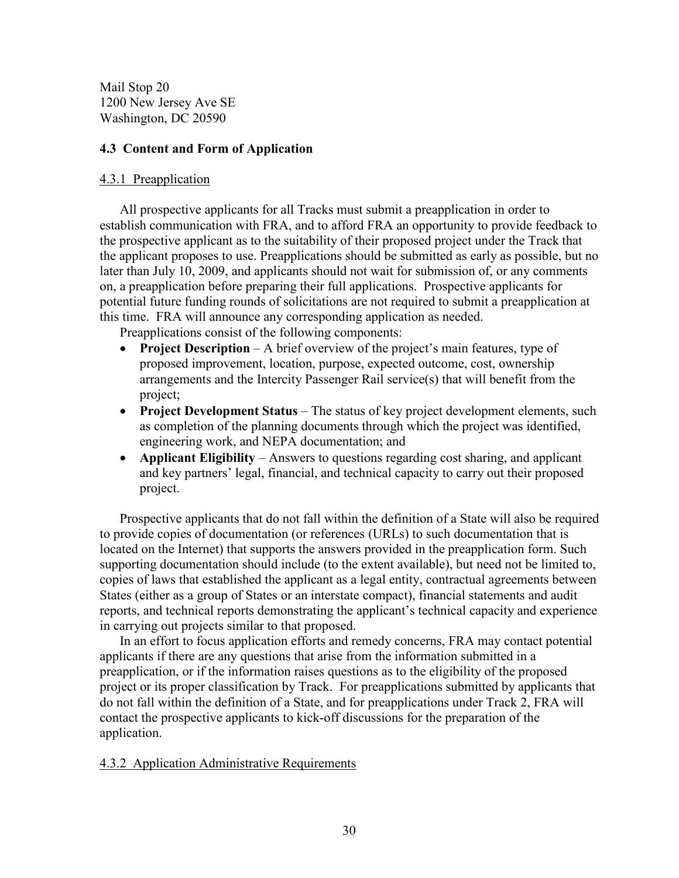Mail Stop 20 1200 New Jersey Ave SE Washington, DC 20590

## **4.3 Content and Form of Application**

## 4.3.1 Preapplication

All prospective applicants for all Tracks must submit a preapplication in order to establish communication with FRA, and to afford FRA an opportunity to provide feedback to the prospective applicant as to the suitability of their proposed project under the Track that the applicant proposes to use. Preapplications should be submitted as early as possible, but no later than July 10, 2009, and applicants should not wait for submission of, or any comments on, a preapplication before preparing their full applications. Prospective applicants for potential future funding rounds of solicitations are not required to submit a preapplication at this time. FRA will announce any corresponding application as needed.

Preapplications consist of the following components:

- **Project Description** A brief overview of the project's main features, type of proposed improvement, location, purpose, expected outcome, cost, ownership arrangements and the Intercity Passenger Rail service(s) that will benefit from the project;
- **Project Development Status** The status of key project development elements, such as completion of the planning documents through which the project was identified, engineering work, and NEPA documentation; and
- **Applicant Eligibility** Answers to questions regarding cost sharing, and applicant and key partners' legal, financial, and technical capacity to carry out their proposed project.

Prospective applicants that do not fall within the definition of a State will also be required to provide copies of documentation (or references (URLs) to such documentation that is located on the Internet) that supports the answers provided in the preapplication form. Such supporting documentation should include (to the extent available), but need not be limited to, copies of laws that established the applicant as a legal entity, contractual agreements between States (either as a group of States or an interstate compact), financial statements and audit reports, and technical reports demonstrating the applicant's technical capacity and experience in carrying out projects similar to that proposed.

In an effort to focus application efforts and remedy concerns, FRA may contact potential applicants if there are any questions that arise from the information submitted in a preapplication, or if the information raises questions as to the eligibility of the proposed project or its proper classification by Track. For preapplications submitted by applicants that do not fall within the definition of a State, and for preapplications under Track 2, FRA will contact the prospective applicants to kick-off discussions for the preparation of the application.

## 4.3.2 Application Administrative Requirements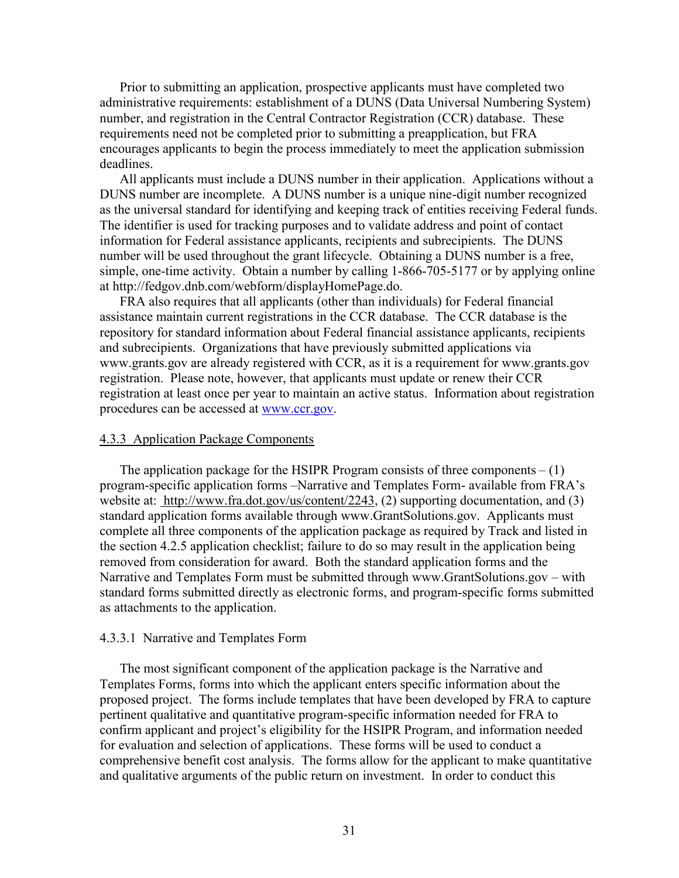Prior to submitting an application, prospective applicants must have completed two administrative requirements: establishment of a DUNS (Data Universal Numbering System) number, and registration in the Central Contractor Registration (CCR) database. These requirements need not be completed prior to submitting a preapplication, but FRA encourages applicants to begin the process immediately to meet the application submission deadlines.

All applicants must include a DUNS number in their application. Applications without a DUNS number are incomplete. A DUNS number is a unique nine-digit number recognized as the universal standard for identifying and keeping track of entities receiving Federal funds. The identifier is used for tracking purposes and to validate address and point of contact information for Federal assistance applicants, recipients and subrecipients. The DUNS number will be used throughout the grant lifecycle. Obtaining a DUNS number is a free, simple, one-time activity. Obtain a number by calling 1-866-705-5177 or by applying online at <http://fedgov.dnb.com/webform/displayHomePage.do>.

FRA also requires that all applicants (other than individuals) for Federal financial assistance maintain current registrations in the CCR database. The CCR database is the repository for standard information about Federal financial assistance applicants, recipients and subrecipients. Organizations that have previously submitted applications via <www.grants.gov> are already registered with CCR, as it is a requirement for <www.grants.gov> registration. Please note, however, that applicants must update or renew their CCR registration at least once per year to maintain an active status. Information about registration procedures can be accessed at [www.ccr.gov.](www.ccr.gov)

#### 4.3.3 Application Package Components

The application package for the HSIPR Program consists of three components  $- (1)$ program-specific application forms –Narrative and Templates Form- available from FRA's website at: [http://www.fra.dot.gov/us/content/2243,](http://www.fra.dot.gov/us/content/2243) (2) supporting documentation, and (3) standard application forms available through <www.GrantSolutions.gov>. Applicants must complete all three components of the application package as required by Track and listed in the section 4.2.5 application checklist; failure to do so may result in the application being removed from consideration for award. Both the standard application forms and the Narrative and Templates Form must be submitted through <www.GrantSolutions.gov>– with standard forms submitted directly as electronic forms, and program-specific forms submitted as attachments to the application.

#### 4.3.3.1 Narrative and Templates Form

The most significant component of the application package is the Narrative and Templates Forms, forms into which the applicant enters specific information about the proposed project. The forms include templates that have been developed by FRA to capture pertinent qualitative and quantitative program-specific information needed for FRA to confirm applicant and project's eligibility for the HSIPR Program, and information needed for evaluation and selection of applications. These forms will be used to conduct a comprehensive benefit cost analysis. The forms allow for the applicant to make quantitative and qualitative arguments of the public return on investment. In order to conduct this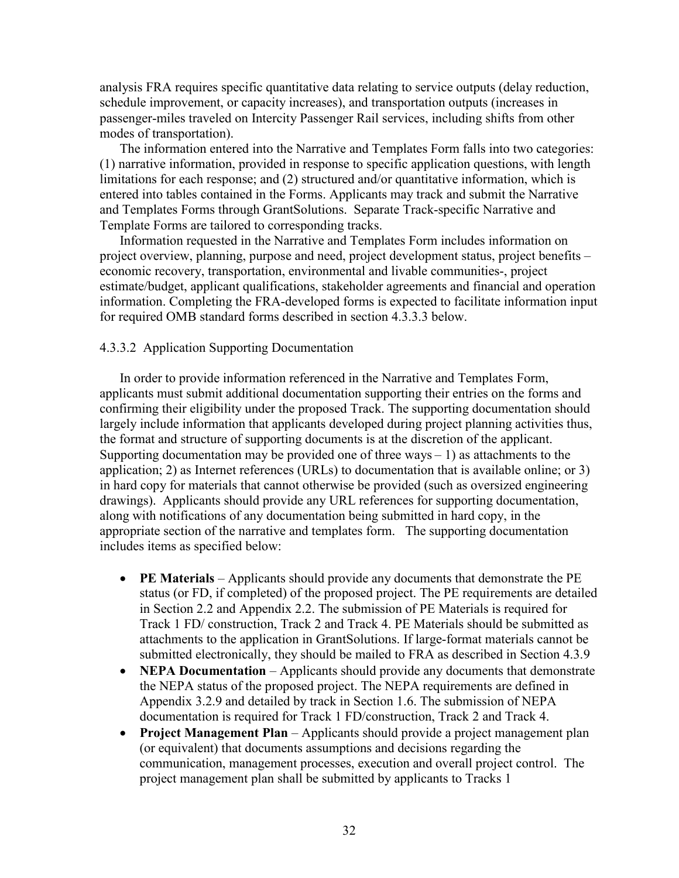analysis FRA requires specific quantitative data relating to service outputs (delay reduction, schedule improvement, or capacity increases), and transportation outputs (increases in passenger-miles traveled on Intercity Passenger Rail services, including shifts from other modes of transportation).

The information entered into the Narrative and Templates Form falls into two categories: (1) narrative information, provided in response to specific application questions, with length limitations for each response; and (2) structured and/or quantitative information, which is entered into tables contained in the Forms. Applicants may track and submit the Narrative and Templates Forms through GrantSolutions. Separate Track-specific Narrative and Template Forms are tailored to corresponding tracks.

Information requested in the Narrative and Templates Form includes information on project overview, planning, purpose and need, project development status, project benefits – economic recovery, transportation, environmental and livable communities-, project estimate/budget, applicant qualifications, stakeholder agreements and financial and operation information. Completing the FRA-developed forms is expected to facilitate information input for required OMB standard forms described in section 4.3.3.3 below.

## 4.3.3.2 Application Supporting Documentation

In order to provide information referenced in the Narrative and Templates Form, applicants must submit additional documentation supporting their entries on the forms and confirming their eligibility under the proposed Track. The supporting documentation should largely include information that applicants developed during project planning activities thus, the format and structure of supporting documents is at the discretion of the applicant. Supporting documentation may be provided one of three ways  $-1$ ) as attachments to the application; 2) as Internet references (URLs) to documentation that is available online; or 3) in hard copy for materials that cannot otherwise be provided (such as oversized engineering drawings). Applicants should provide any URL references for supporting documentation, along with notifications of any documentation being submitted in hard copy, in the appropriate section of the narrative and templates form. The supporting documentation includes items as specified below:

- **PE Materials** Applicants should provide any documents that demonstrate the PE status (or FD, if completed) of the proposed project. The PE requirements are detailed in Section 2.2 and Appendix 2.2. The submission of PE Materials is required for Track 1 FD/ construction, Track 2 and Track 4. PE Materials should be submitted as attachments to the application in GrantSolutions. If large-format materials cannot be submitted electronically, they should be mailed to FRA as described in Section 4.3.9
- **NEPA Documentation** Applicants should provide any documents that demonstrate the NEPA status of the proposed project. The NEPA requirements are defined in Appendix 3.2.9 and detailed by track in Section 1.6. The submission of NEPA documentation is required for Track 1 FD/construction, Track 2 and Track 4.
- **Project Management Plan**  Applicants should provide a project management plan (or equivalent) that documents assumptions and decisions regarding the communication, management processes, execution and overall project control. The project management plan shall be submitted by applicants to Tracks 1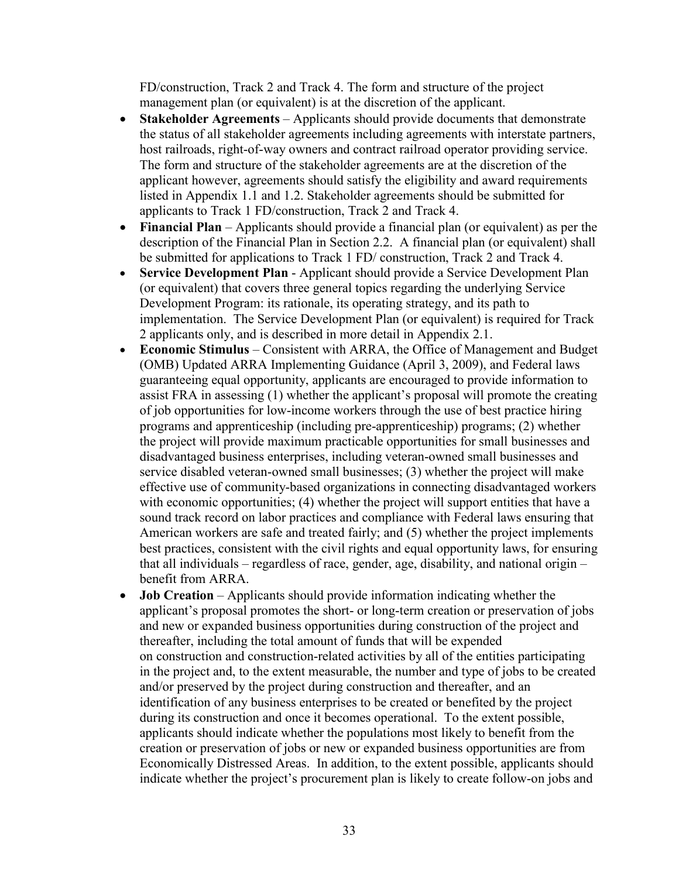FD/construction, Track 2 and Track 4. The form and structure of the project management plan (or equivalent) is at the discretion of the applicant.

- **Stakeholder Agreements** Applicants should provide documents that demonstrate the status of all stakeholder agreements including agreements with interstate partners, host railroads, right-of-way owners and contract railroad operator providing service. The form and structure of the stakeholder agreements are at the discretion of the applicant however, agreements should satisfy the eligibility and award requirements listed in Appendix 1.1 and 1.2. Stakeholder agreements should be submitted for applicants to Track 1 FD/construction, Track 2 and Track 4.
- **Financial Plan**  Applicants should provide a financial plan (or equivalent) as per the description of the Financial Plan in Section 2.2. A financial plan (or equivalent) shall be submitted for applications to Track 1 FD/ construction, Track 2 and Track 4.
- **Service Development Plan**  Applicant should provide a Service Development Plan (or equivalent) that covers three general topics regarding the underlying Service Development Program: its rationale, its operating strategy, and its path to implementation. The Service Development Plan (or equivalent) is required for Track 2 applicants only, and is described in more detail in Appendix 2.1.
- **Economic Stimulus** Consistent with ARRA, the Office of Management and Budget (OMB) Updated ARRA Implementing Guidance (April 3, 2009), and Federal laws guaranteeing equal opportunity, applicants are encouraged to provide information to assist FRA in assessing (1) whether the applicant's proposal will promote the creating of job opportunities for low-income workers through the use of best practice hiring programs and apprenticeship (including pre-apprenticeship) programs; (2) whether the project will provide maximum practicable opportunities for small businesses and disadvantaged business enterprises, including veteran-owned small businesses and service disabled veteran-owned small businesses; (3) whether the project will make effective use of community-based organizations in connecting disadvantaged workers with economic opportunities; (4) whether the project will support entities that have a sound track record on labor practices and compliance with Federal laws ensuring that American workers are safe and treated fairly; and (5) whether the project implements best practices, consistent with the civil rights and equal opportunity laws, for ensuring that all individuals – regardless of race, gender, age, disability, and national origin – benefit from ARRA.
- **Job Creation** Applicants should provide information indicating whether the applicant's proposal promotes the short- or long-term creation or preservation of jobs and new or expanded business opportunities during construction of the project and thereafter, including the total amount of funds that will be expended on construction and construction-related activities by all of the entities participating in the project and, to the extent measurable, the number and type of jobs to be created and/or preserved by the project during construction and thereafter, and an identification of any business enterprises to be created or benefited by the project during its construction and once it becomes operational. To the extent possible, applicants should indicate whether the populations most likely to benefit from the creation or preservation of jobs or new or expanded business opportunities are from Economically Distressed Areas. In addition, to the extent possible, applicants should indicate whether the project's procurement plan is likely to create follow-on jobs and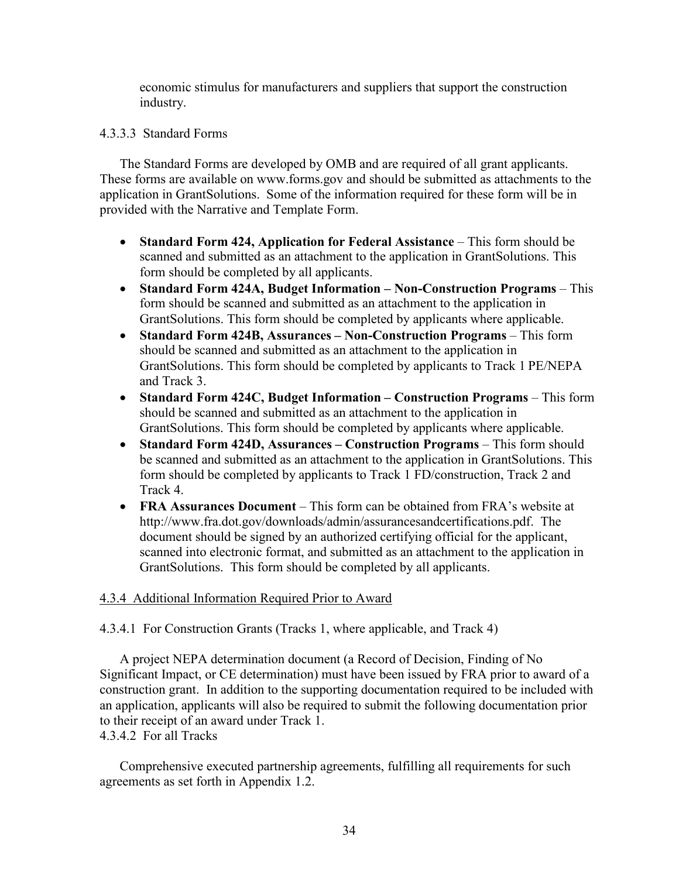economic stimulus for manufacturers and suppliers that support the construction industry.

## 4.3.3.3 Standard Forms

The Standard Forms are developed by OMB and are required of all grant applicants. These forms are available on <www.forms.gov> and should be submitted as attachments to the application in GrantSolutions. Some of the information required for these form will be in provided with the Narrative and Template Form.

- **Standard Form 424, Application for Federal Assistance** This form should be scanned and submitted as an attachment to the application in GrantSolutions. This form should be completed by all applicants.
- **Standard Form 424A, Budget Information – Non-Construction Programs** This form should be scanned and submitted as an attachment to the application in GrantSolutions. This form should be completed by applicants where applicable.
- **Standard Form 424B, Assurances – Non-Construction Programs** This form should be scanned and submitted as an attachment to the application in GrantSolutions. This form should be completed by applicants to Track 1 PE/NEPA and Track 3.
- **Standard Form 424C, Budget Information – Construction Programs** This form should be scanned and submitted as an attachment to the application in GrantSolutions. This form should be completed by applicants where applicable.
- **Standard Form 424D, Assurances – Construction Programs** This form should be scanned and submitted as an attachment to the application in GrantSolutions. This form should be completed by applicants to Track 1 FD/construction, Track 2 and Track 4.
- **FRA Assurances Document** This form can be obtained from FRA's website at [http://www.fra.dot.gov/downloads/admin/assurancesandcertifications.pdf.](http://www.fra.dot.gov/downloads/admin/assurancesandcertifications.pdf) The document should be signed by an authorized certifying official for the applicant, scanned into electronic format, and submitted as an attachment to the application in GrantSolutions. This form should be completed by all applicants.

## 4.3.4 Additional Information Required Prior to Award

4.3.4.1 For Construction Grants (Tracks 1, where applicable, and Track 4)

A project NEPA determination document (a Record of Decision, Finding of No Significant Impact, or CE determination) must have been issued by FRA prior to award of a construction grant. In addition to the supporting documentation required to be included with an application, applicants will also be required to submit the following documentation prior to their receipt of an award under Track 1. 4.3.4.2 For all Tracks

Comprehensive executed partnership agreements, fulfilling all requirements for such agreements as set forth in Appendix 1.2.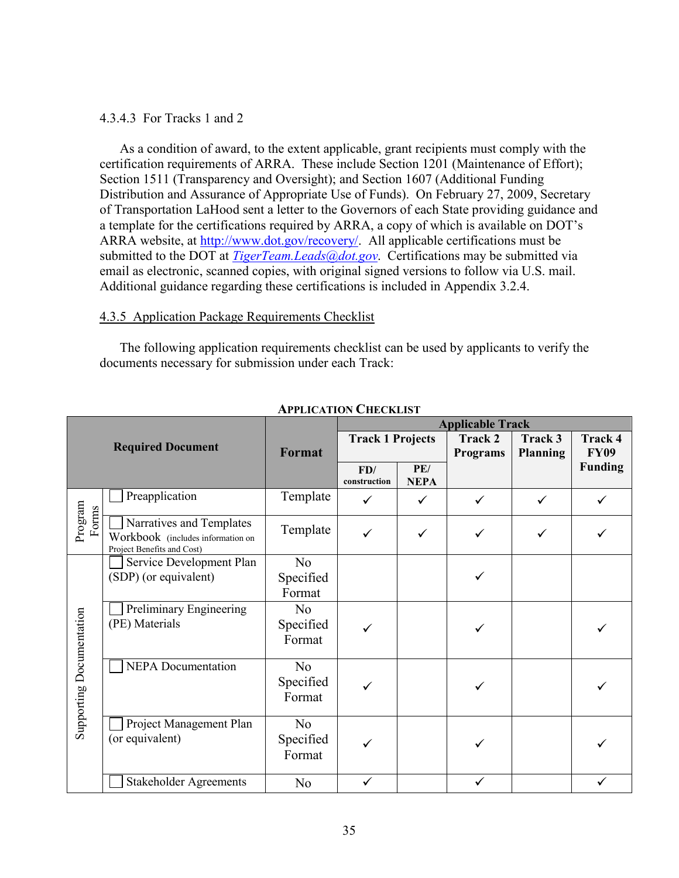## 4.3.4.3 For Tracks 1 and 2

As a condition of award, to the extent applicable, grant recipients must comply with the certification requirements of ARRA. These include Section 1201 (Maintenance of Effort); Section 1511 (Transparency and Oversight); and Section 1607 (Additional Funding Distribution and Assurance of Appropriate Use of Funds). On February 27, 2009, Secretary of Transportation LaHood sent a letter to the Governors of each State providing guidance and a template for the certifications required by ARRA, a copy of which is available on DOT's ARRA website, at <http://www.dot.gov/recovery/>. All applicable certifications must be submitted to the DOT at *[TigerTeam.Leads@dot.gov](mailto:TigerTeam.Leads@dot.gov)*. Certifications may be submitted via email as electronic, scanned copies, with original signed versions to follow via U.S. mail. Additional guidance regarding these certifications is included in Appendix 3.2.4.

### 4.3.5 Application Package Requirements Checklist

The following application requirements checklist can be used by applicants to verify the documents necessary for submission under each Track:

|                          |                                                                                             |                                       | <b>Applicable Track</b> |                         |              |                            |                               |
|--------------------------|---------------------------------------------------------------------------------------------|---------------------------------------|-------------------------|-------------------------|--------------|----------------------------|-------------------------------|
|                          | <b>Required Document</b>                                                                    | Format                                |                         | <b>Track 1 Projects</b> |              | Track 3<br><b>Planning</b> | <b>Track 4</b><br><b>FY09</b> |
|                          |                                                                                             |                                       | FD/<br>construction     | PE/<br><b>NEPA</b>      |              |                            | <b>Funding</b>                |
|                          | Preapplication                                                                              | Template                              | ✓                       | $\checkmark$            | ✓            | $\checkmark$               | ✓                             |
| Program<br>Forms         | Narratives and Templates<br>Workbook (includes information on<br>Project Benefits and Cost) | Template                              |                         | $\checkmark$            | ✓            | $\checkmark$               |                               |
|                          | Service Development Plan<br>(SDP) (or equivalent)                                           | N <sub>o</sub><br>Specified<br>Format |                         |                         |              |                            |                               |
| Supporting Documentation | Preliminary Engineering<br>(PE) Materials                                                   | N <sub>0</sub><br>Specified<br>Format |                         |                         |              |                            |                               |
|                          | <b>NEPA</b> Documentation                                                                   | N <sub>o</sub><br>Specified<br>Format |                         |                         |              |                            |                               |
|                          | Project Management Plan<br>(or equivalent)                                                  | No<br>Specified<br>Format             |                         |                         |              |                            |                               |
|                          | <b>Stakeholder Agreements</b>                                                               | N <sub>o</sub>                        |                         |                         | $\checkmark$ |                            |                               |

**APPLICATION CHECKLIST**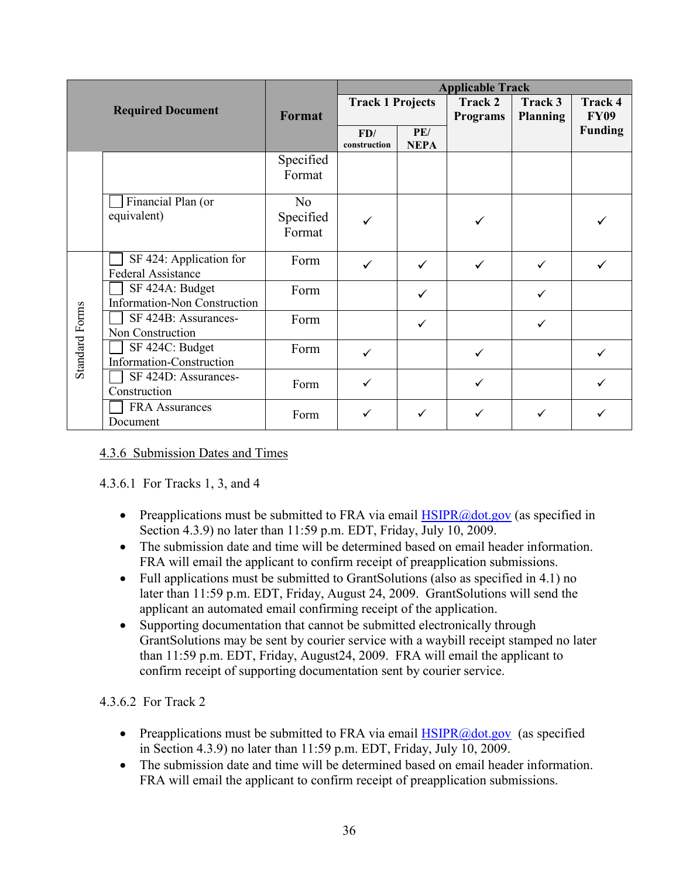| <b>Required Document</b> |                                          |                | <b>Applicable Track</b> |                    |                 |                 |                               |  |
|--------------------------|------------------------------------------|----------------|-------------------------|--------------------|-----------------|-----------------|-------------------------------|--|
|                          |                                          | <b>Format</b>  | <b>Track 1 Projects</b> |                    | Track 2         | Track 3         | <b>Track 4</b>                |  |
|                          |                                          |                |                         |                    | <b>Programs</b> | <b>Planning</b> | <b>FY09</b><br><b>Funding</b> |  |
|                          |                                          |                | FD/<br>construction     | PE/<br><b>NEPA</b> |                 |                 |                               |  |
|                          |                                          | Specified      |                         |                    |                 |                 |                               |  |
|                          |                                          | Format         |                         |                    |                 |                 |                               |  |
|                          | Financial Plan (or                       | N <sub>o</sub> |                         |                    |                 |                 |                               |  |
|                          | equivalent)                              | Specified      |                         |                    |                 |                 |                               |  |
|                          |                                          | Format         |                         |                    |                 |                 |                               |  |
|                          | SF 424: Application for                  | Form           |                         | ✓                  | $\checkmark$    | $\checkmark$    |                               |  |
|                          | <b>Federal Assistance</b>                |                |                         |                    |                 |                 |                               |  |
|                          | SF 424A: Budget                          | Form           |                         | ✓                  |                 | ✓               |                               |  |
|                          | Information-Non Construction             |                |                         |                    |                 |                 |                               |  |
|                          | SF 424B: Assurances-<br>Non Construction | Form           |                         | $\checkmark$       |                 | $\checkmark$    |                               |  |
|                          | SF 424C: Budget                          | Form           |                         |                    |                 |                 |                               |  |
| <b>Standard Forms</b>    | Information-Construction                 |                | ✓                       |                    | $\checkmark$    |                 | ✓                             |  |
|                          | SF 424D: Assurances-                     | Form           | ✓                       |                    | ✓               |                 |                               |  |
|                          | Construction                             |                |                         |                    |                 |                 |                               |  |
|                          | FRA Assurances                           | Form           |                         | ✓                  | $\checkmark$    | ✓               |                               |  |
|                          | Document                                 |                |                         |                    |                 |                 |                               |  |

## 4.3.6 Submission Dates and Times

## 4.3.6.1 For Tracks 1, 3, and 4

- Preapplications must be submitted to FRA via email  $HSPR@dot.gov$  (as specified in Section 4.3.9) no later than 11:59 p.m. EDT, Friday, July 10, 2009.
- The submission date and time will be determined based on email header information. FRA will email the applicant to confirm receipt of preapplication submissions.
- Full applications must be submitted to GrantSolutions (also as specified in 4.1) no later than 11:59 p.m. EDT, Friday, August 24, 2009. GrantSolutions will send the applicant an automated email confirming receipt of the application.
- Supporting documentation that cannot be submitted electronically through GrantSolutions may be sent by courier service with a waybill receipt stamped no later than 11:59 p.m. EDT, Friday, August24, 2009. FRA will email the applicant to confirm receipt of supporting documentation sent by courier service.

4.3.6.2 For Track 2

- Preapplications must be submitted to FRA via email  $HSPR@dot.gov$  (as specified in Section 4.3.9) no later than 11:59 p.m. EDT, Friday, July 10, 2009.
- The submission date and time will be determined based on email header information. FRA will email the applicant to confirm receipt of preapplication submissions.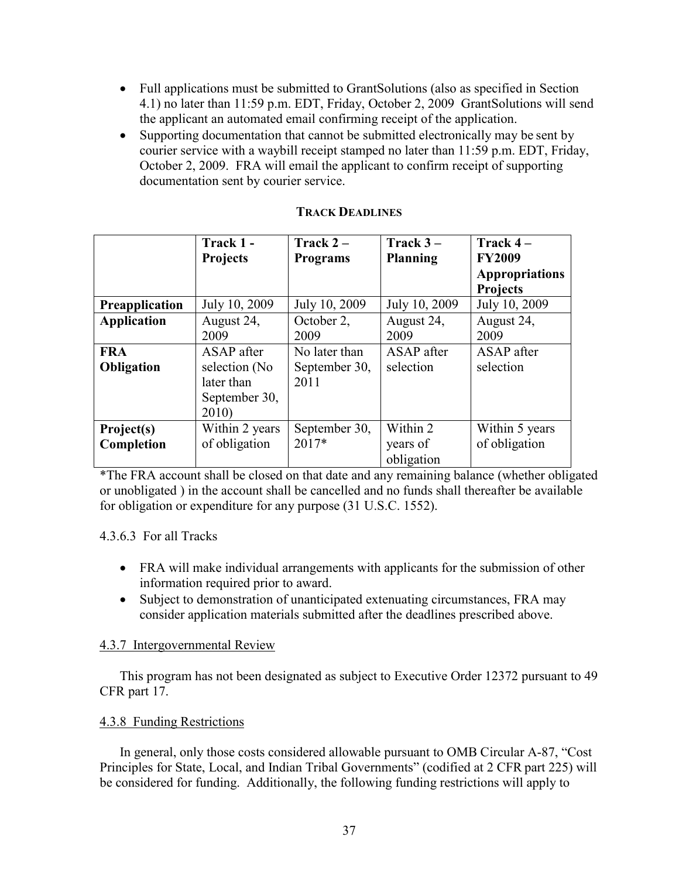- Full applications must be submitted to GrantSolutions (also as specified in Section 4.1) no later than 11:59 p.m. EDT, Friday, October 2, 2009 GrantSolutions will send the applicant an automated email confirming receipt of the application.
- Supporting documentation that cannot be submitted electronically may be sent by courier service with a waybill receipt stamped no later than 11:59 p.m. EDT, Friday, October 2, 2009. FRA will email the applicant to confirm receipt of supporting documentation sent by courier service.

|                       | Track 1 -       | Track $2-$      | Track $3-$      | Track $4-$            |
|-----------------------|-----------------|-----------------|-----------------|-----------------------|
|                       | <b>Projects</b> | <b>Programs</b> | <b>Planning</b> | <b>FY2009</b>         |
|                       |                 |                 |                 | <b>Appropriations</b> |
|                       |                 |                 |                 | <b>Projects</b>       |
| <b>Preapplication</b> | July 10, 2009   | July 10, 2009   | July 10, 2009   | July 10, 2009         |
| <b>Application</b>    | August 24,      | October 2,      | August 24,      | August 24,            |
|                       | 2009            | 2009            | 2009            | 2009                  |
| <b>FRA</b>            | ASAP after      | No later than   | ASAP after      | ASAP after            |
| <b>Obligation</b>     | selection (No   | September 30,   | selection       | selection             |
|                       | later than      | 2011            |                 |                       |
|                       | September 30,   |                 |                 |                       |
|                       | 2010)           |                 |                 |                       |
| Project(s)            | Within 2 years  | September 30,   | Within 2        | Within 5 years        |
| Completion            | of obligation   | $2017*$         | years of        | of obligation         |
|                       |                 |                 | obligation      |                       |

### **TRACK DEADLINES**

\*The FRA account shall be closed on that date and any remaining balance (whether obligated or unobligated ) in the account shall be cancelled and no funds shall thereafter be available for obligation or expenditure for any purpose (31 U.S.C. 1552).

4.3.6.3 For all Tracks

- FRA will make individual arrangements with applicants for the submission of other information required prior to award.
- Subject to demonstration of unanticipated extenuating circumstances, FRA may consider application materials submitted after the deadlines prescribed above.

## 4.3.7 Intergovernmental Review

This program has not been designated as subject to Executive Order 12372 pursuant to 49 CFR part 17.

## 4.3.8 Funding Restrictions

In general, only those costs considered allowable pursuant to OMB Circular A-87, "Cost Principles for State, Local, and Indian Tribal Governments" (codified at 2 CFR part 225) will be considered for funding. Additionally, the following funding restrictions will apply to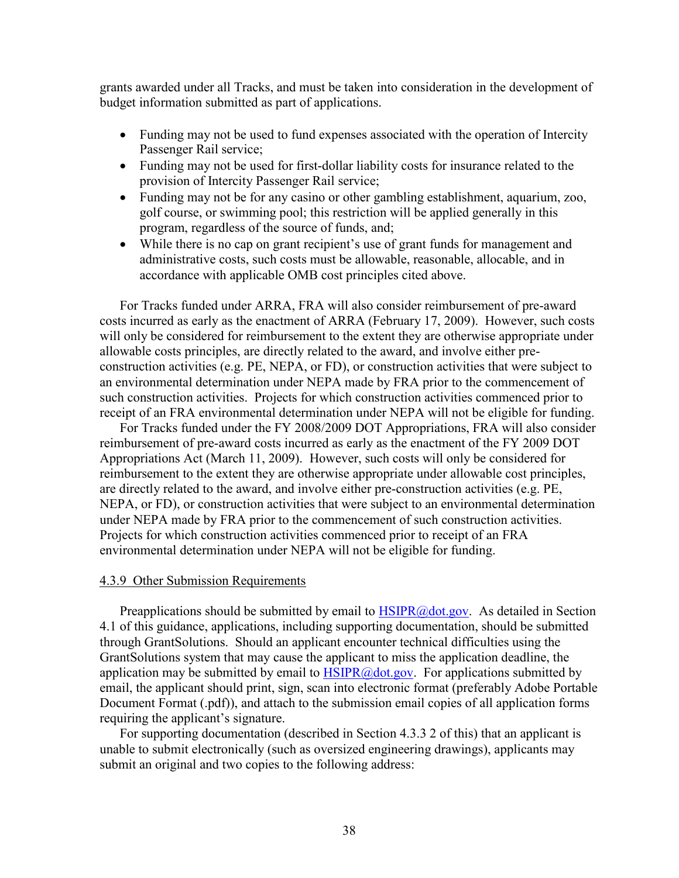grants awarded under all Tracks, and must be taken into consideration in the development of budget information submitted as part of applications.

- Funding may not be used to fund expenses associated with the operation of Intercity Passenger Rail service;
- Funding may not be used for first-dollar liability costs for insurance related to the provision of Intercity Passenger Rail service;
- Funding may not be for any casino or other gambling establishment, aquarium, zoo, golf course, or swimming pool; this restriction will be applied generally in this program, regardless of the source of funds, and;
- While there is no cap on grant recipient's use of grant funds for management and administrative costs, such costs must be allowable, reasonable, allocable, and in accordance with applicable OMB cost principles cited above.

For Tracks funded under ARRA, FRA will also consider reimbursement of pre-award costs incurred as early as the enactment of ARRA (February 17, 2009). However, such costs will only be considered for reimbursement to the extent they are otherwise appropriate under allowable costs principles, are directly related to the award, and involve either preconstruction activities (e.g. PE, NEPA, or FD), or construction activities that were subject to an environmental determination under NEPA made by FRA prior to the commencement of such construction activities. Projects for which construction activities commenced prior to receipt of an FRA environmental determination under NEPA will not be eligible for funding.

For Tracks funded under the FY 2008/2009 DOT Appropriations, FRA will also consider reimbursement of pre-award costs incurred as early as the enactment of the FY 2009 DOT Appropriations Act (March 11, 2009). However, such costs will only be considered for reimbursement to the extent they are otherwise appropriate under allowable cost principles, are directly related to the award, and involve either pre-construction activities (e.g. PE, NEPA, or FD), or construction activities that were subject to an environmental determination under NEPA made by FRA prior to the commencement of such construction activities. Projects for which construction activities commenced prior to receipt of an FRA environmental determination under NEPA will not be eligible for funding.

#### 4.3.9 Other Submission Requirements

Preapplications should be submitted by email to [HSIPR@dot.gov.](mailto:HSIPR@dot.gov.) As detailed in Section 4.1 of this guidance, applications, including supporting documentation, should be submitted through GrantSolutions. Should an applicant encounter technical difficulties using the GrantSolutions system that may cause the applicant to miss the application deadline, the application may be submitted by email to  $HSTPR@dot.gov$ . For applications submitted by email, the applicant should print, sign, scan into electronic format (preferably Adobe Portable Document Format (.pdf)), and attach to the submission email copies of all application forms requiring the applicant's signature.

For supporting documentation (described in Section 4.3.3 2 of this) that an applicant is unable to submit electronically (such as oversized engineering drawings), applicants may submit an original and two copies to the following address: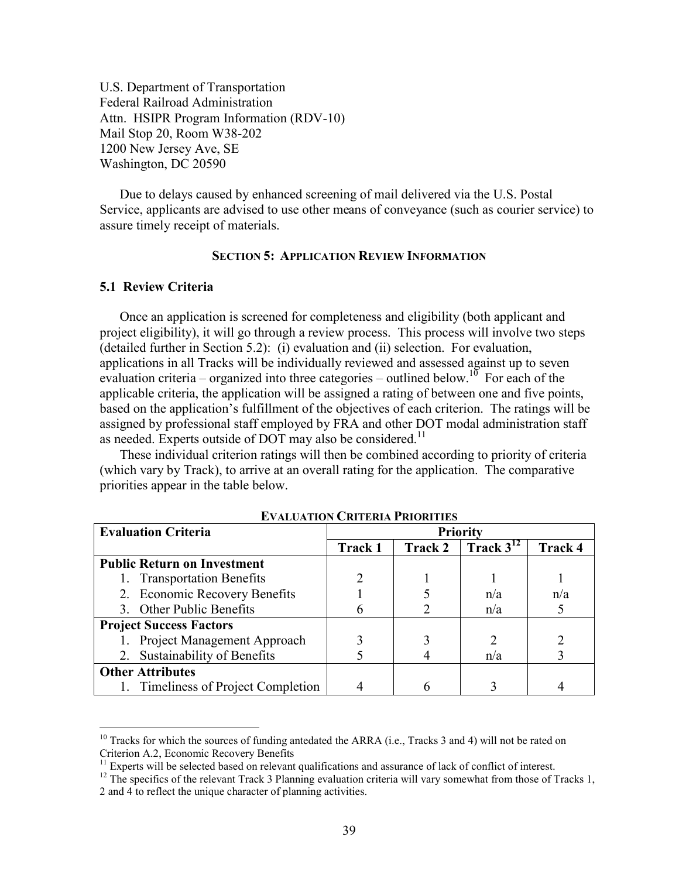U.S. Department of Transportation Federal Railroad Administration Attn. HSIPR Program Information (RDV-10) Mail Stop 20, Room W38-202 1200 New Jersey Ave, SE Washington, DC 20590

Due to delays caused by enhanced screening of mail delivered via the U.S. Postal Service, applicants are advised to use other means of conveyance (such as courier service) to assure timely receipt of materials.

#### **SECTION 5: APPLICATION REVIEW INFORMATION**

### **5.1 Review Criteria**

 $\overline{a}$ 

Once an application is screened for completeness and eligibility (both applicant and project eligibility), it will go through a review process. This process will involve two steps (detailed further in Section 5.2): (i) evaluation and (ii) selection. For evaluation, applications in all Tracks will be individually reviewed and assessed against up to seven evaluation criteria – organized into three categories – outlined below.<sup>10</sup> For each of the applicable criteria, the application will be assigned a rating of between one and five points, based on the application's fulfillment of the objectives of each criterion. The ratings will be assigned by professional staff employed by FRA and other DOT modal administration staff as needed. Experts outside of DOT may also be considered.<sup>11</sup>

These individual criterion ratings will then be combined according to priority of criteria (which vary by Track), to arrive at an overall rating for the application. The comparative priorities appear in the table below.

| <b>Evaluation Criteria</b>          | <b>Priority</b> |         |                |                |
|-------------------------------------|-----------------|---------|----------------|----------------|
|                                     | <b>Track 1</b>  | Track 2 | Track $3^{12}$ | <b>Track 4</b> |
| <b>Public Return on Investment</b>  |                 |         |                |                |
| 1. Transportation Benefits          |                 |         |                |                |
| 2. Economic Recovery Benefits       |                 |         | n/a            | n/a            |
| 3. Other Public Benefits            |                 |         | n/a            |                |
| <b>Project Success Factors</b>      |                 |         |                |                |
| 1. Project Management Approach      |                 |         |                |                |
| 2. Sustainability of Benefits       |                 |         | n/a            |                |
| <b>Other Attributes</b>             |                 |         |                |                |
| 1. Timeliness of Project Completion |                 |         |                |                |

**EVALUATION CRITERIA PRIORITIES**

 $10$  Tracks for which the sources of funding antedated the ARRA (i.e., Tracks 3 and 4) will not be rated on Criterion A.2, Economic Recovery Benefits

<sup>&</sup>lt;sup>11</sup> Experts will be selected based on relevant qualifications and assurance of lack of conflict of interest.

 $12$  The specifics of the relevant Track 3 Planning evaluation criteria will vary somewhat from those of Tracks 1, 2 and 4 to reflect the unique character of planning activities.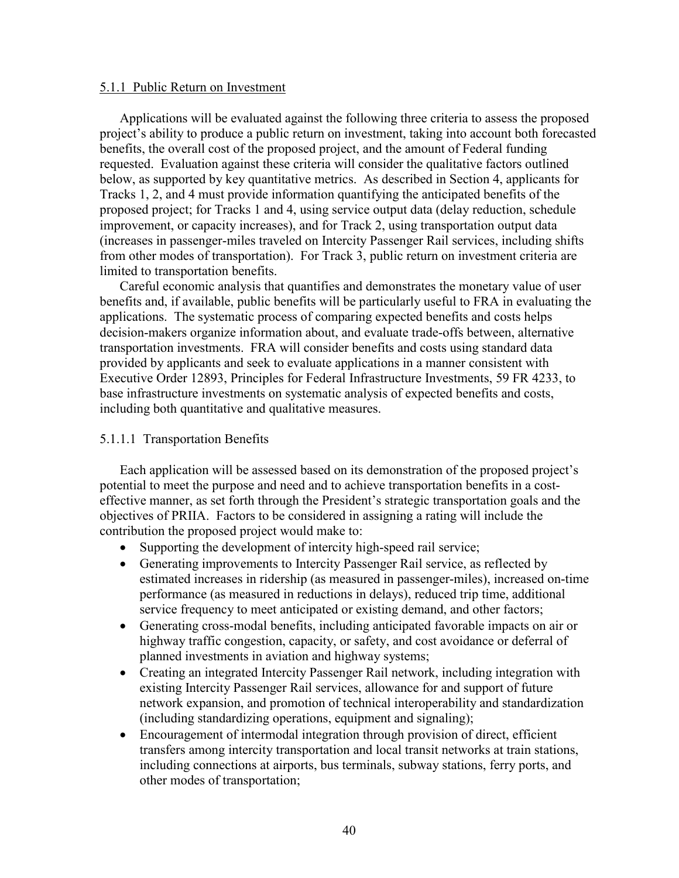#### 5.1.1 Public Return on Investment

Applications will be evaluated against the following three criteria to assess the proposed project's ability to produce a public return on investment, taking into account both forecasted benefits, the overall cost of the proposed project, and the amount of Federal funding requested. Evaluation against these criteria will consider the qualitative factors outlined below, as supported by key quantitative metrics. As described in Section 4, applicants for Tracks 1, 2, and 4 must provide information quantifying the anticipated benefits of the proposed project; for Tracks 1 and 4, using service output data (delay reduction, schedule improvement, or capacity increases), and for Track 2, using transportation output data (increases in passenger-miles traveled on Intercity Passenger Rail services, including shifts from other modes of transportation). For Track 3, public return on investment criteria are limited to transportation benefits.

Careful economic analysis that quantifies and demonstrates the monetary value of user benefits and, if available, public benefits will be particularly useful to FRA in evaluating the applications. The systematic process of comparing expected benefits and costs helps decision-makers organize information about, and evaluate trade-offs between, alternative transportation investments. FRA will consider benefits and costs using standard data provided by applicants and seek to evaluate applications in a manner consistent with Executive Order 12893, Principles for Federal Infrastructure Investments, 59 FR 4233, to base infrastructure investments on systematic analysis of expected benefits and costs, including both quantitative and qualitative measures.

#### 5.1.1.1 Transportation Benefits

Each application will be assessed based on its demonstration of the proposed project's potential to meet the purpose and need and to achieve transportation benefits in a costeffective manner, as set forth through the President's strategic transportation goals and the objectives of PRIIA. Factors to be considered in assigning a rating will include the contribution the proposed project would make to:

- Supporting the development of intercity high-speed rail service;
- Generating improvements to Intercity Passenger Rail service, as reflected by estimated increases in ridership (as measured in passenger-miles), increased on-time performance (as measured in reductions in delays), reduced trip time, additional service frequency to meet anticipated or existing demand, and other factors;
- Generating cross-modal benefits, including anticipated favorable impacts on air or highway traffic congestion, capacity, or safety, and cost avoidance or deferral of planned investments in aviation and highway systems;
- Creating an integrated Intercity Passenger Rail network, including integration with existing Intercity Passenger Rail services, allowance for and support of future network expansion, and promotion of technical interoperability and standardization (including standardizing operations, equipment and signaling);
- Encouragement of intermodal integration through provision of direct, efficient transfers among intercity transportation and local transit networks at train stations, including connections at airports, bus terminals, subway stations, ferry ports, and other modes of transportation;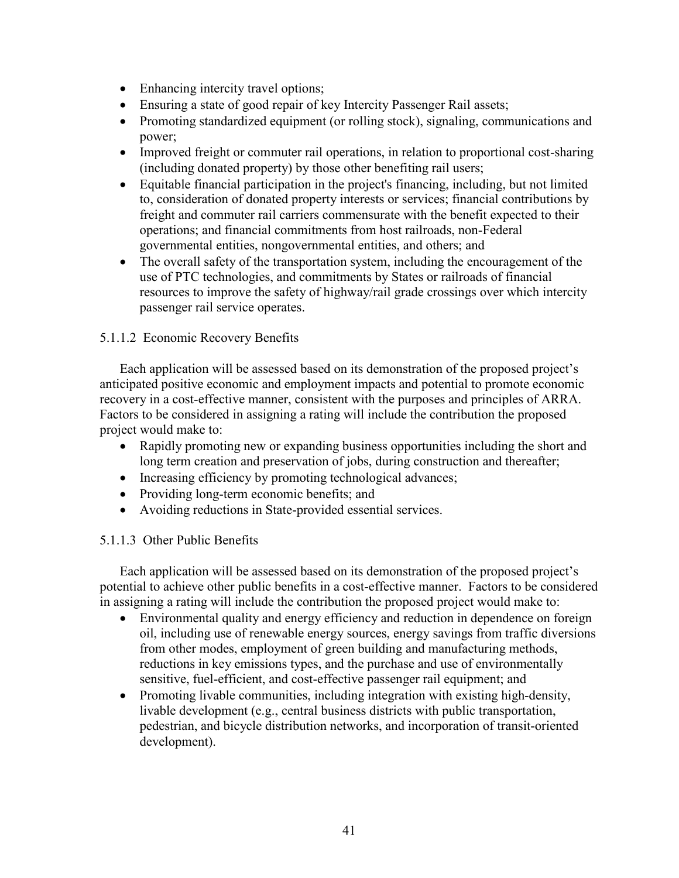- Enhancing intercity travel options;
- Ensuring a state of good repair of key Intercity Passenger Rail assets;
- Promoting standardized equipment (or rolling stock), signaling, communications and power;
- Improved freight or commuter rail operations, in relation to proportional cost-sharing (including donated property) by those other benefiting rail users;
- Equitable financial participation in the project's financing, including, but not limited to, consideration of donated property interests or services; financial contributions by freight and commuter rail carriers commensurate with the benefit expected to their operations; and financial commitments from host railroads, non-Federal governmental entities, nongovernmental entities, and others; and
- The overall safety of the transportation system, including the encouragement of the use of PTC technologies, and commitments by States or railroads of financial resources to improve the safety of highway/rail grade crossings over which intercity passenger rail service operates.

## 5.1.1.2 Economic Recovery Benefits

Each application will be assessed based on its demonstration of the proposed project's anticipated positive economic and employment impacts and potential to promote economic recovery in a cost-effective manner, consistent with the purposes and principles of ARRA. Factors to be considered in assigning a rating will include the contribution the proposed project would make to:

- Rapidly promoting new or expanding business opportunities including the short and long term creation and preservation of jobs, during construction and thereafter;
- Increasing efficiency by promoting technological advances;
- Providing long-term economic benefits; and
- Avoiding reductions in State-provided essential services.

## 5.1.1.3 Other Public Benefits

Each application will be assessed based on its demonstration of the proposed project's potential to achieve other public benefits in a cost-effective manner. Factors to be considered in assigning a rating will include the contribution the proposed project would make to:

- Environmental quality and energy efficiency and reduction in dependence on foreign oil, including use of renewable energy sources, energy savings from traffic diversions from other modes, employment of green building and manufacturing methods, reductions in key emissions types, and the purchase and use of environmentally sensitive, fuel-efficient, and cost-effective passenger rail equipment; and
- Promoting livable communities, including integration with existing high-density, livable development (e.g., central business districts with public transportation, pedestrian, and bicycle distribution networks, and incorporation of transit-oriented development).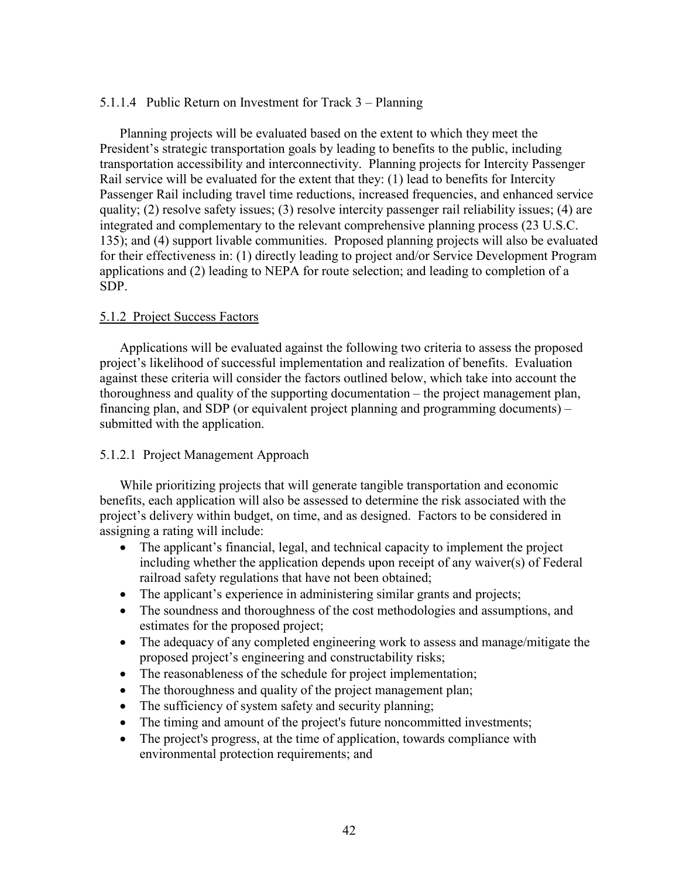## 5.1.1.4 Public Return on Investment for Track 3 – Planning

Planning projects will be evaluated based on the extent to which they meet the President's strategic transportation goals by leading to benefits to the public, including transportation accessibility and interconnectivity. Planning projects for Intercity Passenger Rail service will be evaluated for the extent that they: (1) lead to benefits for Intercity Passenger Rail including travel time reductions, increased frequencies, and enhanced service quality; (2) resolve safety issues; (3) resolve intercity passenger rail reliability issues; (4) are integrated and complementary to the relevant comprehensive planning process (23 U.S.C. 135); and (4) support livable communities. Proposed planning projects will also be evaluated for their effectiveness in: (1) directly leading to project and/or Service Development Program applications and (2) leading to NEPA for route selection; and leading to completion of a SDP.

## 5.1.2 Project Success Factors

Applications will be evaluated against the following two criteria to assess the proposed project's likelihood of successful implementation and realization of benefits. Evaluation against these criteria will consider the factors outlined below, which take into account the thoroughness and quality of the supporting documentation – the project management plan, financing plan, and SDP (or equivalent project planning and programming documents) – submitted with the application.

## 5.1.2.1 Project Management Approach

While prioritizing projects that will generate tangible transportation and economic benefits, each application will also be assessed to determine the risk associated with the project's delivery within budget, on time, and as designed. Factors to be considered in assigning a rating will include:

- The applicant's financial, legal, and technical capacity to implement the project including whether the application depends upon receipt of any waiver(s) of Federal railroad safety regulations that have not been obtained;
- The applicant's experience in administering similar grants and projects;
- The soundness and thoroughness of the cost methodologies and assumptions, and estimates for the proposed project;
- The adequacy of any completed engineering work to assess and manage/mitigate the proposed project's engineering and constructability risks;
- The reasonableness of the schedule for project implementation;
- The thoroughness and quality of the project management plan;
- The sufficiency of system safety and security planning;
- The timing and amount of the project's future noncommitted investments;
- The project's progress, at the time of application, towards compliance with environmental protection requirements; and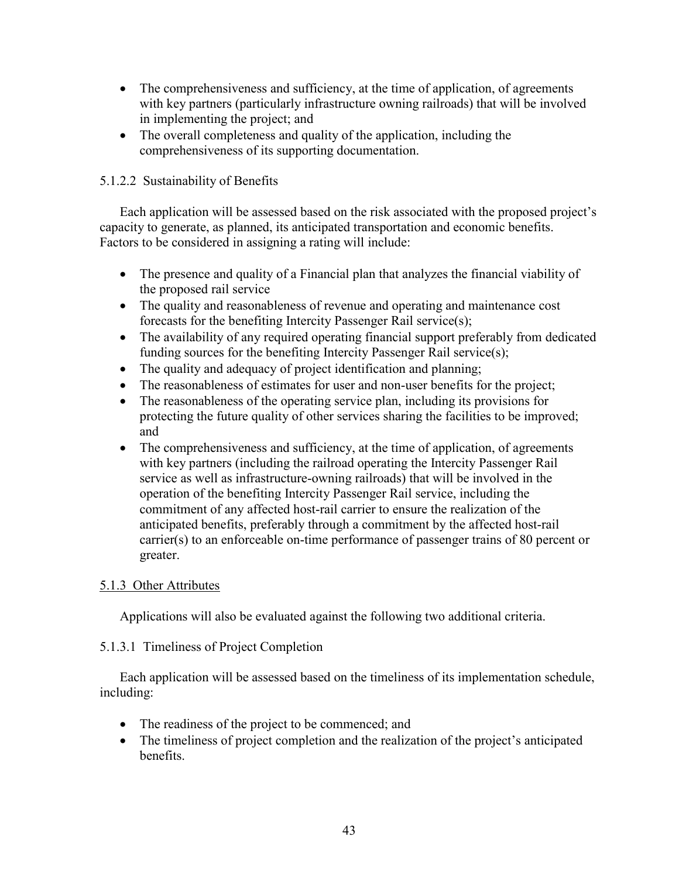- The comprehensiveness and sufficiency, at the time of application, of agreements with key partners (particularly infrastructure owning railroads) that will be involved in implementing the project; and
- The overall completeness and quality of the application, including the comprehensiveness of its supporting documentation.

## 5.1.2.2 Sustainability of Benefits

Each application will be assessed based on the risk associated with the proposed project's capacity to generate, as planned, its anticipated transportation and economic benefits. Factors to be considered in assigning a rating will include:

- The presence and quality of a Financial plan that analyzes the financial viability of the proposed rail service
- The quality and reasonableness of revenue and operating and maintenance cost forecasts for the benefiting Intercity Passenger Rail service(s);
- The availability of any required operating financial support preferably from dedicated funding sources for the benefiting Intercity Passenger Rail service(s);
- The quality and adequacy of project identification and planning;
- The reasonableness of estimates for user and non-user benefits for the project;
- The reasonableness of the operating service plan, including its provisions for protecting the future quality of other services sharing the facilities to be improved; and
- The comprehensiveness and sufficiency, at the time of application, of agreements with key partners (including the railroad operating the Intercity Passenger Rail service as well as infrastructure-owning railroads) that will be involved in the operation of the benefiting Intercity Passenger Rail service, including the commitment of any affected host-rail carrier to ensure the realization of the anticipated benefits, preferably through a commitment by the affected host-rail carrier(s) to an enforceable on-time performance of passenger trains of 80 percent or greater.

# 5.1.3 Other Attributes

Applications will also be evaluated against the following two additional criteria.

## 5.1.3.1 Timeliness of Project Completion

Each application will be assessed based on the timeliness of its implementation schedule, including:

- The readiness of the project to be commenced; and
- The timeliness of project completion and the realization of the project's anticipated benefits.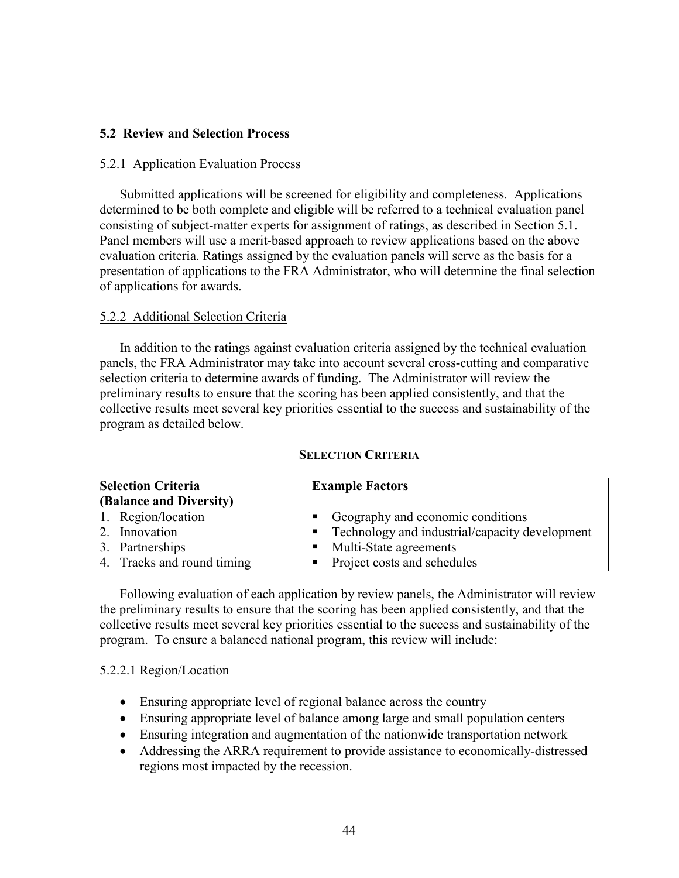## **5.2 Review and Selection Process**

### 5.2.1 Application Evaluation Process

Submitted applications will be screened for eligibility and completeness. Applications determined to be both complete and eligible will be referred to a technical evaluation panel consisting of subject-matter experts for assignment of ratings, as described in Section 5.1. Panel members will use a merit-based approach to review applications based on the above evaluation criteria. Ratings assigned by the evaluation panels will serve as the basis for a presentation of applications to the FRA Administrator, who will determine the final selection of applications for awards.

### 5.2.2 Additional Selection Criteria

In addition to the ratings against evaluation criteria assigned by the technical evaluation panels, the FRA Administrator may take into account several cross-cutting and comparative selection criteria to determine awards of funding. The Administrator will review the preliminary results to ensure that the scoring has been applied consistently, and that the collective results meet several key priorities essential to the success and sustainability of the program as detailed below.

| <b>Selection Criteria</b>  | <b>Example Factors</b>                           |  |
|----------------------------|--------------------------------------------------|--|
| (Balance and Diversity)    |                                                  |  |
| 1. Region/location         | Geography and economic conditions                |  |
| 2. Innovation              | • Technology and industrial/capacity development |  |
| 3. Partnerships            | • Multi-State agreements                         |  |
| 4. Tracks and round timing | • Project costs and schedules                    |  |

#### **SELECTION CRITERIA**

Following evaluation of each application by review panels, the Administrator will review the preliminary results to ensure that the scoring has been applied consistently, and that the collective results meet several key priorities essential to the success and sustainability of the program. To ensure a balanced national program, this review will include:

#### 5.2.2.1 Region/Location

- Ensuring appropriate level of regional balance across the country
- Ensuring appropriate level of balance among large and small population centers
- Ensuring integration and augmentation of the nationwide transportation network
- Addressing the ARRA requirement to provide assistance to economically-distressed regions most impacted by the recession.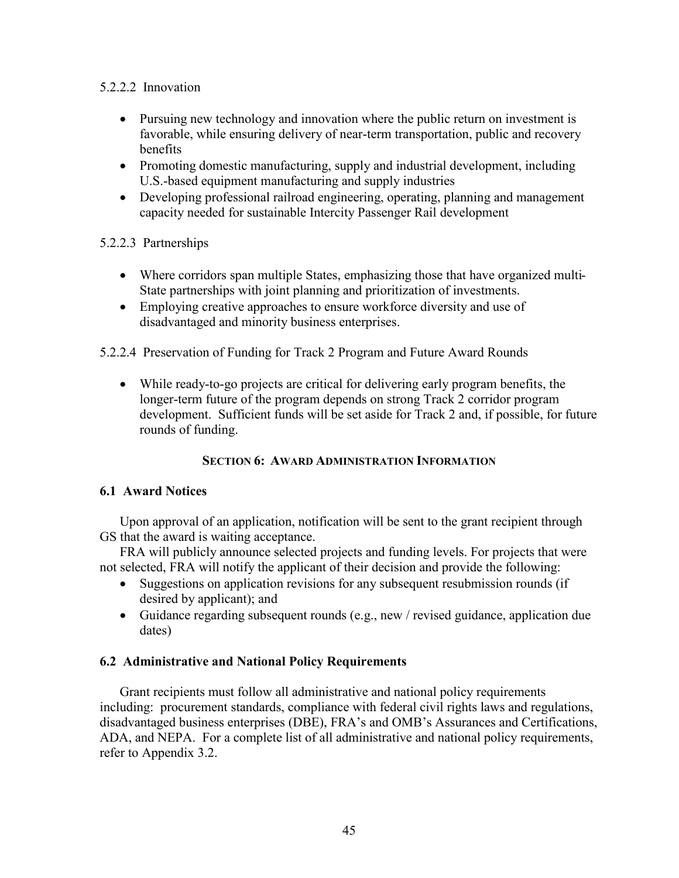## 5.2.2.2 Innovation

- Pursuing new technology and innovation where the public return on investment is favorable, while ensuring delivery of near-term transportation, public and recovery benefits
- Promoting domestic manufacturing, supply and industrial development, including U.S.-based equipment manufacturing and supply industries
- Developing professional railroad engineering, operating, planning and management capacity needed for sustainable Intercity Passenger Rail development

## 5.2.2.3 Partnerships

- Where corridors span multiple States, emphasizing those that have organized multi-State partnerships with joint planning and prioritization of investments.
- Employing creative approaches to ensure workforce diversity and use of disadvantaged and minority business enterprises.
- 5.2.2.4 Preservation of Funding for Track 2 Program and Future Award Rounds
	- While ready-to-go projects are critical for delivering early program benefits, the longer-term future of the program depends on strong Track 2 corridor program development. Sufficient funds will be set aside for Track 2 and, if possible, for future rounds of funding.

## **SECTION 6: AWARD ADMINISTRATION INFORMATION**

## **6.1 Award Notices**

Upon approval of an application, notification will be sent to the grant recipient through GS that the award is waiting acceptance.

FRA will publicly announce selected projects and funding levels. For projects that were not selected, FRA will notify the applicant of their decision and provide the following:

- Suggestions on application revisions for any subsequent resubmission rounds (if desired by applicant); and
- Guidance regarding subsequent rounds (e.g., new / revised guidance, application due dates)

## **6.2 Administrative and National Policy Requirements**

Grant recipients must follow all administrative and national policy requirements including: procurement standards, compliance with federal civil rights laws and regulations, disadvantaged business enterprises (DBE), FRA's and OMB's Assurances and Certifications, ADA, and NEPA. For a complete list of all administrative and national policy requirements, refer to Appendix 3.2.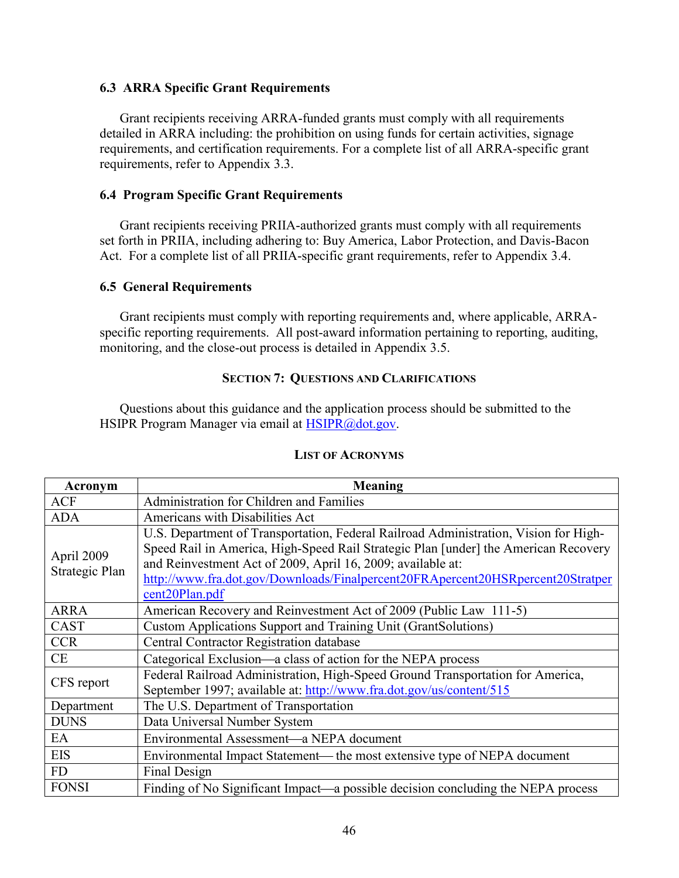## **6.3 ARRA Specific Grant Requirements**

Grant recipients receiving ARRA-funded grants must comply with all requirements detailed in ARRA including: the prohibition on using funds for certain activities, signage requirements, and certification requirements. For a complete list of all ARRA-specific grant requirements, refer to Appendix 3.3.

### **6.4 Program Specific Grant Requirements**

Grant recipients receiving PRIIA-authorized grants must comply with all requirements set forth in PRIIA, including adhering to: Buy America, Labor Protection, and Davis-Bacon Act. For a complete list of all PRIIA-specific grant requirements, refer to Appendix 3.4.

### **6.5 General Requirements**

Grant recipients must comply with reporting requirements and, where applicable, ARRAspecific reporting requirements. All post-award information pertaining to reporting, auditing, monitoring, and the close-out process is detailed in Appendix 3.5.

## **SECTION 7: QUESTIONS AND CLARIFICATIONS**

Questions about this guidance and the application process should be submitted to the HSIPR Program Manager via email at [HSIPR@dot.gov.](mailto:HSIPR@dot.gov.)

| Acronym                      | <b>Meaning</b>                                                                                                                                                                                                                                                                                                                                               |  |  |
|------------------------------|--------------------------------------------------------------------------------------------------------------------------------------------------------------------------------------------------------------------------------------------------------------------------------------------------------------------------------------------------------------|--|--|
| <b>ACF</b>                   | Administration for Children and Families                                                                                                                                                                                                                                                                                                                     |  |  |
| <b>ADA</b>                   | Americans with Disabilities Act                                                                                                                                                                                                                                                                                                                              |  |  |
| April 2009<br>Strategic Plan | U.S. Department of Transportation, Federal Railroad Administration, Vision for High-<br>Speed Rail in America, High-Speed Rail Strategic Plan [under] the American Recovery<br>and Reinvestment Act of 2009, April 16, 2009; available at:<br>http://www.fra.dot.gov/Downloads/Finalpercent20FRApercent20HSRpercent20Stratper<br>cent <sub>20</sub> Plan.pdf |  |  |
| <b>ARRA</b>                  | American Recovery and Reinvestment Act of 2009 (Public Law 111-5)                                                                                                                                                                                                                                                                                            |  |  |
| <b>CAST</b>                  | Custom Applications Support and Training Unit (GrantSolutions)                                                                                                                                                                                                                                                                                               |  |  |
| <b>CCR</b>                   | <b>Central Contractor Registration database</b>                                                                                                                                                                                                                                                                                                              |  |  |
| <b>CE</b>                    | Categorical Exclusion—a class of action for the NEPA process                                                                                                                                                                                                                                                                                                 |  |  |
| CFS report                   | Federal Railroad Administration, High-Speed Ground Transportation for America,<br>September 1997; available at: http://www.fra.dot.gov/us/content/515                                                                                                                                                                                                        |  |  |
| Department                   | The U.S. Department of Transportation                                                                                                                                                                                                                                                                                                                        |  |  |
| <b>DUNS</b>                  | Data Universal Number System                                                                                                                                                                                                                                                                                                                                 |  |  |
| EA                           | Environmental Assessment—a NEPA document                                                                                                                                                                                                                                                                                                                     |  |  |
| <b>EIS</b>                   | Environmental Impact Statement— the most extensive type of NEPA document                                                                                                                                                                                                                                                                                     |  |  |
| <b>FD</b>                    | Final Design                                                                                                                                                                                                                                                                                                                                                 |  |  |
| <b>FONSI</b>                 | Finding of No Significant Impact—a possible decision concluding the NEPA process                                                                                                                                                                                                                                                                             |  |  |

#### **LIST OF ACRONYMS**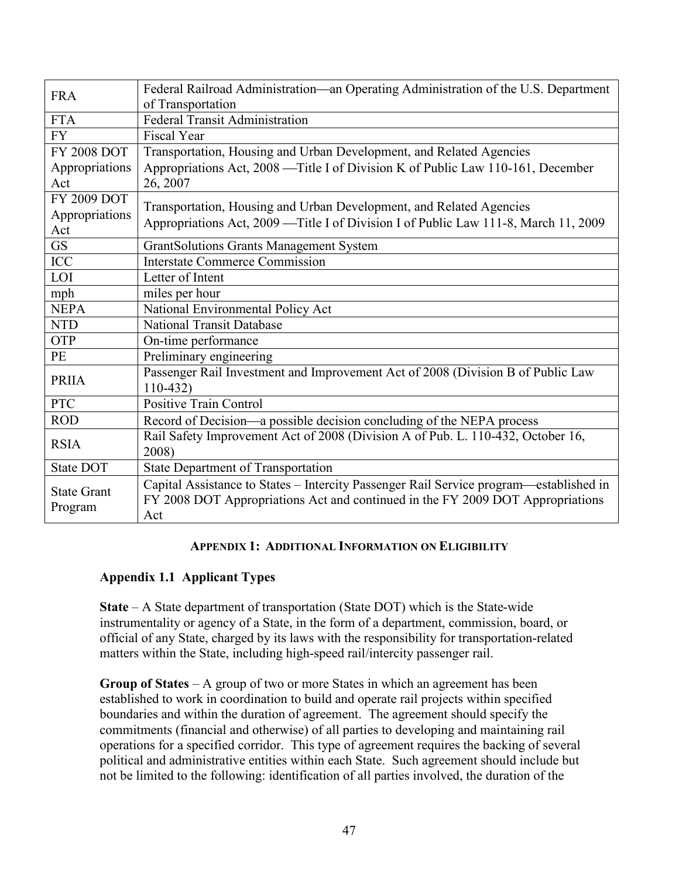| <b>FRA</b>         | Federal Railroad Administration-an Operating Administration of the U.S. Department<br>of Transportation |  |
|--------------------|---------------------------------------------------------------------------------------------------------|--|
| <b>FTA</b>         | <b>Federal Transit Administration</b>                                                                   |  |
| <b>FY</b>          | <b>Fiscal Year</b>                                                                                      |  |
| <b>FY 2008 DOT</b> | Transportation, Housing and Urban Development, and Related Agencies                                     |  |
| Appropriations     | Appropriations Act, 2008 — Title I of Division K of Public Law 110-161, December                        |  |
| Act                | 26, 2007                                                                                                |  |
| FY 2009 DOT        | Transportation, Housing and Urban Development, and Related Agencies                                     |  |
| Appropriations     |                                                                                                         |  |
| Act                | Appropriations Act, 2009 — Title I of Division I of Public Law 111-8, March 11, 2009                    |  |
| <b>GS</b>          | <b>GrantSolutions Grants Management System</b>                                                          |  |
| <b>ICC</b>         | <b>Interstate Commerce Commission</b>                                                                   |  |
| LOI                | Letter of Intent                                                                                        |  |
| mph                | miles per hour                                                                                          |  |
| <b>NEPA</b>        | National Environmental Policy Act                                                                       |  |
| <b>NTD</b>         | <b>National Transit Database</b>                                                                        |  |
| OTP                | On-time performance                                                                                     |  |
| PE                 | Preliminary engineering                                                                                 |  |
| <b>PRIIA</b>       | Passenger Rail Investment and Improvement Act of 2008 (Division B of Public Law<br>$110-432$            |  |
| <b>PTC</b>         | <b>Positive Train Control</b>                                                                           |  |
| <b>ROD</b>         | Record of Decision—a possible decision concluding of the NEPA process                                   |  |
| <b>RSIA</b>        | Rail Safety Improvement Act of 2008 (Division A of Pub. L. 110-432, October 16,                         |  |
|                    | 2008)                                                                                                   |  |
| State DOT          | <b>State Department of Transportation</b>                                                               |  |
| <b>State Grant</b> | Capital Assistance to States - Intercity Passenger Rail Service program—established in                  |  |
| Program            | FY 2008 DOT Appropriations Act and continued in the FY 2009 DOT Appropriations                          |  |
|                    | Act                                                                                                     |  |

## **APPENDIX 1: ADDITIONAL INFORMATION ON ELIGIBILITY**

## **Appendix 1.1 Applicant Types**

**State** – A State department of transportation (State DOT) which is the State-wide instrumentality or agency of a State, in the form of a department, commission, board, or official of any State, charged by its laws with the responsibility for transportation-related matters within the State, including high-speed rail/intercity passenger rail.

**Group of States** – A group of two or more States in which an agreement has been established to work in coordination to build and operate rail projects within specified boundaries and within the duration of agreement. The agreement should specify the commitments (financial and otherwise) of all parties to developing and maintaining rail operations for a specified corridor. This type of agreement requires the backing of several political and administrative entities within each State. Such agreement should include but not be limited to the following: identification of all parties involved, the duration of the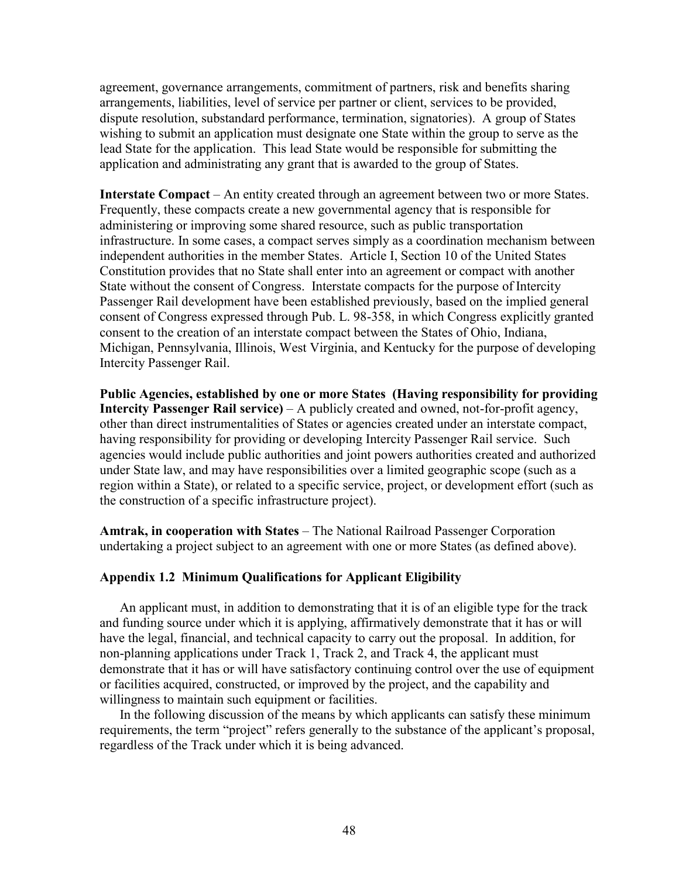agreement, governance arrangements, commitment of partners, risk and benefits sharing arrangements, liabilities, level of service per partner or client, services to be provided, dispute resolution, substandard performance, termination, signatories). A group of States wishing to submit an application must designate one State within the group to serve as the lead State for the application. This lead State would be responsible for submitting the application and administrating any grant that is awarded to the group of States.

**Interstate Compact** – An entity created through an agreement between two or more States. Frequently, these compacts create a new governmental agency that is responsible for administering or improving some shared resource, such as public transportation infrastructure. In some cases, a compact serves simply as a coordination mechanism between independent authorities in the member States. Article I, Section 10 of the United States Constitution provides that no State shall enter into an agreement or compact with another State without the consent of Congress. Interstate compacts for the purpose of Intercity Passenger Rail development have been established previously, based on the implied general consent of Congress expressed through Pub. L. 98-358, in which Congress explicitly granted consent to the creation of an interstate compact between the States of Ohio, Indiana, Michigan, Pennsylvania, Illinois, West Virginia, and Kentucky for the purpose of developing Intercity Passenger Rail.

**Public Agencies, established by one or more States (Having responsibility for providing Intercity Passenger Rail service)** – A publicly created and owned, not-for-profit agency, other than direct instrumentalities of States or agencies created under an interstate compact, having responsibility for providing or developing Intercity Passenger Rail service. Such agencies would include public authorities and joint powers authorities created and authorized under State law, and may have responsibilities over a limited geographic scope (such as a region within a State), or related to a specific service, project, or development effort (such as the construction of a specific infrastructure project).

**Amtrak, in cooperation with States** – The National Railroad Passenger Corporation undertaking a project subject to an agreement with one or more States (as defined above).

## **Appendix 1.2 Minimum Qualifications for Applicant Eligibility**

An applicant must, in addition to demonstrating that it is of an eligible type for the track and funding source under which it is applying, affirmatively demonstrate that it has or will have the legal, financial, and technical capacity to carry out the proposal. In addition, for non-planning applications under Track 1, Track 2, and Track 4, the applicant must demonstrate that it has or will have satisfactory continuing control over the use of equipment or facilities acquired, constructed, or improved by the project, and the capability and willingness to maintain such equipment or facilities.

In the following discussion of the means by which applicants can satisfy these minimum requirements, the term "project" refers generally to the substance of the applicant's proposal, regardless of the Track under which it is being advanced.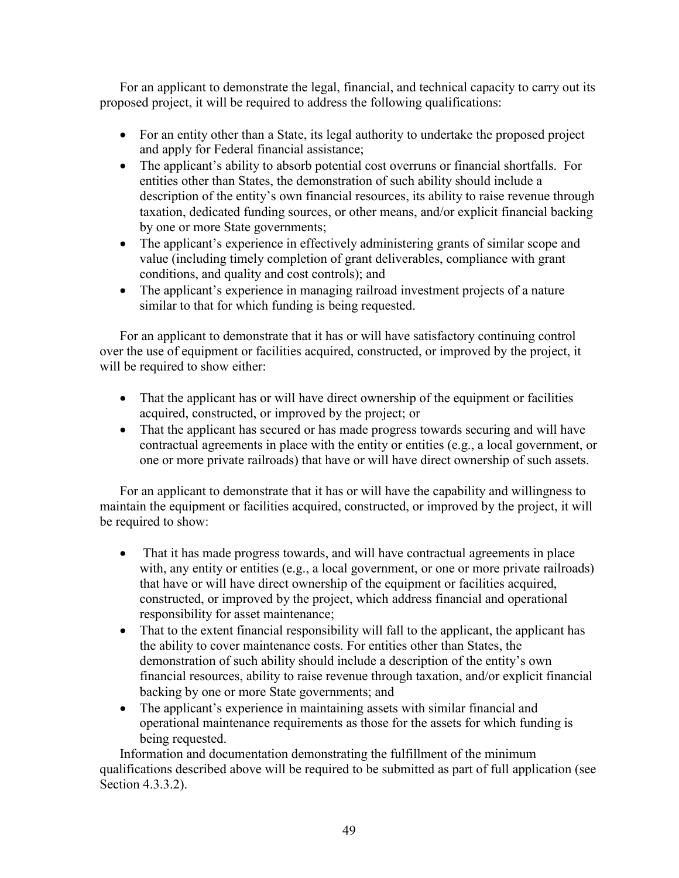For an applicant to demonstrate the legal, financial, and technical capacity to carry out its proposed project, it will be required to address the following qualifications:

- For an entity other than a State, its legal authority to undertake the proposed project and apply for Federal financial assistance;
- The applicant's ability to absorb potential cost overruns or financial shortfalls. For entities other than States, the demonstration of such ability should include a description of the entity's own financial resources, its ability to raise revenue through taxation, dedicated funding sources, or other means, and/or explicit financial backing by one or more State governments;
- The applicant's experience in effectively administering grants of similar scope and value (including timely completion of grant deliverables, compliance with grant conditions, and quality and cost controls); and
- The applicant's experience in managing railroad investment projects of a nature similar to that for which funding is being requested.

For an applicant to demonstrate that it has or will have satisfactory continuing control over the use of equipment or facilities acquired, constructed, or improved by the project, it will be required to show either:

- That the applicant has or will have direct ownership of the equipment or facilities acquired, constructed, or improved by the project; or
- That the applicant has secured or has made progress towards securing and will have contractual agreements in place with the entity or entities (e.g., a local government, or one or more private railroads) that have or will have direct ownership of such assets.

For an applicant to demonstrate that it has or will have the capability and willingness to maintain the equipment or facilities acquired, constructed, or improved by the project, it will be required to show:

- That it has made progress towards, and will have contractual agreements in place with, any entity or entities (e.g., a local government, or one or more private railroads) that have or will have direct ownership of the equipment or facilities acquired, constructed, or improved by the project, which address financial and operational responsibility for asset maintenance;
- That to the extent financial responsibility will fall to the applicant, the applicant has the ability to cover maintenance costs. For entities other than States, the demonstration of such ability should include a description of the entity's own financial resources, ability to raise revenue through taxation, and/or explicit financial backing by one or more State governments; and
- The applicant's experience in maintaining assets with similar financial and operational maintenance requirements as those for the assets for which funding is being requested.

Information and documentation demonstrating the fulfillment of the minimum qualifications described above will be required to be submitted as part of full application (see Section 4.3.3.2).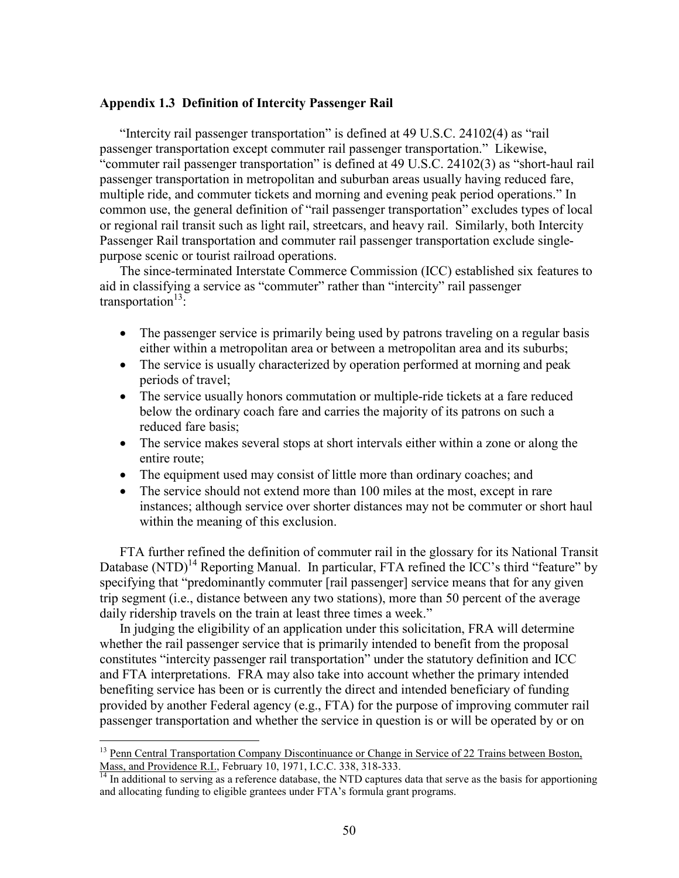#### **Appendix 1.3 Definition of Intercity Passenger Rail**

"Intercity rail passenger transportation" is defined at 49 U.S.C. 24102(4) as "rail passenger transportation except commuter rail passenger transportation." Likewise, "commuter rail passenger transportation" is defined at 49 U.S.C. 24102(3) as "short-haul rail passenger transportation in metropolitan and suburban areas usually having reduced fare, multiple ride, and commuter tickets and morning and evening peak period operations." In common use, the general definition of "rail passenger transportation" excludes types of local or regional rail transit such as light rail, streetcars, and heavy rail. Similarly, both Intercity Passenger Rail transportation and commuter rail passenger transportation exclude singlepurpose scenic or tourist railroad operations.

The since-terminated Interstate Commerce Commission (ICC) established six features to aid in classifying a service as "commuter" rather than "intercity" rail passenger transportation $13$ :

- The passenger service is primarily being used by patrons traveling on a regular basis either within a metropolitan area or between a metropolitan area and its suburbs;
- The service is usually characterized by operation performed at morning and peak periods of travel;
- The service usually honors commutation or multiple-ride tickets at a fare reduced below the ordinary coach fare and carries the majority of its patrons on such a reduced fare basis;
- The service makes several stops at short intervals either within a zone or along the entire route;
- The equipment used may consist of little more than ordinary coaches; and
- The service should not extend more than 100 miles at the most, except in rare instances; although service over shorter distances may not be commuter or short haul within the meaning of this exclusion.

FTA further refined the definition of commuter rail in the glossary for its National Transit Database  $(NTD)^{14}$  Reporting Manual. In particular, FTA refined the ICC's third "feature" by specifying that "predominantly commuter [rail passenger] service means that for any given trip segment (i.e., distance between any two stations), more than 50 percent of the average daily ridership travels on the train at least three times a week."

In judging the eligibility of an application under this solicitation, FRA will determine whether the rail passenger service that is primarily intended to benefit from the proposal constitutes "intercity passenger rail transportation" under the statutory definition and ICC and FTA interpretations. FRA may also take into account whether the primary intended benefiting service has been or is currently the direct and intended beneficiary of funding provided by another Federal agency (e.g., FTA) for the purpose of improving commuter rail passenger transportation and whether the service in question is or will be operated by or on

 $\overline{a}$ 

<sup>&</sup>lt;sup>13</sup> Penn Central Transportation Company Discontinuance or Change in Service of 22 Trains between Boston, Mass, and Providence R.I., February 10, 1971, I.C.C. 338, 318-333.

 $<sup>14</sup>$  In additional to serving as a reference database, the NTD captures data that serve as the basis for apportioning</sup> and allocating funding to eligible grantees under FTA's formula grant programs.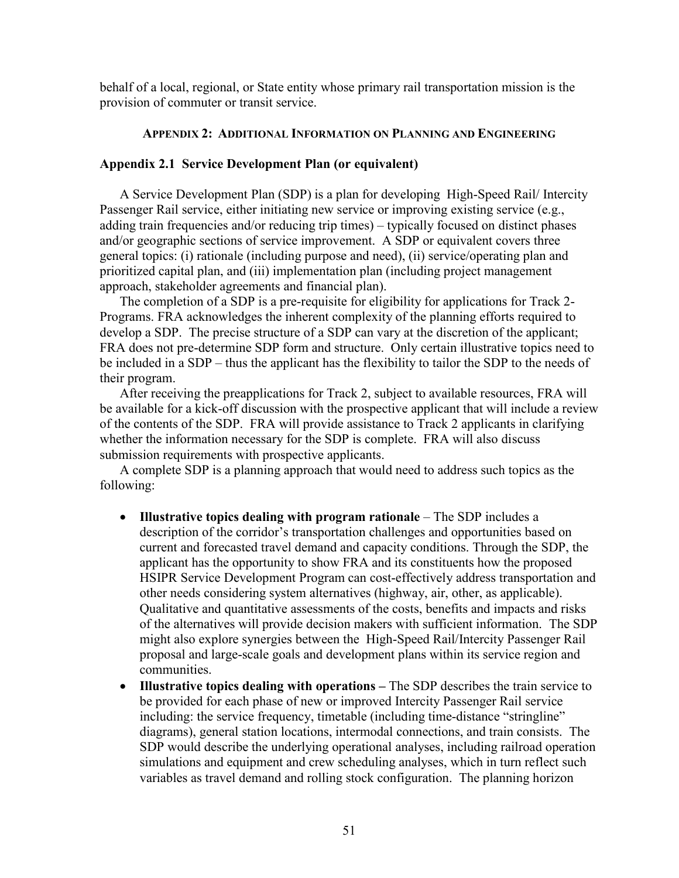behalf of a local, regional, or State entity whose primary rail transportation mission is the provision of commuter or transit service.

## **APPENDIX 2: ADDITIONAL INFORMATION ON PLANNING AND ENGINEERING**

### **Appendix 2.1 Service Development Plan (or equivalent)**

A Service Development Plan (SDP) is a plan for developing High-Speed Rail/ Intercity Passenger Rail service, either initiating new service or improving existing service (e.g., adding train frequencies and/or reducing trip times) – typically focused on distinct phases and/or geographic sections of service improvement. A SDP or equivalent covers three general topics: (i) rationale (including purpose and need), (ii) service/operating plan and prioritized capital plan, and (iii) implementation plan (including project management approach, stakeholder agreements and financial plan).

The completion of a SDP is a pre-requisite for eligibility for applications for Track 2- Programs. FRA acknowledges the inherent complexity of the planning efforts required to develop a SDP. The precise structure of a SDP can vary at the discretion of the applicant; FRA does not pre-determine SDP form and structure. Only certain illustrative topics need to be included in a SDP – thus the applicant has the flexibility to tailor the SDP to the needs of their program.

After receiving the preapplications for Track 2, subject to available resources, FRA will be available for a kick-off discussion with the prospective applicant that will include a review of the contents of the SDP. FRA will provide assistance to Track 2 applicants in clarifying whether the information necessary for the SDP is complete. FRA will also discuss submission requirements with prospective applicants.

A complete SDP is a planning approach that would need to address such topics as the following:

- **Illustrative topics dealing with program rationale** The SDP includes a description of the corridor's transportation challenges and opportunities based on current and forecasted travel demand and capacity conditions. Through the SDP, the applicant has the opportunity to show FRA and its constituents how the proposed HSIPR Service Development Program can cost-effectively address transportation and other needs considering system alternatives (highway, air, other, as applicable). Qualitative and quantitative assessments of the costs, benefits and impacts and risks of the alternatives will provide decision makers with sufficient information. The SDP might also explore synergies between the High-Speed Rail/Intercity Passenger Rail proposal and large-scale goals and development plans within its service region and communities.
- **Illustrative topics dealing with operations The SDP describes the train service to** be provided for each phase of new or improved Intercity Passenger Rail service including: the service frequency, timetable (including time-distance "stringline" diagrams), general station locations, intermodal connections, and train consists. The SDP would describe the underlying operational analyses, including railroad operation simulations and equipment and crew scheduling analyses, which in turn reflect such variables as travel demand and rolling stock configuration. The planning horizon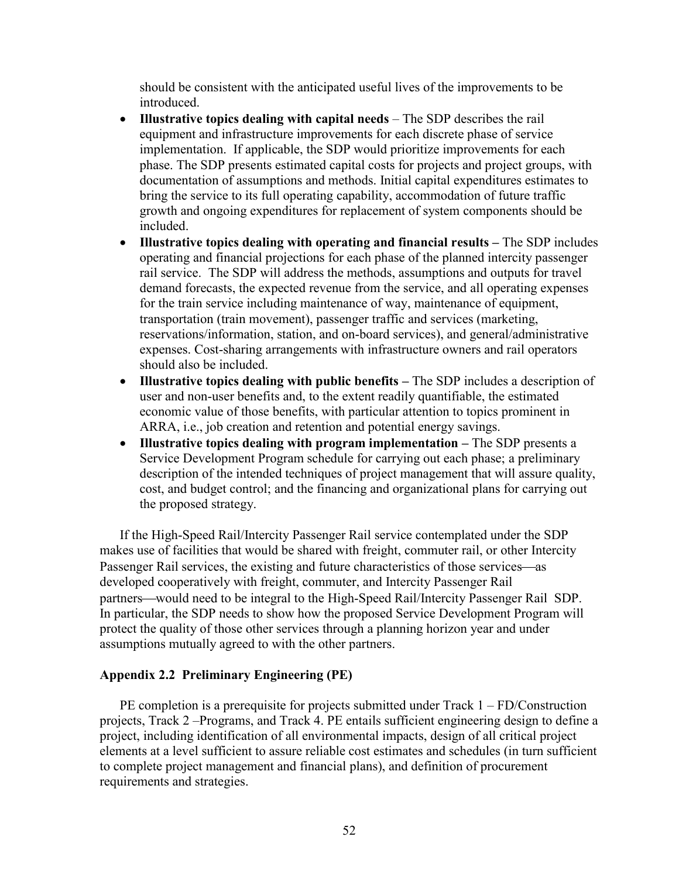should be consistent with the anticipated useful lives of the improvements to be **introduced** 

- **Illustrative topics dealing with capital needs** The SDP describes the rail equipment and infrastructure improvements for each discrete phase of service implementation. If applicable, the SDP would prioritize improvements for each phase. The SDP presents estimated capital costs for projects and project groups, with documentation of assumptions and methods. Initial capital expenditures estimates to bring the service to its full operating capability, accommodation of future traffic growth and ongoing expenditures for replacement of system components should be included.
- **Illustrative topics dealing with operating and financial results –** The SDP includes operating and financial projections for each phase of the planned intercity passenger rail service. The SDP will address the methods, assumptions and outputs for travel demand forecasts, the expected revenue from the service, and all operating expenses for the train service including maintenance of way, maintenance of equipment, transportation (train movement), passenger traffic and services (marketing, reservations/information, station, and on-board services), and general/administrative expenses. Cost-sharing arrangements with infrastructure owners and rail operators should also be included.
- **Illustrative topics dealing with public benefits –** The SDP includes a description of user and non-user benefits and, to the extent readily quantifiable, the estimated economic value of those benefits, with particular attention to topics prominent in ARRA, i.e., job creation and retention and potential energy savings.
- **Illustrative topics dealing with program implementation –** The SDP presents a Service Development Program schedule for carrying out each phase; a preliminary description of the intended techniques of project management that will assure quality, cost, and budget control; and the financing and organizational plans for carrying out the proposed strategy.

If the High-Speed Rail/Intercity Passenger Rail service contemplated under the SDP makes use of facilities that would be shared with freight, commuter rail, or other Intercity Passenger Rail services, the existing and future characteristics of those services—as developed cooperatively with freight, commuter, and Intercity Passenger Rail partners—would need to be integral to the High-Speed Rail/Intercity Passenger Rail SDP. In particular, the SDP needs to show how the proposed Service Development Program will protect the quality of those other services through a planning horizon year and under assumptions mutually agreed to with the other partners.

## **Appendix 2.2 Preliminary Engineering (PE)**

PE completion is a prerequisite for projects submitted under Track 1 – FD/Construction projects, Track 2 –Programs, and Track 4. PE entails sufficient engineering design to define a project, including identification of all environmental impacts, design of all critical project elements at a level sufficient to assure reliable cost estimates and schedules (in turn sufficient to complete project management and financial plans), and definition of procurement requirements and strategies.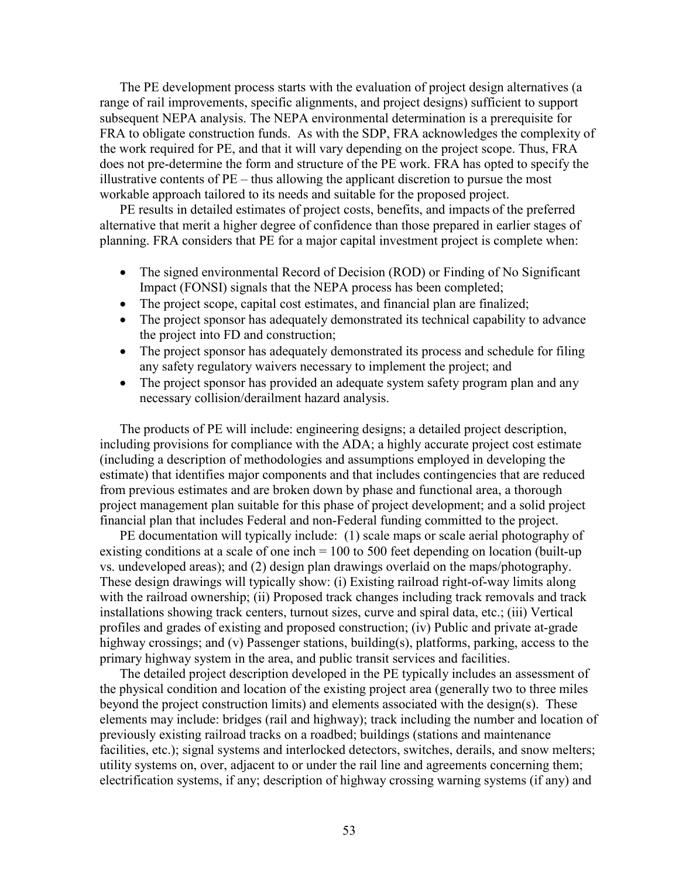The PE development process starts with the evaluation of project design alternatives (a range of rail improvements, specific alignments, and project designs) sufficient to support subsequent NEPA analysis. The NEPA environmental determination is a prerequisite for FRA to obligate construction funds. As with the SDP, FRA acknowledges the complexity of the work required for PE, and that it will vary depending on the project scope. Thus, FRA does not pre-determine the form and structure of the PE work. FRA has opted to specify the illustrative contents of PE – thus allowing the applicant discretion to pursue the most workable approach tailored to its needs and suitable for the proposed project.

PE results in detailed estimates of project costs, benefits, and impacts of the preferred alternative that merit a higher degree of confidence than those prepared in earlier stages of planning. FRA considers that PE for a major capital investment project is complete when:

- The signed environmental Record of Decision (ROD) or Finding of No Significant Impact (FONSI) signals that the NEPA process has been completed;
- The project scope, capital cost estimates, and financial plan are finalized;
- The project sponsor has adequately demonstrated its technical capability to advance the project into FD and construction;
- The project sponsor has adequately demonstrated its process and schedule for filing any safety regulatory waivers necessary to implement the project; and
- The project sponsor has provided an adequate system safety program plan and any necessary collision/derailment hazard analysis.

The products of PE will include: engineering designs; a detailed project description, including provisions for compliance with the ADA; a highly accurate project cost estimate (including a description of methodologies and assumptions employed in developing the estimate) that identifies major components and that includes contingencies that are reduced from previous estimates and are broken down by phase and functional area, a thorough project management plan suitable for this phase of project development; and a solid project financial plan that includes Federal and non-Federal funding committed to the project.

PE documentation will typically include: (1) scale maps or scale aerial photography of existing conditions at a scale of one inch = 100 to 500 feet depending on location (built-up vs. undeveloped areas); and (2) design plan drawings overlaid on the maps/photography. These design drawings will typically show: (i) Existing railroad right-of-way limits along with the railroad ownership; (ii) Proposed track changes including track removals and track installations showing track centers, turnout sizes, curve and spiral data, etc.; (iii) Vertical profiles and grades of existing and proposed construction; (iv) Public and private at-grade highway crossings; and (v) Passenger stations, building(s), platforms, parking, access to the primary highway system in the area, and public transit services and facilities.

The detailed project description developed in the PE typically includes an assessment of the physical condition and location of the existing project area (generally two to three miles beyond the project construction limits) and elements associated with the design(s). These elements may include: bridges (rail and highway); track including the number and location of previously existing railroad tracks on a roadbed; buildings (stations and maintenance facilities, etc.); signal systems and interlocked detectors, switches, derails, and snow melters; utility systems on, over, adjacent to or under the rail line and agreements concerning them; electrification systems, if any; description of highway crossing warning systems (if any) and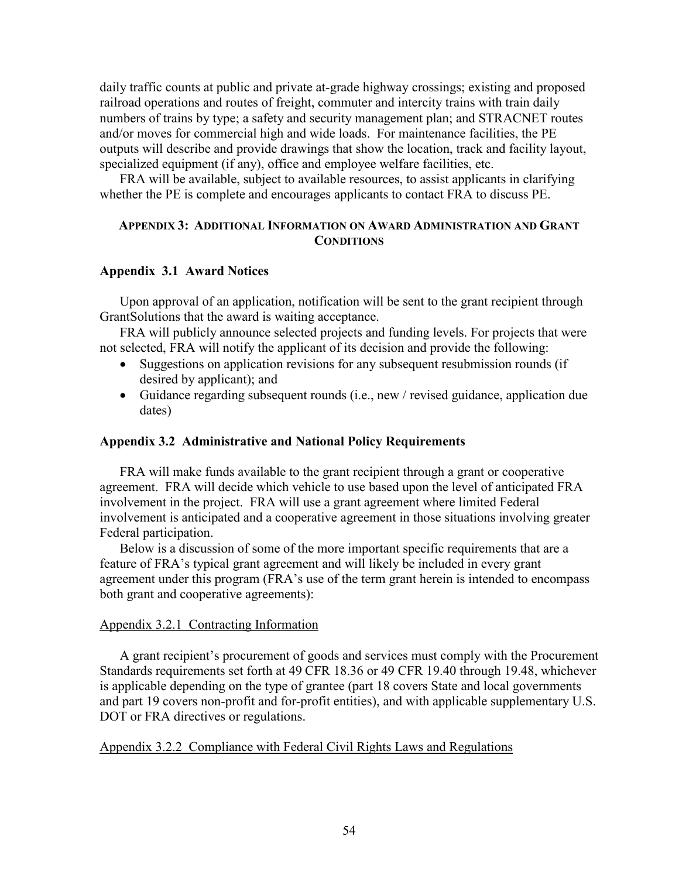daily traffic counts at public and private at-grade highway crossings; existing and proposed railroad operations and routes of freight, commuter and intercity trains with train daily numbers of trains by type; a safety and security management plan; and STRACNET routes and/or moves for commercial high and wide loads. For maintenance facilities, the PE outputs will describe and provide drawings that show the location, track and facility layout, specialized equipment (if any), office and employee welfare facilities, etc.

FRA will be available, subject to available resources, to assist applicants in clarifying whether the PE is complete and encourages applicants to contact FRA to discuss PE.

## **APPENDIX 3: ADDITIONAL INFORMATION ON AWARD ADMINISTRATION AND GRANT CONDITIONS**

### **Appendix 3.1 Award Notices**

Upon approval of an application, notification will be sent to the grant recipient through GrantSolutions that the award is waiting acceptance.

FRA will publicly announce selected projects and funding levels. For projects that were not selected, FRA will notify the applicant of its decision and provide the following:

- Suggestions on application revisions for any subsequent resubmission rounds (if desired by applicant); and
- Guidance regarding subsequent rounds (i.e., new / revised guidance, application due dates)

## **Appendix 3.2 Administrative and National Policy Requirements**

FRA will make funds available to the grant recipient through a grant or cooperative agreement. FRA will decide which vehicle to use based upon the level of anticipated FRA involvement in the project. FRA will use a grant agreement where limited Federal involvement is anticipated and a cooperative agreement in those situations involving greater Federal participation.

Below is a discussion of some of the more important specific requirements that are a feature of FRA's typical grant agreement and will likely be included in every grant agreement under this program (FRA's use of the term grant herein is intended to encompass both grant and cooperative agreements):

#### Appendix 3.2.1 Contracting Information

A grant recipient's procurement of goods and services must comply with the Procurement Standards requirements set forth at 49 CFR 18.36 or 49 CFR 19.40 through 19.48, whichever is applicable depending on the type of grantee (part 18 covers State and local governments and part 19 covers non-profit and for-profit entities), and with applicable supplementary U.S. DOT or FRA directives or regulations.

## Appendix 3.2.2 Compliance with Federal Civil Rights Laws and Regulations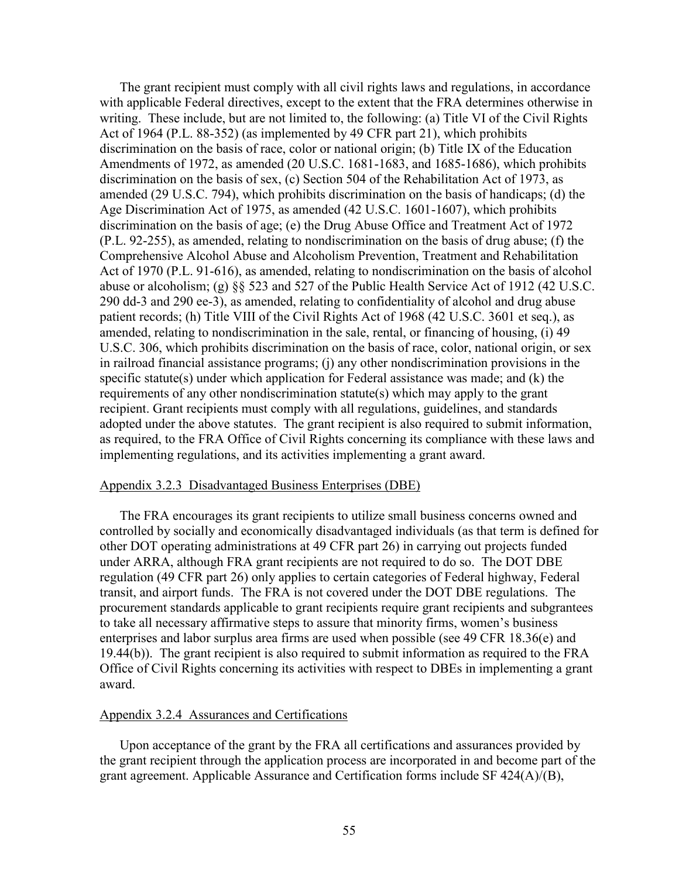The grant recipient must comply with all civil rights laws and regulations, in accordance with applicable Federal directives, except to the extent that the FRA determines otherwise in writing. These include, but are not limited to, the following: (a) Title VI of the Civil Rights Act of 1964 (P.L. 88-352) (as implemented by 49 CFR part 21), which prohibits discrimination on the basis of race, color or national origin; (b) Title IX of the Education Amendments of 1972, as amended (20 U.S.C. 1681-1683, and 1685-1686), which prohibits discrimination on the basis of sex, (c) Section 504 of the Rehabilitation Act of 1973, as amended (29 U.S.C. 794), which prohibits discrimination on the basis of handicaps; (d) the Age Discrimination Act of 1975, as amended (42 U.S.C. 1601-1607), which prohibits discrimination on the basis of age; (e) the Drug Abuse Office and Treatment Act of 1972 (P.L. 92-255), as amended, relating to nondiscrimination on the basis of drug abuse; (f) the Comprehensive Alcohol Abuse and Alcoholism Prevention, Treatment and Rehabilitation Act of 1970 (P.L. 91-616), as amended, relating to nondiscrimination on the basis of alcohol abuse or alcoholism; (g) §§ 523 and 527 of the Public Health Service Act of 1912 (42 U.S.C. 290 dd-3 and 290 ee-3), as amended, relating to confidentiality of alcohol and drug abuse patient records; (h) Title VIII of the Civil Rights Act of 1968 (42 U.S.C. 3601 et seq.), as amended, relating to nondiscrimination in the sale, rental, or financing of housing, (i) 49 U.S.C. 306, which prohibits discrimination on the basis of race, color, national origin, or sex in railroad financial assistance programs; (j) any other nondiscrimination provisions in the specific statute(s) under which application for Federal assistance was made; and (k) the requirements of any other nondiscrimination statute(s) which may apply to the grant recipient. Grant recipients must comply with all regulations, guidelines, and standards adopted under the above statutes. The grant recipient is also required to submit information, as required, to the FRA Office of Civil Rights concerning its compliance with these laws and implementing regulations, and its activities implementing a grant award.

#### Appendix 3.2.3 Disadvantaged Business Enterprises (DBE)

The FRA encourages its grant recipients to utilize small business concerns owned and controlled by socially and economically disadvantaged individuals (as that term is defined for other DOT operating administrations at 49 CFR part 26) in carrying out projects funded under ARRA, although FRA grant recipients are not required to do so. The DOT DBE regulation (49 CFR part 26) only applies to certain categories of Federal highway, Federal transit, and airport funds. The FRA is not covered under the DOT DBE regulations. The procurement standards applicable to grant recipients require grant recipients and subgrantees to take all necessary affirmative steps to assure that minority firms, women's business enterprises and labor surplus area firms are used when possible (see 49 CFR 18.36(e) and 19.44(b)). The grant recipient is also required to submit information as required to the FRA Office of Civil Rights concerning its activities with respect to DBEs in implementing a grant award.

### Appendix 3.2.4 Assurances and Certifications

Upon acceptance of the grant by the FRA all certifications and assurances provided by the grant recipient through the application process are incorporated in and become part of the grant agreement. Applicable Assurance and Certification forms include SF 424(A)/(B),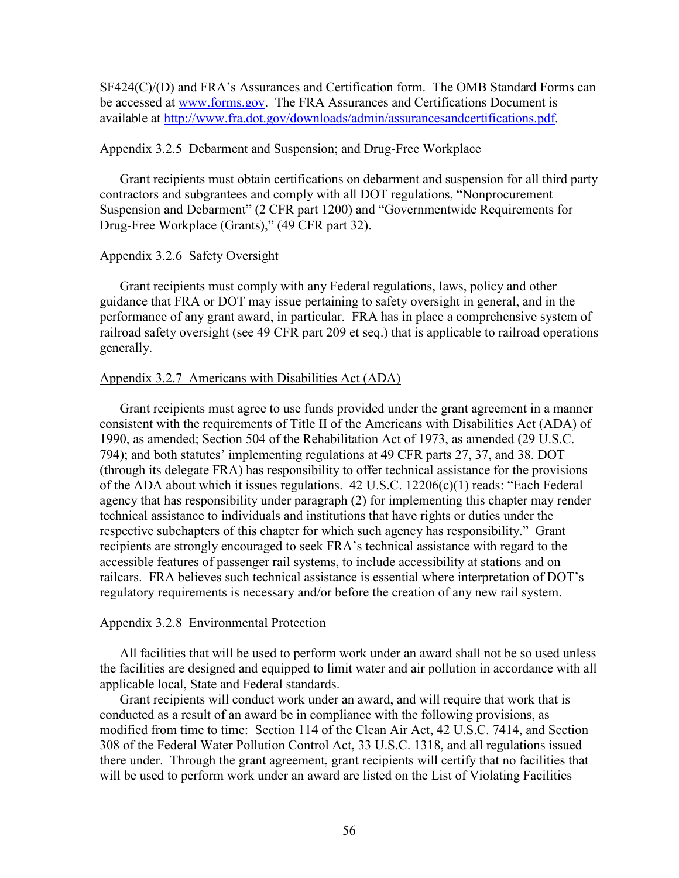SF424(C)/(D) and FRA's Assurances and Certification form. The OMB Standard Forms can be accessed at [www.forms.gov.](www.forms.gov) The FRA Assurances and Certifications Document is available at [http://www.fra.dot.gov/downloads/admin/assurancesandcertifications.pdf.](http://www.fra.dot.gov/downloads/admin/assurancesandcertifications.pdf)

#### Appendix 3.2.5 Debarment and Suspension; and Drug-Free Workplace

Grant recipients must obtain certifications on debarment and suspension for all third party contractors and subgrantees and comply with all DOT regulations, "Nonprocurement Suspension and Debarment" (2 CFR part 1200) and "Governmentwide Requirements for Drug-Free Workplace (Grants)," (49 CFR part 32).

## Appendix 3.2.6 Safety Oversight

Grant recipients must comply with any Federal regulations, laws, policy and other guidance that FRA or DOT may issue pertaining to safety oversight in general, and in the performance of any grant award, in particular. FRA has in place a comprehensive system of railroad safety oversight (see 49 CFR part 209 et seq.) that is applicable to railroad operations generally.

## Appendix 3.2.7 Americans with Disabilities Act (ADA)

Grant recipients must agree to use funds provided under the grant agreement in a manner consistent with the requirements of Title II of the Americans with Disabilities Act (ADA) of 1990, as amended; Section 504 of the Rehabilitation Act of 1973, as amended (29 U.S.C. 794); and both statutes' implementing regulations at 49 CFR parts 27, 37, and 38. DOT (through its delegate FRA) has responsibility to offer technical assistance for the provisions of the ADA about which it issues regulations. 42 U.S.C. 12206(c)(1) reads: "Each Federal agency that has responsibility under paragraph (2) for implementing this chapter may render technical assistance to individuals and institutions that have rights or duties under the respective subchapters of this chapter for which such agency has responsibility." Grant recipients are strongly encouraged to seek FRA's technical assistance with regard to the accessible features of passenger rail systems, to include accessibility at stations and on railcars. FRA believes such technical assistance is essential where interpretation of DOT's regulatory requirements is necessary and/or before the creation of any new rail system.

## Appendix 3.2.8 Environmental Protection

All facilities that will be used to perform work under an award shall not be so used unless the facilities are designed and equipped to limit water and air pollution in accordance with all applicable local, State and Federal standards.

Grant recipients will conduct work under an award, and will require that work that is conducted as a result of an award be in compliance with the following provisions, as modified from time to time: Section 114 of the Clean Air Act, 42 U.S.C. 7414, and Section 308 of the Federal Water Pollution Control Act, 33 U.S.C. 1318, and all regulations issued there under. Through the grant agreement, grant recipients will certify that no facilities that will be used to perform work under an award are listed on the List of Violating Facilities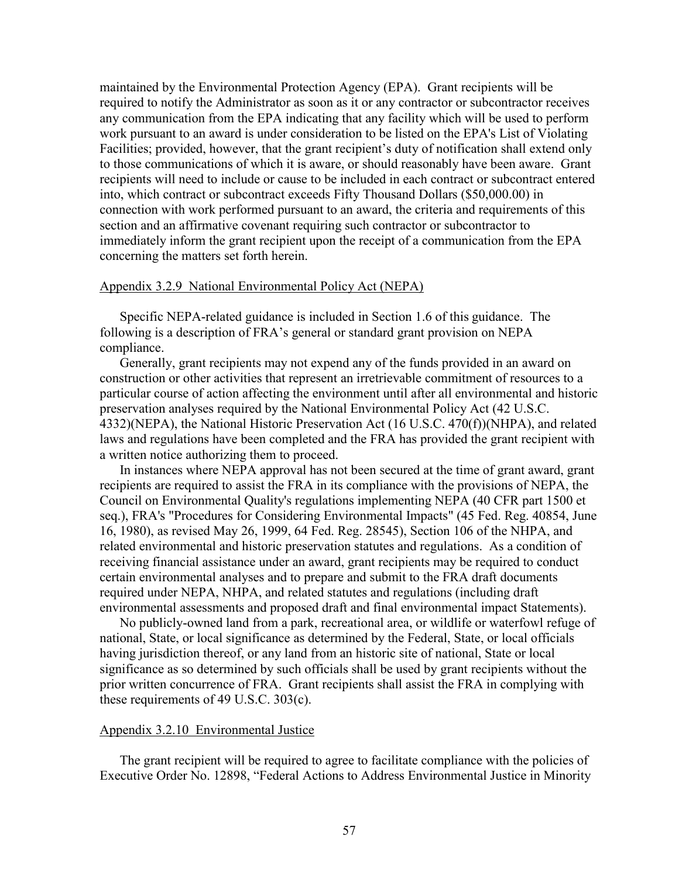maintained by the Environmental Protection Agency (EPA). Grant recipients will be required to notify the Administrator as soon as it or any contractor or subcontractor receives any communication from the EPA indicating that any facility which will be used to perform work pursuant to an award is under consideration to be listed on the EPA's List of Violating Facilities; provided, however, that the grant recipient's duty of notification shall extend only to those communications of which it is aware, or should reasonably have been aware. Grant recipients will need to include or cause to be included in each contract or subcontract entered into, which contract or subcontract exceeds Fifty Thousand Dollars (\$50,000.00) in connection with work performed pursuant to an award, the criteria and requirements of this section and an affirmative covenant requiring such contractor or subcontractor to immediately inform the grant recipient upon the receipt of a communication from the EPA concerning the matters set forth herein.

### Appendix 3.2.9 National Environmental Policy Act (NEPA)

Specific NEPA-related guidance is included in Section 1.6 of this guidance. The following is a description of FRA's general or standard grant provision on NEPA compliance.

Generally, grant recipients may not expend any of the funds provided in an award on construction or other activities that represent an irretrievable commitment of resources to a particular course of action affecting the environment until after all environmental and historic preservation analyses required by the National Environmental Policy Act (42 U.S.C. 4332)(NEPA), the National Historic Preservation Act (16 U.S.C. 470(f))(NHPA), and related laws and regulations have been completed and the FRA has provided the grant recipient with a written notice authorizing them to proceed.

In instances where NEPA approval has not been secured at the time of grant award, grant recipients are required to assist the FRA in its compliance with the provisions of NEPA, the Council on Environmental Quality's regulations implementing NEPA (40 CFR part 1500 et seq.), FRA's "Procedures for Considering Environmental Impacts" (45 Fed. Reg. 40854, June 16, 1980), as revised May 26, 1999, 64 Fed. Reg. 28545), Section 106 of the NHPA, and related environmental and historic preservation statutes and regulations. As a condition of receiving financial assistance under an award, grant recipients may be required to conduct certain environmental analyses and to prepare and submit to the FRA draft documents required under NEPA, NHPA, and related statutes and regulations (including draft environmental assessments and proposed draft and final environmental impact Statements).

No publicly-owned land from a park, recreational area, or wildlife or waterfowl refuge of national, State, or local significance as determined by the Federal, State, or local officials having jurisdiction thereof, or any land from an historic site of national, State or local significance as so determined by such officials shall be used by grant recipients without the prior written concurrence of FRA. Grant recipients shall assist the FRA in complying with these requirements of 49 U.S.C. 303(c).

#### Appendix 3.2.10 Environmental Justice

The grant recipient will be required to agree to facilitate compliance with the policies of Executive Order No. 12898, "Federal Actions to Address Environmental Justice in Minority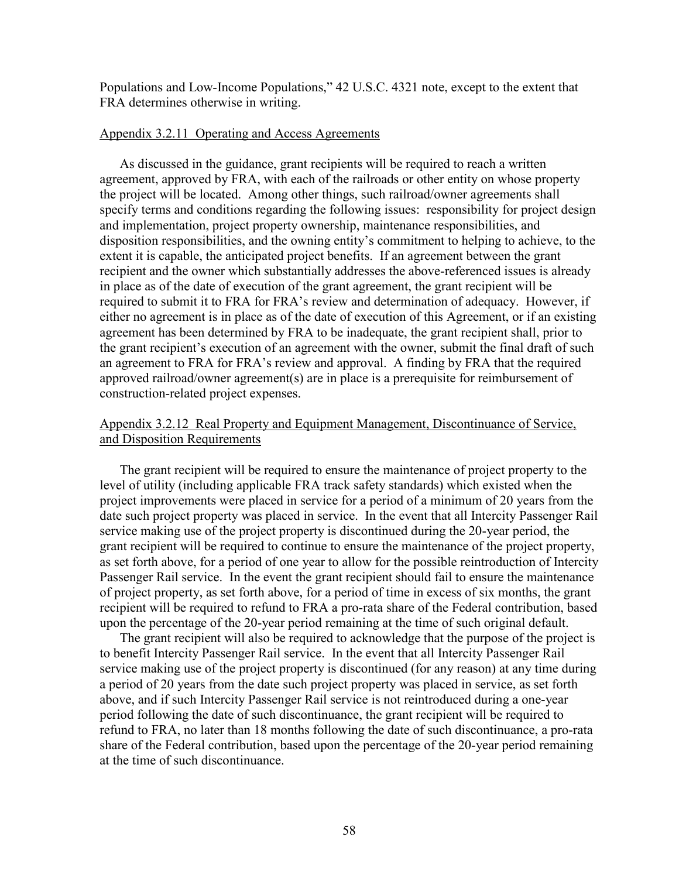Populations and Low-Income Populations," 42 U.S.C. 4321 note, except to the extent that FRA determines otherwise in writing.

## Appendix 3.2.11 Operating and Access Agreements

As discussed in the guidance, grant recipients will be required to reach a written agreement, approved by FRA, with each of the railroads or other entity on whose property the project will be located. Among other things, such railroad/owner agreements shall specify terms and conditions regarding the following issues: responsibility for project design and implementation, project property ownership, maintenance responsibilities, and disposition responsibilities, and the owning entity's commitment to helping to achieve, to the extent it is capable, the anticipated project benefits. If an agreement between the grant recipient and the owner which substantially addresses the above-referenced issues is already in place as of the date of execution of the grant agreement, the grant recipient will be required to submit it to FRA for FRA's review and determination of adequacy. However, if either no agreement is in place as of the date of execution of this Agreement, or if an existing agreement has been determined by FRA to be inadequate, the grant recipient shall, prior to the grant recipient's execution of an agreement with the owner, submit the final draft of such an agreement to FRA for FRA's review and approval. A finding by FRA that the required approved railroad/owner agreement(s) are in place is a prerequisite for reimbursement of construction-related project expenses.

## Appendix 3.2.12 Real Property and Equipment Management, Discontinuance of Service, and Disposition Requirements

The grant recipient will be required to ensure the maintenance of project property to the level of utility (including applicable FRA track safety standards) which existed when the project improvements were placed in service for a period of a minimum of 20 years from the date such project property was placed in service. In the event that all Intercity Passenger Rail service making use of the project property is discontinued during the 20-year period, the grant recipient will be required to continue to ensure the maintenance of the project property, as set forth above, for a period of one year to allow for the possible reintroduction of Intercity Passenger Rail service. In the event the grant recipient should fail to ensure the maintenance of project property, as set forth above, for a period of time in excess of six months, the grant recipient will be required to refund to FRA a pro-rata share of the Federal contribution, based upon the percentage of the 20-year period remaining at the time of such original default.

The grant recipient will also be required to acknowledge that the purpose of the project is to benefit Intercity Passenger Rail service. In the event that all Intercity Passenger Rail service making use of the project property is discontinued (for any reason) at any time during a period of 20 years from the date such project property was placed in service, as set forth above, and if such Intercity Passenger Rail service is not reintroduced during a one-year period following the date of such discontinuance, the grant recipient will be required to refund to FRA, no later than 18 months following the date of such discontinuance, a pro-rata share of the Federal contribution, based upon the percentage of the 20-year period remaining at the time of such discontinuance.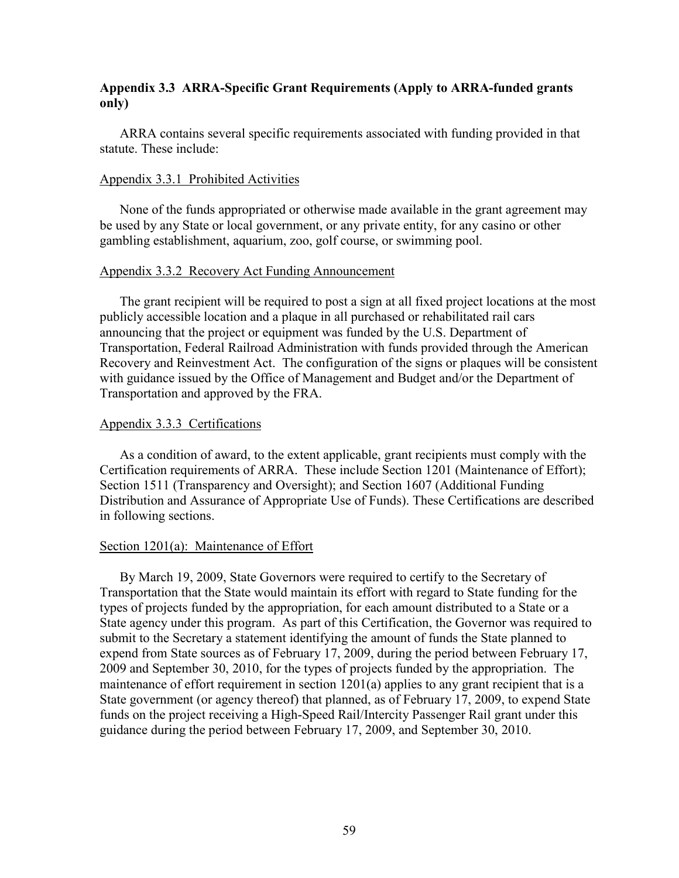## **Appendix 3.3 ARRA-Specific Grant Requirements (Apply to ARRA-funded grants only)**

ARRA contains several specific requirements associated with funding provided in that statute. These include:

### Appendix 3.3.1 Prohibited Activities

None of the funds appropriated or otherwise made available in the grant agreement may be used by any State or local government, or any private entity, for any casino or other gambling establishment, aquarium, zoo, golf course, or swimming pool.

### Appendix 3.3.2 Recovery Act Funding Announcement

The grant recipient will be required to post a sign at all fixed project locations at the most publicly accessible location and a plaque in all purchased or rehabilitated rail cars announcing that the project or equipment was funded by the U.S. Department of Transportation, Federal Railroad Administration with funds provided through the American Recovery and Reinvestment Act. The configuration of the signs or plaques will be consistent with guidance issued by the Office of Management and Budget and/or the Department of Transportation and approved by the FRA.

## Appendix 3.3.3 Certifications

As a condition of award, to the extent applicable, grant recipients must comply with the Certification requirements of ARRA. These include Section 1201 (Maintenance of Effort); Section 1511 (Transparency and Oversight); and Section 1607 (Additional Funding Distribution and Assurance of Appropriate Use of Funds). These Certifications are described in following sections.

## Section 1201(a): Maintenance of Effort

By March 19, 2009, State Governors were required to certify to the Secretary of Transportation that the State would maintain its effort with regard to State funding for the types of projects funded by the appropriation, for each amount distributed to a State or a State agency under this program. As part of this Certification, the Governor was required to submit to the Secretary a statement identifying the amount of funds the State planned to expend from State sources as of February 17, 2009, during the period between February 17, 2009 and September 30, 2010, for the types of projects funded by the appropriation. The maintenance of effort requirement in section 1201(a) applies to any grant recipient that is a State government (or agency thereof) that planned, as of February 17, 2009, to expend State funds on the project receiving a High-Speed Rail/Intercity Passenger Rail grant under this guidance during the period between February 17, 2009, and September 30, 2010.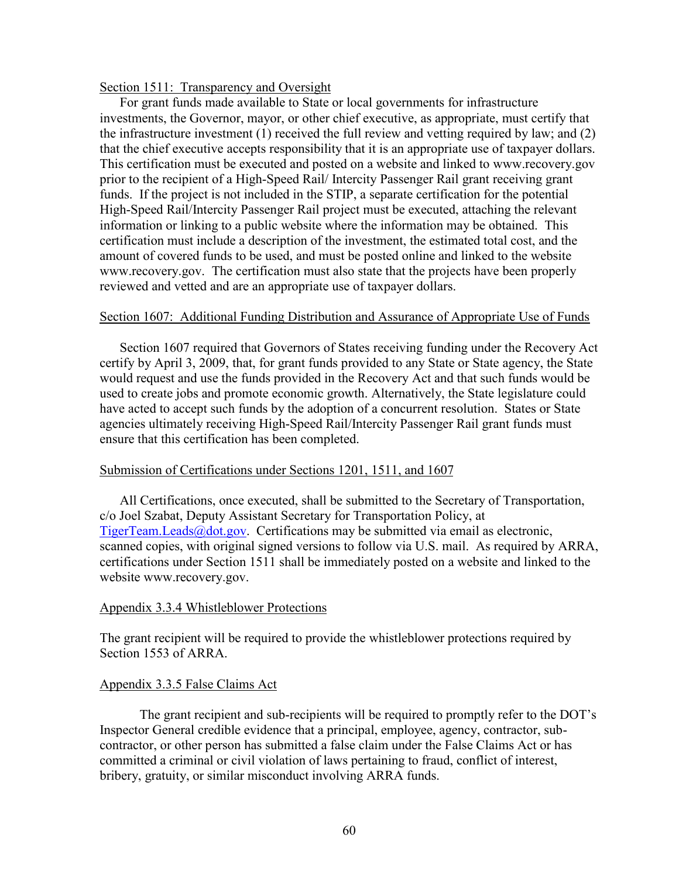#### Section 1511: Transparency and Oversight

For grant funds made available to State or local governments for infrastructure investments, the Governor, mayor, or other chief executive, as appropriate, must certify that the infrastructure investment (1) received the full review and vetting required by law; and (2) that the chief executive accepts responsibility that it is an appropriate use of taxpayer dollars. This certification must be executed and posted on a website and linked to <www.recovery.gov> prior to the recipient of a High-Speed Rail/ Intercity Passenger Rail grant receiving grant funds. If the project is not included in the STIP, a separate certification for the potential High-Speed Rail/Intercity Passenger Rail project must be executed, attaching the relevant information or linking to a public website where the information may be obtained. This certification must include a description of the investment, the estimated total cost, and the amount of covered funds to be used, and must be posted online and linked to the website [www.recovery.gov.](www.recovery.gov) The certification must also state that the projects have been properly reviewed and vetted and are an appropriate use of taxpayer dollars.

#### Section 1607: Additional Funding Distribution and Assurance of Appropriate Use of Funds

Section 1607 required that Governors of States receiving funding under the Recovery Act certify by April 3, 2009, that, for grant funds provided to any State or State agency, the State would request and use the funds provided in the Recovery Act and that such funds would be used to create jobs and promote economic growth. Alternatively, the State legislature could have acted to accept such funds by the adoption of a concurrent resolution. States or State agencies ultimately receiving High-Speed Rail/Intercity Passenger Rail grant funds must ensure that this certification has been completed.

## Submission of Certifications under Sections 1201, 1511, and 1607

All Certifications, once executed, shall be submitted to the Secretary of Transportation, c/o Joel Szabat, Deputy Assistant Secretary for Transportation Policy, at [TigerTeam.Leads@dot.gov.](mailto:TigerTeam.Leads@dot.gov.) Certifications may be submitted via email as electronic, scanned copies, with original signed versions to follow via U.S. mail. As required by ARRA, certifications under Section 1511 shall be immediately posted on a website and linked to the website [www.recovery.gov.](www.recovery.gov)

#### Appendix 3.3.4 Whistleblower Protections

The grant recipient will be required to provide the whistleblower protections required by Section 1553 of ARRA.

## Appendix 3.3.5 False Claims Act

The grant recipient and sub-recipients will be required to promptly refer to the DOT's Inspector General credible evidence that a principal, employee, agency, contractor, subcontractor, or other person has submitted a false claim under the False Claims Act or has committed a criminal or civil violation of laws pertaining to fraud, conflict of interest, bribery, gratuity, or similar misconduct involving ARRA funds.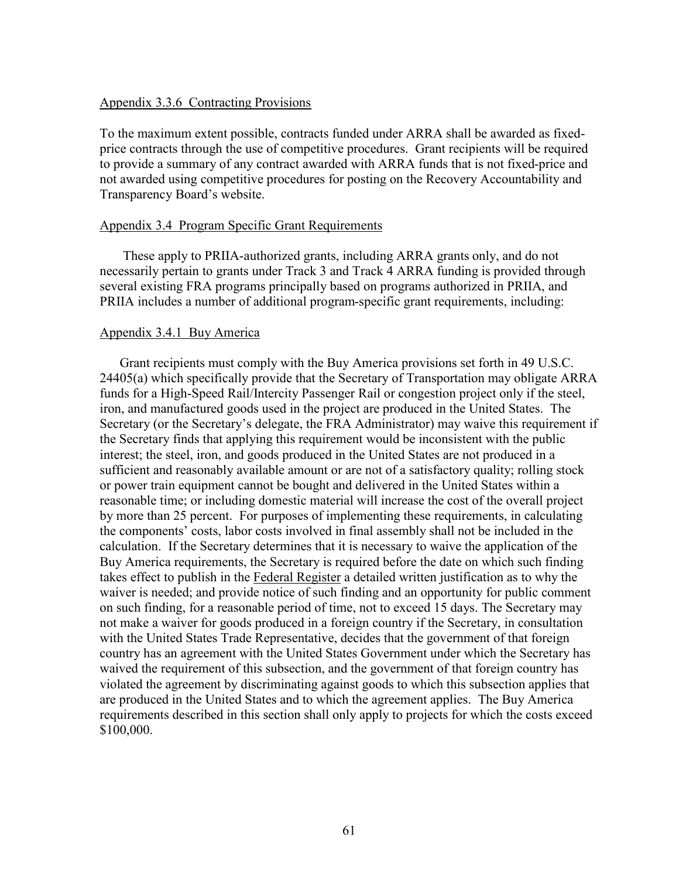## Appendix 3.3.6 Contracting Provisions

To the maximum extent possible, contracts funded under ARRA shall be awarded as fixedprice contracts through the use of competitive procedures. Grant recipients will be required to provide a summary of any contract awarded with ARRA funds that is not fixed-price and not awarded using competitive procedures for posting on the Recovery Accountability and Transparency Board's website.

#### Appendix 3.4 Program Specific Grant Requirements

These apply to PRIIA-authorized grants, including ARRA grants only, and do not necessarily pertain to grants under Track 3 and Track 4 ARRA funding is provided through several existing FRA programs principally based on programs authorized in PRIIA, and PRIIA includes a number of additional program-specific grant requirements, including:

#### Appendix 3.4.1 Buy America

Grant recipients must comply with the Buy America provisions set forth in 49 U.S.C. 24405(a) which specifically provide that the Secretary of Transportation may obligate ARRA funds for a High-Speed Rail/Intercity Passenger Rail or congestion project only if the steel, iron, and manufactured goods used in the project are produced in the United States. The Secretary (or the Secretary's delegate, the FRA Administrator) may waive this requirement if the Secretary finds that applying this requirement would be inconsistent with the public interest; the steel, iron, and goods produced in the United States are not produced in a sufficient and reasonably available amount or are not of a satisfactory quality; rolling stock or power train equipment cannot be bought and delivered in the United States within a reasonable time; or including domestic material will increase the cost of the overall project by more than 25 percent. For purposes of implementing these requirements, in calculating the components' costs, labor costs involved in final assembly shall not be included in the calculation. If the Secretary determines that it is necessary to waive the application of the Buy America requirements, the Secretary is required before the date on which such finding takes effect to publish in the Federal Register a detailed written justification as to why the waiver is needed; and provide notice of such finding and an opportunity for public comment on such finding, for a reasonable period of time, not to exceed 15 days. The Secretary may not make a waiver for goods produced in a foreign country if the Secretary, in consultation with the United States Trade Representative, decides that the government of that foreign country has an agreement with the United States Government under which the Secretary has waived the requirement of this subsection, and the government of that foreign country has violated the agreement by discriminating against goods to which this subsection applies that are produced in the United States and to which the agreement applies. The Buy America requirements described in this section shall only apply to projects for which the costs exceed \$100,000.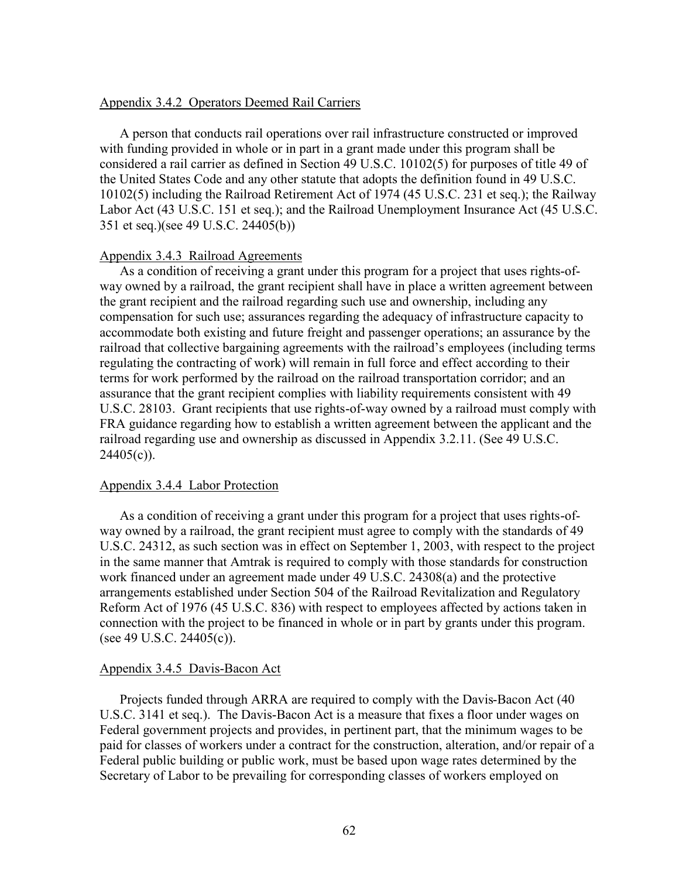#### Appendix 3.4.2 Operators Deemed Rail Carriers

A person that conducts rail operations over rail infrastructure constructed or improved with funding provided in whole or in part in a grant made under this program shall be considered a rail carrier as defined in Section 49 U.S.C. 10102(5) for purposes of title 49 of the United States Code and any other statute that adopts the definition found in 49 U.S.C. 10102(5) including the Railroad Retirement Act of 1974 (45 U.S.C. 231 et seq.); the Railway Labor Act (43 U.S.C. 151 et seq.); and the Railroad Unemployment Insurance Act (45 U.S.C. 351 et seq.)(see 49 U.S.C. 24405(b))

#### Appendix 3.4.3 Railroad Agreements

As a condition of receiving a grant under this program for a project that uses rights-ofway owned by a railroad, the grant recipient shall have in place a written agreement between the grant recipient and the railroad regarding such use and ownership, including any compensation for such use; assurances regarding the adequacy of infrastructure capacity to accommodate both existing and future freight and passenger operations; an assurance by the railroad that collective bargaining agreements with the railroad's employees (including terms regulating the contracting of work) will remain in full force and effect according to their terms for work performed by the railroad on the railroad transportation corridor; and an assurance that the grant recipient complies with liability requirements consistent with 49 U.S.C. 28103. Grant recipients that use rights-of-way owned by a railroad must comply with FRA guidance regarding how to establish a written agreement between the applicant and the railroad regarding use and ownership as discussed in Appendix 3.2.11. (See 49 U.S.C.  $24405(c)$ ).

#### Appendix 3.4.4 Labor Protection

As a condition of receiving a grant under this program for a project that uses rights-ofway owned by a railroad, the grant recipient must agree to comply with the standards of 49 U.S.C. 24312, as such section was in effect on September 1, 2003, with respect to the project in the same manner that Amtrak is required to comply with those standards for construction work financed under an agreement made under 49 U.S.C. 24308(a) and the protective arrangements established under Section 504 of the Railroad Revitalization and Regulatory Reform Act of 1976 (45 U.S.C. 836) with respect to employees affected by actions taken in connection with the project to be financed in whole or in part by grants under this program. (see 49 U.S.C. 24405(c)).

#### Appendix 3.4.5 Davis-Bacon Act

Projects funded through ARRA are required to comply with the Davis-Bacon Act (40 U.S.C. 3141 et seq.). The Davis-Bacon Act is a measure that fixes a floor under wages on Federal government projects and provides, in pertinent part, that the minimum wages to be paid for classes of workers under a contract for the construction, alteration, and/or repair of a Federal public building or public work, must be based upon wage rates determined by the Secretary of Labor to be prevailing for corresponding classes of workers employed on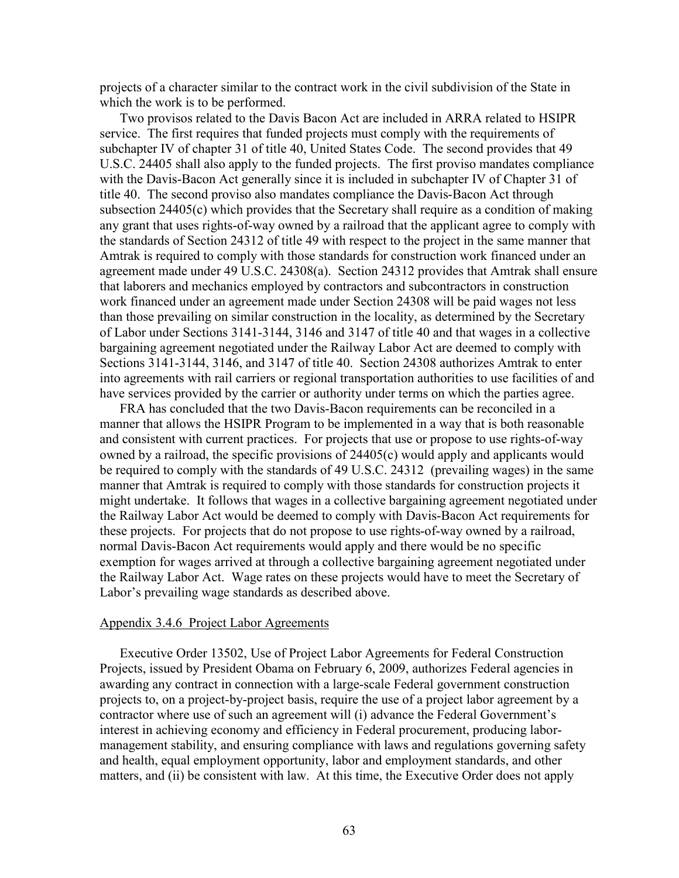projects of a character similar to the contract work in the civil subdivision of the State in which the work is to be performed.

Two provisos related to the Davis Bacon Act are included in ARRA related to HSIPR service. The first requires that funded projects must comply with the requirements of subchapter IV of chapter 31 of title 40, United States Code. The second provides that 49 U.S.C. 24405 shall also apply to the funded projects. The first proviso mandates compliance with the Davis-Bacon Act generally since it is included in subchapter IV of Chapter 31 of title 40. The second proviso also mandates compliance the Davis-Bacon Act through subsection  $24405(c)$  which provides that the Secretary shall require as a condition of making any grant that uses rights-of-way owned by a railroad that the applicant agree to comply with the standards of Section 24312 of title 49 with respect to the project in the same manner that Amtrak is required to comply with those standards for construction work financed under an agreement made under 49 U.S.C. 24308(a). Section 24312 provides that Amtrak shall ensure that laborers and mechanics employed by contractors and subcontractors in construction work financed under an agreement made under Section 24308 will be paid wages not less than those prevailing on similar construction in the locality, as determined by the Secretary of Labor under Sections 3141-3144, 3146 and 3147 of title 40 and that wages in a collective bargaining agreement negotiated under the Railway Labor Act are deemed to comply with Sections 3141-3144, 3146, and 3147 of title 40. Section 24308 authorizes Amtrak to enter into agreements with rail carriers or regional transportation authorities to use facilities of and have services provided by the carrier or authority under terms on which the parties agree.

FRA has concluded that the two Davis-Bacon requirements can be reconciled in a manner that allows the HSIPR Program to be implemented in a way that is both reasonable and consistent with current practices. For projects that use or propose to use rights-of-way owned by a railroad, the specific provisions of 24405(c) would apply and applicants would be required to comply with the standards of 49 U.S.C. 24312 (prevailing wages) in the same manner that Amtrak is required to comply with those standards for construction projects it might undertake. It follows that wages in a collective bargaining agreement negotiated under the Railway Labor Act would be deemed to comply with Davis-Bacon Act requirements for these projects. For projects that do not propose to use rights-of-way owned by a railroad, normal Davis-Bacon Act requirements would apply and there would be no specific exemption for wages arrived at through a collective bargaining agreement negotiated under the Railway Labor Act. Wage rates on these projects would have to meet the Secretary of Labor's prevailing wage standards as described above.

#### Appendix 3.4.6 Project Labor Agreements

Executive Order 13502, Use of Project Labor Agreements for Federal Construction Projects, issued by President Obama on February 6, 2009, authorizes Federal agencies in awarding any contract in connection with a large-scale Federal government construction projects to, on a project-by-project basis, require the use of a project labor agreement by a contractor where use of such an agreement will (i) advance the Federal Government's interest in achieving economy and efficiency in Federal procurement, producing labormanagement stability, and ensuring compliance with laws and regulations governing safety and health, equal employment opportunity, labor and employment standards, and other matters, and (ii) be consistent with law. At this time, the Executive Order does not apply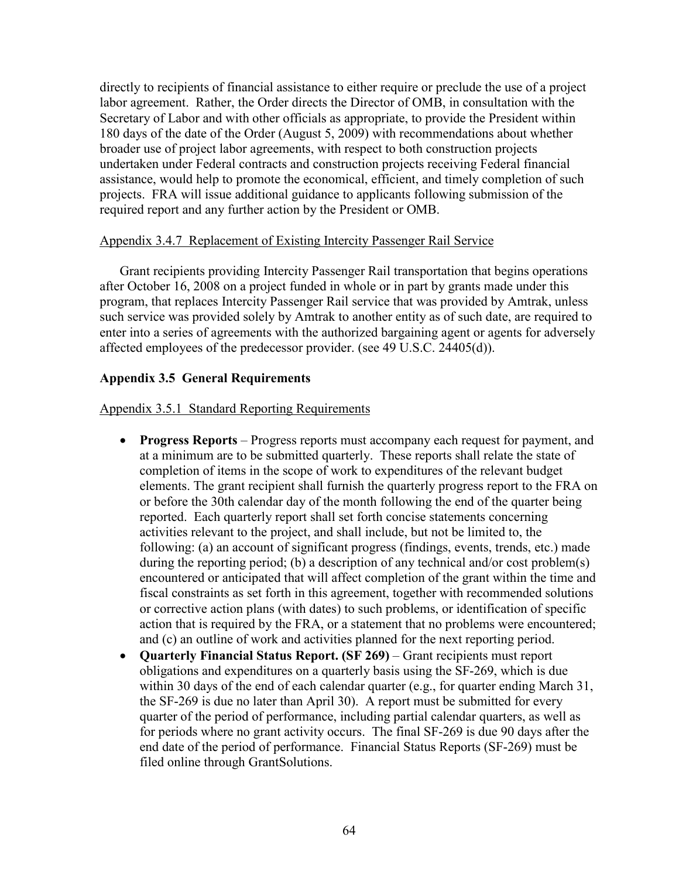directly to recipients of financial assistance to either require or preclude the use of a project labor agreement. Rather, the Order directs the Director of OMB, in consultation with the Secretary of Labor and with other officials as appropriate, to provide the President within 180 days of the date of the Order (August 5, 2009) with recommendations about whether broader use of project labor agreements, with respect to both construction projects undertaken under Federal contracts and construction projects receiving Federal financial assistance, would help to promote the economical, efficient, and timely completion of such projects. FRA will issue additional guidance to applicants following submission of the required report and any further action by the President or OMB.

## Appendix 3.4.7 Replacement of Existing Intercity Passenger Rail Service

Grant recipients providing Intercity Passenger Rail transportation that begins operations after October 16, 2008 on a project funded in whole or in part by grants made under this program, that replaces Intercity Passenger Rail service that was provided by Amtrak, unless such service was provided solely by Amtrak to another entity as of such date, are required to enter into a series of agreements with the authorized bargaining agent or agents for adversely affected employees of the predecessor provider. (see 49 U.S.C. 24405(d)).

## **Appendix 3.5 General Requirements**

### Appendix 3.5.1 Standard Reporting Requirements

- **Progress Reports** Progress reports must accompany each request for payment, and at a minimum are to be submitted quarterly. These reports shall relate the state of completion of items in the scope of work to expenditures of the relevant budget elements. The grant recipient shall furnish the quarterly progress report to the FRA on or before the 30th calendar day of the month following the end of the quarter being reported. Each quarterly report shall set forth concise statements concerning activities relevant to the project, and shall include, but not be limited to, the following: (a) an account of significant progress (findings, events, trends, etc.) made during the reporting period; (b) a description of any technical and/or cost problem(s) encountered or anticipated that will affect completion of the grant within the time and fiscal constraints as set forth in this agreement, together with recommended solutions or corrective action plans (with dates) to such problems, or identification of specific action that is required by the FRA, or a statement that no problems were encountered; and (c) an outline of work and activities planned for the next reporting period.
- **Quarterly Financial Status Report. (SF 269)** Grant recipients must report obligations and expenditures on a quarterly basis using the SF-269, which is due within 30 days of the end of each calendar quarter (e.g., for quarter ending March 31, the SF-269 is due no later than April 30). A report must be submitted for every quarter of the period of performance, including partial calendar quarters, as well as for periods where no grant activity occurs. The final SF-269 is due 90 days after the end date of the period of performance. Financial Status Reports (SF-269) must be filed online through GrantSolutions.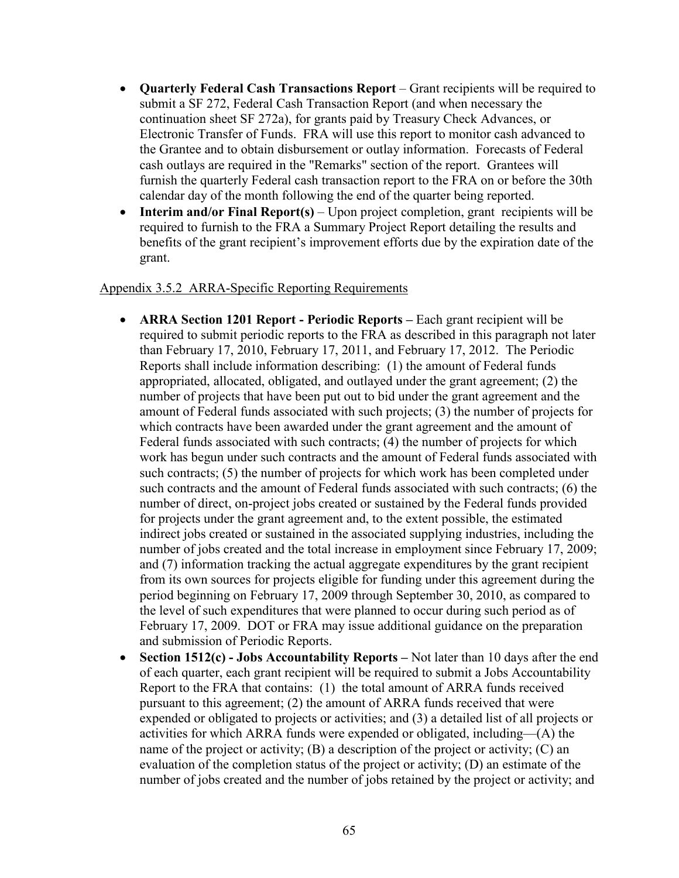- **Quarterly Federal Cash Transactions Report** Grant recipients will be required to submit a SF 272, Federal Cash Transaction Report (and when necessary the continuation sheet SF 272a), for grants paid by Treasury Check Advances, or Electronic Transfer of Funds. FRA will use this report to monitor cash advanced to the Grantee and to obtain disbursement or outlay information. Forecasts of Federal cash outlays are required in the "Remarks" section of the report. Grantees will furnish the quarterly Federal cash transaction report to the FRA on or before the 30th calendar day of the month following the end of the quarter being reported.
- **Interim and/or Final Report(s)** Upon project completion, grant recipients will be required to furnish to the FRA a Summary Project Report detailing the results and benefits of the grant recipient's improvement efforts due by the expiration date of the grant.

## Appendix 3.5.2 ARRA-Specific Reporting Requirements

- **ARRA Section 1201 Report - Periodic Reports –** Each grant recipient will be required to submit periodic reports to the FRA as described in this paragraph not later than February 17, 2010, February 17, 2011, and February 17, 2012. The Periodic Reports shall include information describing: (1) the amount of Federal funds appropriated, allocated, obligated, and outlayed under the grant agreement; (2) the number of projects that have been put out to bid under the grant agreement and the amount of Federal funds associated with such projects; (3) the number of projects for which contracts have been awarded under the grant agreement and the amount of Federal funds associated with such contracts; (4) the number of projects for which work has begun under such contracts and the amount of Federal funds associated with such contracts; (5) the number of projects for which work has been completed under such contracts and the amount of Federal funds associated with such contracts; (6) the number of direct, on-project jobs created or sustained by the Federal funds provided for projects under the grant agreement and, to the extent possible, the estimated indirect jobs created or sustained in the associated supplying industries, including the number of jobs created and the total increase in employment since February 17, 2009; and (7) information tracking the actual aggregate expenditures by the grant recipient from its own sources for projects eligible for funding under this agreement during the period beginning on February 17, 2009 through September 30, 2010, as compared to the level of such expenditures that were planned to occur during such period as of February 17, 2009. DOT or FRA may issue additional guidance on the preparation and submission of Periodic Reports.
- **Section 1512(c) - Jobs Accountability Reports –** Not later than 10 days after the end of each quarter, each grant recipient will be required to submit a Jobs Accountability Report to the FRA that contains: (1) the total amount of ARRA funds received pursuant to this agreement; (2) the amount of ARRA funds received that were expended or obligated to projects or activities; and (3) a detailed list of all projects or activities for which ARRA funds were expended or obligated, including—(A) the name of the project or activity; (B) a description of the project or activity; (C) an evaluation of the completion status of the project or activity; (D) an estimate of the number of jobs created and the number of jobs retained by the project or activity; and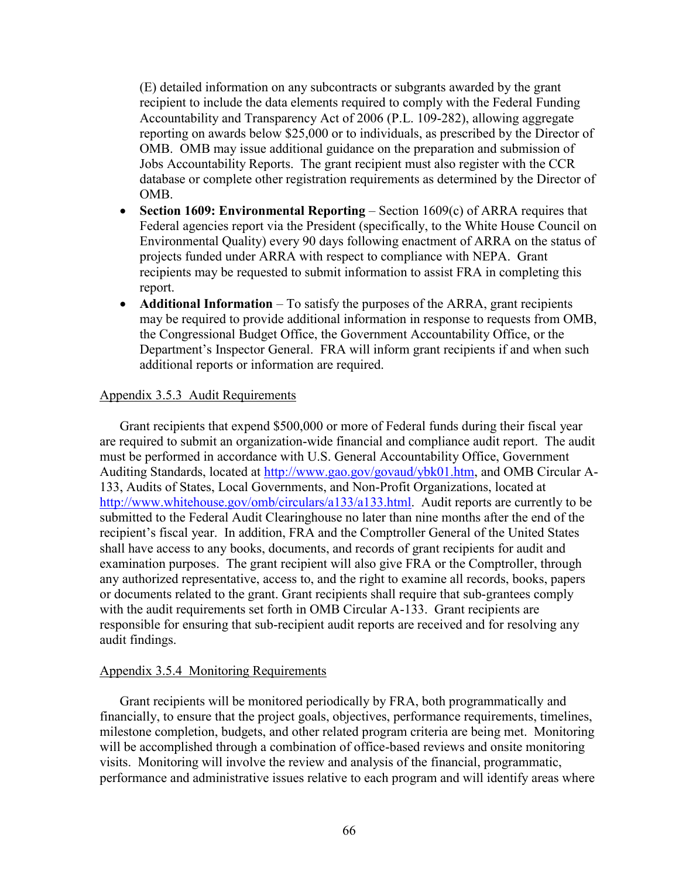(E) detailed information on any subcontracts or subgrants awarded by the grant recipient to include the data elements required to comply with the Federal Funding Accountability and Transparency Act of 2006 (P.L. 109-282), allowing aggregate reporting on awards below \$25,000 or to individuals, as prescribed by the Director of OMB. OMB may issue additional guidance on the preparation and submission of Jobs Accountability Reports. The grant recipient must also register with the CCR database or complete other registration requirements as determined by the Director of OMB.

- **Section 1609: Environmental Reporting** Section 1609(c) of ARRA requires that Federal agencies report via the President (specifically, to the White House Council on Environmental Quality) every 90 days following enactment of ARRA on the status of projects funded under ARRA with respect to compliance with NEPA. Grant recipients may be requested to submit information to assist FRA in completing this report.
- **Additional Information** To satisfy the purposes of the ARRA, grant recipients may be required to provide additional information in response to requests from OMB, the Congressional Budget Office, the Government Accountability Office, or the Department's Inspector General. FRA will inform grant recipients if and when such additional reports or information are required.

## Appendix 3.5.3 Audit Requirements

Grant recipients that expend \$500,000 or more of Federal funds during their fiscal year are required to submit an organization-wide financial and compliance audit report. The audit must be performed in accordance with U.S. General Accountability Office, Government Auditing Standards, located at [http://www.gao.gov/govaud/ybk01.htm,](http://www.gao.gov/govaud/ybk01.htm) and OMB Circular A-133, Audits of States, Local Governments, and Non-Profit Organizations, located at <http://www.whitehouse.gov/omb/circulars/a133/a133.html>. Audit reports are currently to be submitted to the Federal Audit Clearinghouse no later than nine months after the end of the recipient's fiscal year. In addition, FRA and the Comptroller General of the United States shall have access to any books, documents, and records of grant recipients for audit and examination purposes. The grant recipient will also give FRA or the Comptroller, through any authorized representative, access to, and the right to examine all records, books, papers or documents related to the grant. Grant recipients shall require that sub-grantees comply with the audit requirements set forth in OMB Circular A-133. Grant recipients are responsible for ensuring that sub-recipient audit reports are received and for resolving any audit findings.

#### Appendix 3.5.4 Monitoring Requirements

Grant recipients will be monitored periodically by FRA, both programmatically and financially, to ensure that the project goals, objectives, performance requirements, timelines, milestone completion, budgets, and other related program criteria are being met. Monitoring will be accomplished through a combination of office-based reviews and onsite monitoring visits. Monitoring will involve the review and analysis of the financial, programmatic, performance and administrative issues relative to each program and will identify areas where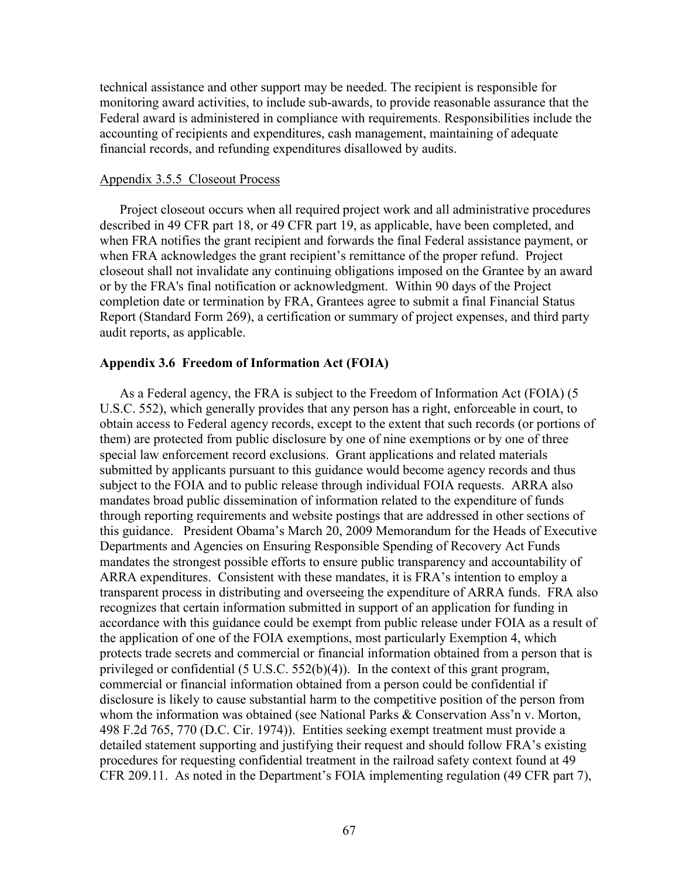technical assistance and other support may be needed. The recipient is responsible for monitoring award activities, to include sub-awards, to provide reasonable assurance that the Federal award is administered in compliance with requirements. Responsibilities include the accounting of recipients and expenditures, cash management, maintaining of adequate financial records, and refunding expenditures disallowed by audits.

#### Appendix 3.5.5 Closeout Process

Project closeout occurs when all required project work and all administrative procedures described in 49 CFR part 18, or 49 CFR part 19, as applicable, have been completed, and when FRA notifies the grant recipient and forwards the final Federal assistance payment, or when FRA acknowledges the grant recipient's remittance of the proper refund. Project closeout shall not invalidate any continuing obligations imposed on the Grantee by an award or by the FRA's final notification or acknowledgment. Within 90 days of the Project completion date or termination by FRA, Grantees agree to submit a final Financial Status Report (Standard Form 269), a certification or summary of project expenses, and third party audit reports, as applicable.

#### **Appendix 3.6 Freedom of Information Act (FOIA)**

As a Federal agency, the FRA is subject to the Freedom of Information Act (FOIA) (5 U.S.C. 552), which generally provides that any person has a right, enforceable in court, to obtain access to Federal agency records, except to the extent that such records (or portions of them) are protected from public disclosure by one of nine exemptions or by one of three special law enforcement record exclusions. Grant applications and related materials submitted by applicants pursuant to this guidance would become agency records and thus subject to the FOIA and to public release through individual FOIA requests. ARRA also mandates broad public dissemination of information related to the expenditure of funds through reporting requirements and website postings that are addressed in other sections of this guidance. President Obama's March 20, 2009 Memorandum for the Heads of Executive Departments and Agencies on Ensuring Responsible Spending of Recovery Act Funds mandates the strongest possible efforts to ensure public transparency and accountability of ARRA expenditures. Consistent with these mandates, it is FRA's intention to employ a transparent process in distributing and overseeing the expenditure of ARRA funds. FRA also recognizes that certain information submitted in support of an application for funding in accordance with this guidance could be exempt from public release under FOIA as a result of the application of one of the FOIA exemptions, most particularly Exemption 4, which protects trade secrets and commercial or financial information obtained from a person that is privileged or confidential (5 U.S.C. 552(b)(4)). In the context of this grant program, commercial or financial information obtained from a person could be confidential if disclosure is likely to cause substantial harm to the competitive position of the person from whom the information was obtained (see National Parks & Conservation Ass'n v. Morton, 498 F.2d 765, 770 (D.C. Cir. 1974)). Entities seeking exempt treatment must provide a detailed statement supporting and justifying their request and should follow FRA's existing procedures for requesting confidential treatment in the railroad safety context found at 49 CFR 209.11. As noted in the Department's FOIA implementing regulation (49 CFR part 7),